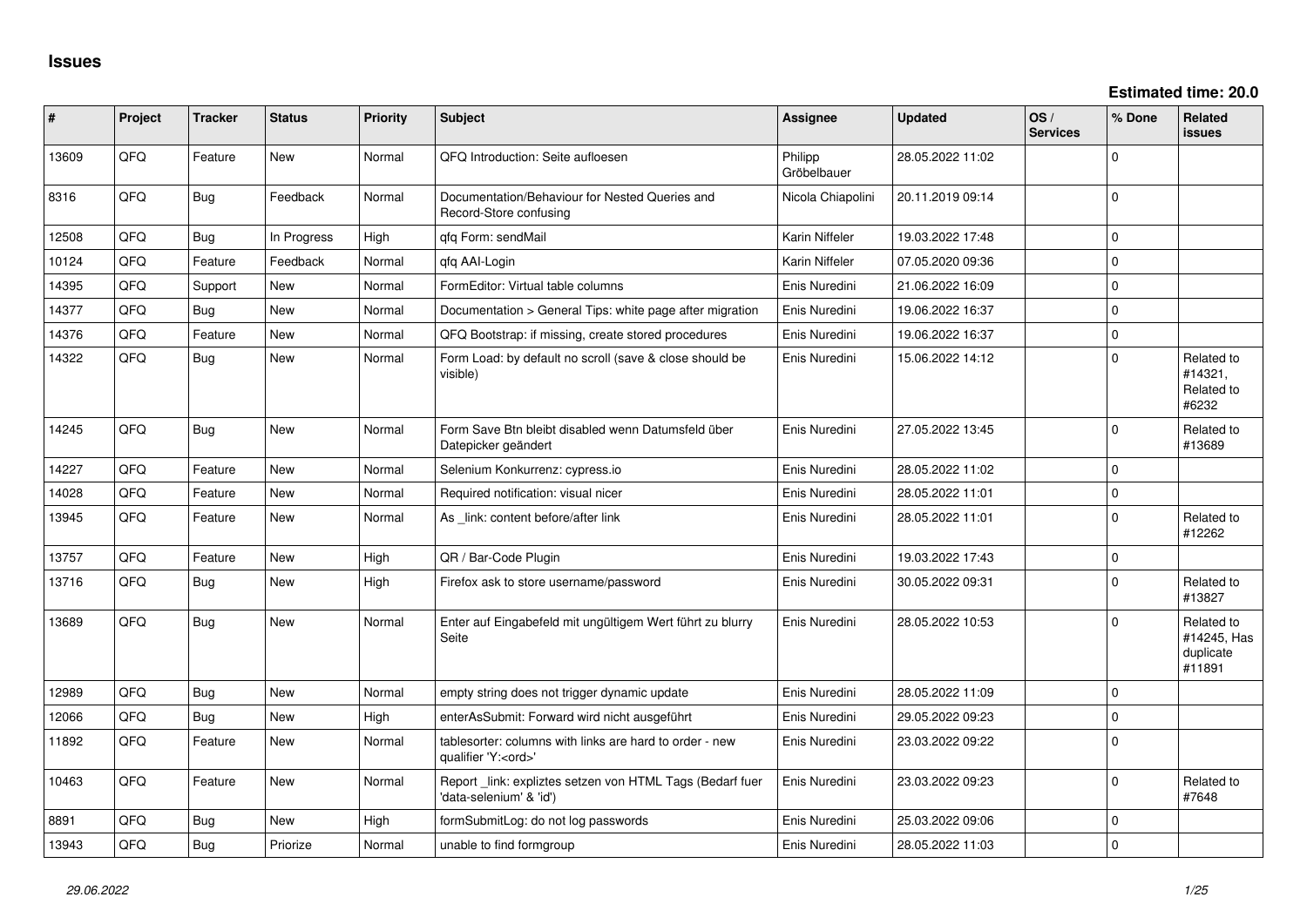| #     | Project | <b>Tracker</b> | <b>Status</b> | <b>Priority</b> | Subject                                                                               | Assignee               | <b>Updated</b>   | OS/<br><b>Services</b> | % Done      | Related<br>issues                                |
|-------|---------|----------------|---------------|-----------------|---------------------------------------------------------------------------------------|------------------------|------------------|------------------------|-------------|--------------------------------------------------|
| 13609 | QFQ     | Feature        | New           | Normal          | QFQ Introduction: Seite aufloesen                                                     | Philipp<br>Gröbelbauer | 28.05.2022 11:02 |                        | $\Omega$    |                                                  |
| 8316  | QFQ     | Bug            | Feedback      | Normal          | Documentation/Behaviour for Nested Queries and<br>Record-Store confusing              | Nicola Chiapolini      | 20.11.2019 09:14 |                        | $\mathbf 0$ |                                                  |
| 12508 | QFQ     | <b>Bug</b>     | In Progress   | High            | qfq Form: sendMail                                                                    | Karin Niffeler         | 19.03.2022 17:48 |                        | $\Omega$    |                                                  |
| 10124 | QFQ     | Feature        | Feedback      | Normal          | qfq AAI-Login                                                                         | Karin Niffeler         | 07.05.2020 09:36 |                        | $\mathbf 0$ |                                                  |
| 14395 | QFQ     | Support        | New           | Normal          | FormEditor: Virtual table columns                                                     | Enis Nuredini          | 21.06.2022 16:09 |                        | $\mathbf 0$ |                                                  |
| 14377 | QFQ     | Bug            | New           | Normal          | Documentation > General Tips: white page after migration                              | Enis Nuredini          | 19.06.2022 16:37 |                        | $\mathbf 0$ |                                                  |
| 14376 | QFQ     | Feature        | New           | Normal          | QFQ Bootstrap: if missing, create stored procedures                                   | Enis Nuredini          | 19.06.2022 16:37 |                        | $\mathbf 0$ |                                                  |
| 14322 | QFQ     | Bug            | New           | Normal          | Form Load: by default no scroll (save & close should be<br>visible)                   | Enis Nuredini          | 15.06.2022 14:12 |                        | $\mathbf 0$ | Related to<br>#14321,<br>Related to<br>#6232     |
| 14245 | QFQ     | <b>Bug</b>     | New           | Normal          | Form Save Btn bleibt disabled wenn Datumsfeld über<br>Datepicker geändert             | Enis Nuredini          | 27.05.2022 13:45 |                        | 0           | Related to<br>#13689                             |
| 14227 | QFQ     | Feature        | <b>New</b>    | Normal          | Selenium Konkurrenz: cypress.io                                                       | Enis Nuredini          | 28.05.2022 11:02 |                        | $\mathbf 0$ |                                                  |
| 14028 | QFQ     | Feature        | New           | Normal          | Required notification: visual nicer                                                   | Enis Nuredini          | 28.05.2022 11:01 |                        | $\mathbf 0$ |                                                  |
| 13945 | QFQ     | Feature        | New           | Normal          | As _link: content before/after link                                                   | Enis Nuredini          | 28.05.2022 11:01 |                        | $\Omega$    | Related to<br>#12262                             |
| 13757 | QFQ     | Feature        | New           | High            | QR / Bar-Code Plugin                                                                  | Enis Nuredini          | 19.03.2022 17:43 |                        | $\mathbf 0$ |                                                  |
| 13716 | QFQ     | Bug            | New           | High            | Firefox ask to store username/password                                                | Enis Nuredini          | 30.05.2022 09:31 |                        | $\Omega$    | Related to<br>#13827                             |
| 13689 | QFQ     | <b>Bug</b>     | New           | Normal          | Enter auf Eingabefeld mit ungültigem Wert führt zu blurry<br>Seite                    | Enis Nuredini          | 28.05.2022 10:53 |                        | $\Omega$    | Related to<br>#14245, Has<br>duplicate<br>#11891 |
| 12989 | QFQ     | <b>Bug</b>     | New           | Normal          | empty string does not trigger dynamic update                                          | Enis Nuredini          | 28.05.2022 11:09 |                        | $\mathbf 0$ |                                                  |
| 12066 | QFQ     | <b>Bug</b>     | New           | High            | enterAsSubmit: Forward wird nicht ausgeführt                                          | Enis Nuredini          | 29.05.2022 09:23 |                        | $\Omega$    |                                                  |
| 11892 | QFQ     | Feature        | New           | Normal          | tablesorter: columns with links are hard to order - new<br>qualifier 'Y: <ord>'</ord> | Enis Nuredini          | 23.03.2022 09:22 |                        | $\mathbf 0$ |                                                  |
| 10463 | QFQ     | Feature        | New           | Normal          | Report _link: expliztes setzen von HTML Tags (Bedarf fuer<br>data-selenium' & 'id')   | Enis Nuredini          | 23.03.2022 09:23 |                        | $\mathbf 0$ | Related to<br>#7648                              |
| 8891  | QFQ     | <b>Bug</b>     | New           | High            | formSubmitLog: do not log passwords                                                   | Enis Nuredini          | 25.03.2022 09:06 |                        | $\mathbf 0$ |                                                  |
| 13943 | QFG     | <b>Bug</b>     | Priorize      | Normal          | unable to find formgroup                                                              | Enis Nuredini          | 28.05.2022 11:03 |                        | 0           |                                                  |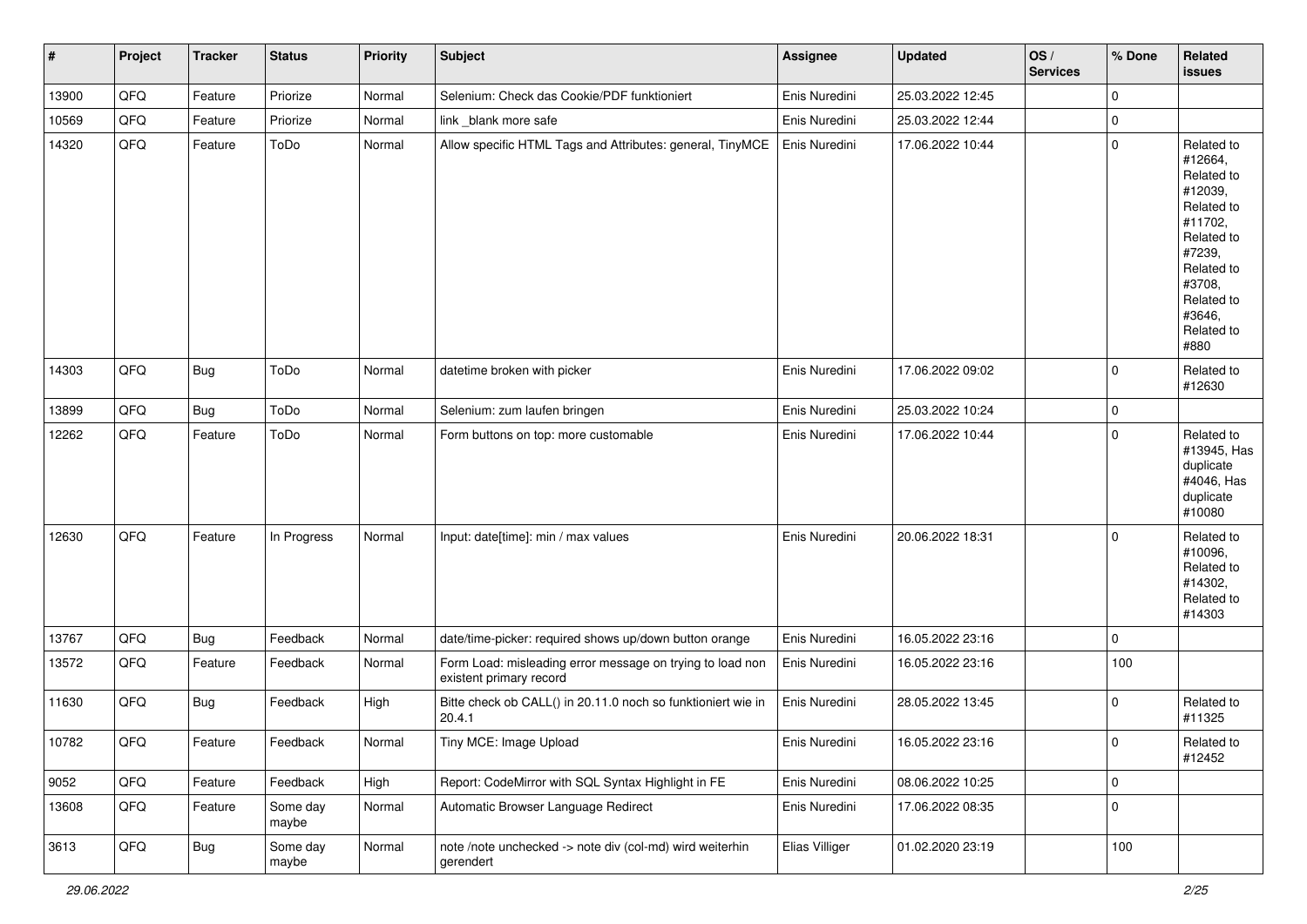| $\sharp$ | Project | <b>Tracker</b> | <b>Status</b>     | Priority | <b>Subject</b>                                                                       | <b>Assignee</b> | <b>Updated</b>   | OS/<br><b>Services</b> | % Done      | Related<br>issues                                                                                                                                                     |
|----------|---------|----------------|-------------------|----------|--------------------------------------------------------------------------------------|-----------------|------------------|------------------------|-------------|-----------------------------------------------------------------------------------------------------------------------------------------------------------------------|
| 13900    | QFQ     | Feature        | Priorize          | Normal   | Selenium: Check das Cookie/PDF funktioniert                                          | Enis Nuredini   | 25.03.2022 12:45 |                        | $\mathbf 0$ |                                                                                                                                                                       |
| 10569    | QFQ     | Feature        | Priorize          | Normal   | link _blank more safe                                                                | Enis Nuredini   | 25.03.2022 12:44 |                        | 0           |                                                                                                                                                                       |
| 14320    | QFQ     | Feature        | ToDo              | Normal   | Allow specific HTML Tags and Attributes: general, TinyMCE                            | Enis Nuredini   | 17.06.2022 10:44 |                        | $\mathbf 0$ | Related to<br>#12664,<br>Related to<br>#12039,<br>Related to<br>#11702,<br>Related to<br>#7239,<br>Related to<br>#3708,<br>Related to<br>#3646,<br>Related to<br>#880 |
| 14303    | QFQ     | <b>Bug</b>     | ToDo              | Normal   | datetime broken with picker                                                          | Enis Nuredini   | 17.06.2022 09:02 |                        | $\Omega$    | Related to<br>#12630                                                                                                                                                  |
| 13899    | QFQ     | <b>Bug</b>     | ToDo              | Normal   | Selenium: zum laufen bringen                                                         | Enis Nuredini   | 25.03.2022 10:24 |                        | 0           |                                                                                                                                                                       |
| 12262    | QFQ     | Feature        | ToDo              | Normal   | Form buttons on top: more customable                                                 | Enis Nuredini   | 17.06.2022 10:44 |                        | $\Omega$    | Related to<br>#13945, Has<br>duplicate<br>#4046, Has<br>duplicate<br>#10080                                                                                           |
| 12630    | QFQ     | Feature        | In Progress       | Normal   | Input: date[time]: min / max values                                                  | Enis Nuredini   | 20.06.2022 18:31 |                        | $\Omega$    | Related to<br>#10096,<br>Related to<br>#14302,<br>Related to<br>#14303                                                                                                |
| 13767    | QFQ     | <b>Bug</b>     | Feedback          | Normal   | date/time-picker: required shows up/down button orange                               | Enis Nuredini   | 16.05.2022 23:16 |                        | $\Omega$    |                                                                                                                                                                       |
| 13572    | QFQ     | Feature        | Feedback          | Normal   | Form Load: misleading error message on trying to load non<br>existent primary record | Enis Nuredini   | 16.05.2022 23:16 |                        | 100         |                                                                                                                                                                       |
| 11630    | QFQ     | Bug            | Feedback          | High     | Bitte check ob CALL() in 20.11.0 noch so funktioniert wie in<br>20.4.1               | Enis Nuredini   | 28.05.2022 13:45 |                        | $\mathbf 0$ | Related to<br>#11325                                                                                                                                                  |
| 10782    | QFQ     | Feature        | Feedback          | Normal   | Tiny MCE: Image Upload                                                               | Enis Nuredini   | 16.05.2022 23:16 |                        | $\pmb{0}$   | Related to<br>#12452                                                                                                                                                  |
| 9052     | QFQ     | Feature        | Feedback          | High     | Report: CodeMirror with SQL Syntax Highlight in FE                                   | Enis Nuredini   | 08.06.2022 10:25 |                        | 0           |                                                                                                                                                                       |
| 13608    | QFQ     | Feature        | Some day<br>maybe | Normal   | Automatic Browser Language Redirect                                                  | Enis Nuredini   | 17.06.2022 08:35 |                        | 0           |                                                                                                                                                                       |
| 3613     | QFQ     | <b>Bug</b>     | Some day<br>maybe | Normal   | note /note unchecked -> note div (col-md) wird weiterhin<br>gerendert                | Elias Villiger  | 01.02.2020 23:19 |                        | 100         |                                                                                                                                                                       |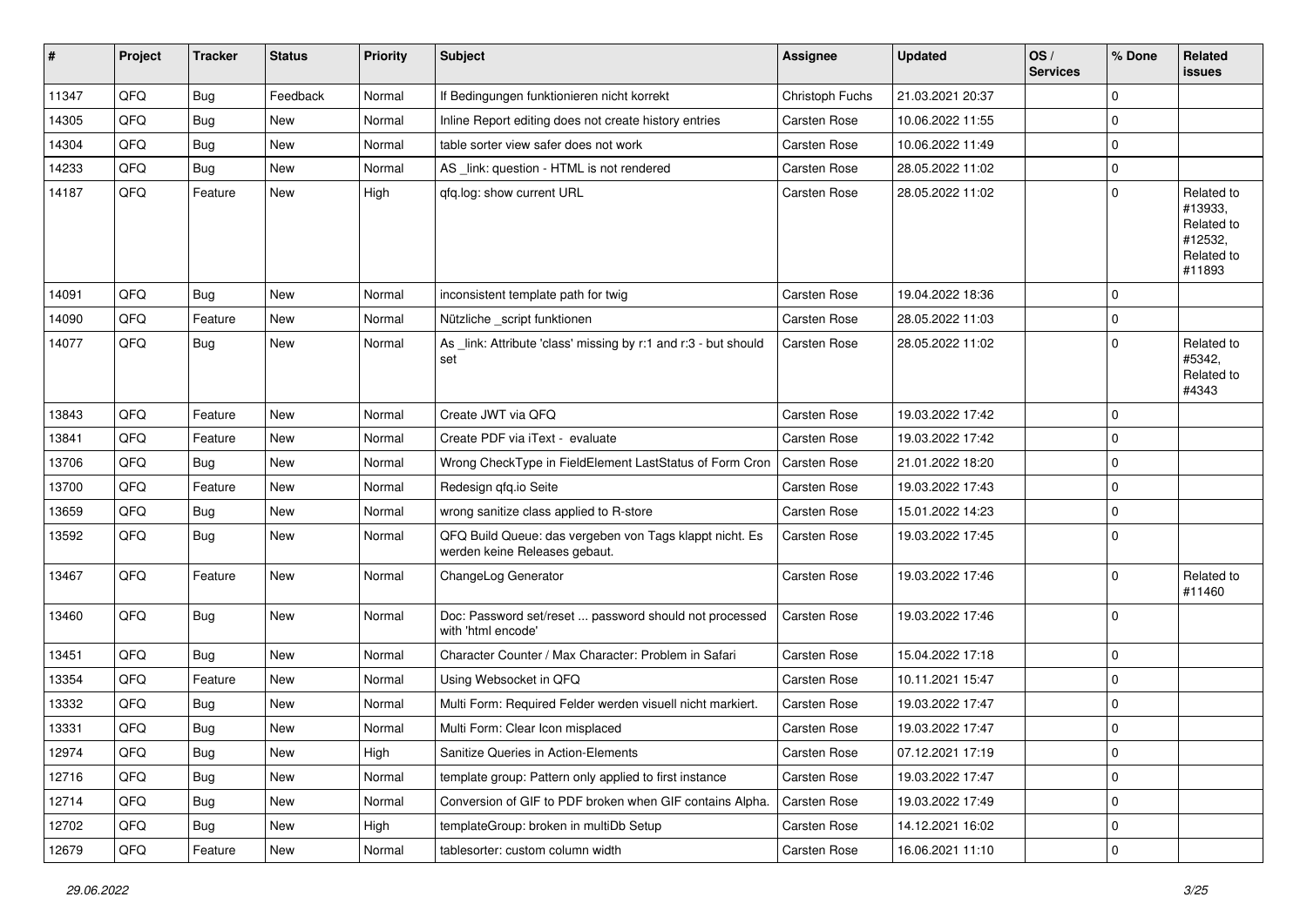| #     | Project | <b>Tracker</b> | <b>Status</b> | <b>Priority</b> | <b>Subject</b>                                                                           | <b>Assignee</b>     | <b>Updated</b>   | OS/<br><b>Services</b> | % Done      | <b>Related</b><br>issues                                               |
|-------|---------|----------------|---------------|-----------------|------------------------------------------------------------------------------------------|---------------------|------------------|------------------------|-------------|------------------------------------------------------------------------|
| 11347 | QFQ     | <b>Bug</b>     | Feedback      | Normal          | If Bedingungen funktionieren nicht korrekt                                               | Christoph Fuchs     | 21.03.2021 20:37 |                        | $\mathbf 0$ |                                                                        |
| 14305 | QFQ     | <b>Bug</b>     | New           | Normal          | Inline Report editing does not create history entries                                    | Carsten Rose        | 10.06.2022 11:55 |                        | $\mathbf 0$ |                                                                        |
| 14304 | QFQ     | <b>Bug</b>     | New           | Normal          | table sorter view safer does not work                                                    | Carsten Rose        | 10.06.2022 11:49 |                        | $\mathbf 0$ |                                                                        |
| 14233 | QFQ     | <b>Bug</b>     | New           | Normal          | AS _link: question - HTML is not rendered                                                | <b>Carsten Rose</b> | 28.05.2022 11:02 |                        | $\mathbf 0$ |                                                                        |
| 14187 | QFQ     | Feature        | New           | High            | qfq.log: show current URL                                                                | Carsten Rose        | 28.05.2022 11:02 |                        | $\mathbf 0$ | Related to<br>#13933,<br>Related to<br>#12532,<br>Related to<br>#11893 |
| 14091 | QFQ     | <b>Bug</b>     | New           | Normal          | inconsistent template path for twig                                                      | <b>Carsten Rose</b> | 19.04.2022 18:36 |                        | $\Omega$    |                                                                        |
| 14090 | QFQ     | Feature        | New           | Normal          | Nützliche _script funktionen                                                             | <b>Carsten Rose</b> | 28.05.2022 11:03 |                        | $\mathbf 0$ |                                                                        |
| 14077 | QFQ     | <b>Bug</b>     | New           | Normal          | As _link: Attribute 'class' missing by r:1 and r:3 - but should<br>set                   | Carsten Rose        | 28.05.2022 11:02 |                        | $\mathbf 0$ | Related to<br>#5342,<br>Related to<br>#4343                            |
| 13843 | QFQ     | Feature        | New           | Normal          | Create JWT via QFQ                                                                       | Carsten Rose        | 19.03.2022 17:42 |                        | $\Omega$    |                                                                        |
| 13841 | QFQ     | Feature        | New           | Normal          | Create PDF via iText - evaluate                                                          | Carsten Rose        | 19.03.2022 17:42 |                        | $\mathbf 0$ |                                                                        |
| 13706 | QFQ     | Bug            | New           | Normal          | Wrong CheckType in FieldElement LastStatus of Form Cron                                  | <b>Carsten Rose</b> | 21.01.2022 18:20 |                        | $\mathbf 0$ |                                                                        |
| 13700 | QFQ     | Feature        | <b>New</b>    | Normal          | Redesign qfq.io Seite                                                                    | Carsten Rose        | 19.03.2022 17:43 |                        | $\mathbf 0$ |                                                                        |
| 13659 | QFQ     | <b>Bug</b>     | New           | Normal          | wrong sanitize class applied to R-store                                                  | Carsten Rose        | 15.01.2022 14:23 |                        | $\mathbf 0$ |                                                                        |
| 13592 | QFQ     | Bug            | New           | Normal          | QFQ Build Queue: das vergeben von Tags klappt nicht. Es<br>werden keine Releases gebaut. | Carsten Rose        | 19.03.2022 17:45 |                        | $\mathbf 0$ |                                                                        |
| 13467 | QFQ     | Feature        | New           | Normal          | ChangeLog Generator                                                                      | Carsten Rose        | 19.03.2022 17:46 |                        | $\mathbf 0$ | Related to<br>#11460                                                   |
| 13460 | QFQ     | Bug            | <b>New</b>    | Normal          | Doc: Password set/reset  password should not processed<br>with 'html encode'             | Carsten Rose        | 19.03.2022 17:46 |                        | $\mathbf 0$ |                                                                        |
| 13451 | QFQ     | <b>Bug</b>     | <b>New</b>    | Normal          | Character Counter / Max Character: Problem in Safari                                     | Carsten Rose        | 15.04.2022 17:18 |                        | $\mathbf 0$ |                                                                        |
| 13354 | QFQ     | Feature        | New           | Normal          | Using Websocket in QFQ                                                                   | Carsten Rose        | 10.11.2021 15:47 |                        | $\mathbf 0$ |                                                                        |
| 13332 | QFQ     | Bug            | New           | Normal          | Multi Form: Required Felder werden visuell nicht markiert.                               | <b>Carsten Rose</b> | 19.03.2022 17:47 |                        | $\mathbf 0$ |                                                                        |
| 13331 | QFQ     | <b>Bug</b>     | New           | Normal          | Multi Form: Clear Icon misplaced                                                         | Carsten Rose        | 19.03.2022 17:47 |                        | $\mathbf 0$ |                                                                        |
| 12974 | QFQ     | <b>Bug</b>     | New           | High            | Sanitize Queries in Action-Elements                                                      | Carsten Rose        | 07.12.2021 17:19 |                        | 0           |                                                                        |
| 12716 | QFQ     | Bug            | New           | Normal          | template group: Pattern only applied to first instance                                   | Carsten Rose        | 19.03.2022 17:47 |                        | $\mathbf 0$ |                                                                        |
| 12714 | QFQ     | <b>Bug</b>     | New           | Normal          | Conversion of GIF to PDF broken when GIF contains Alpha.                                 | Carsten Rose        | 19.03.2022 17:49 |                        | 0           |                                                                        |
| 12702 | QFQ     | <b>Bug</b>     | New           | High            | templateGroup: broken in multiDb Setup                                                   | Carsten Rose        | 14.12.2021 16:02 |                        | 0           |                                                                        |
| 12679 | QFQ     | Feature        | New           | Normal          | tablesorter: custom column width                                                         | Carsten Rose        | 16.06.2021 11:10 |                        | $\mathbf 0$ |                                                                        |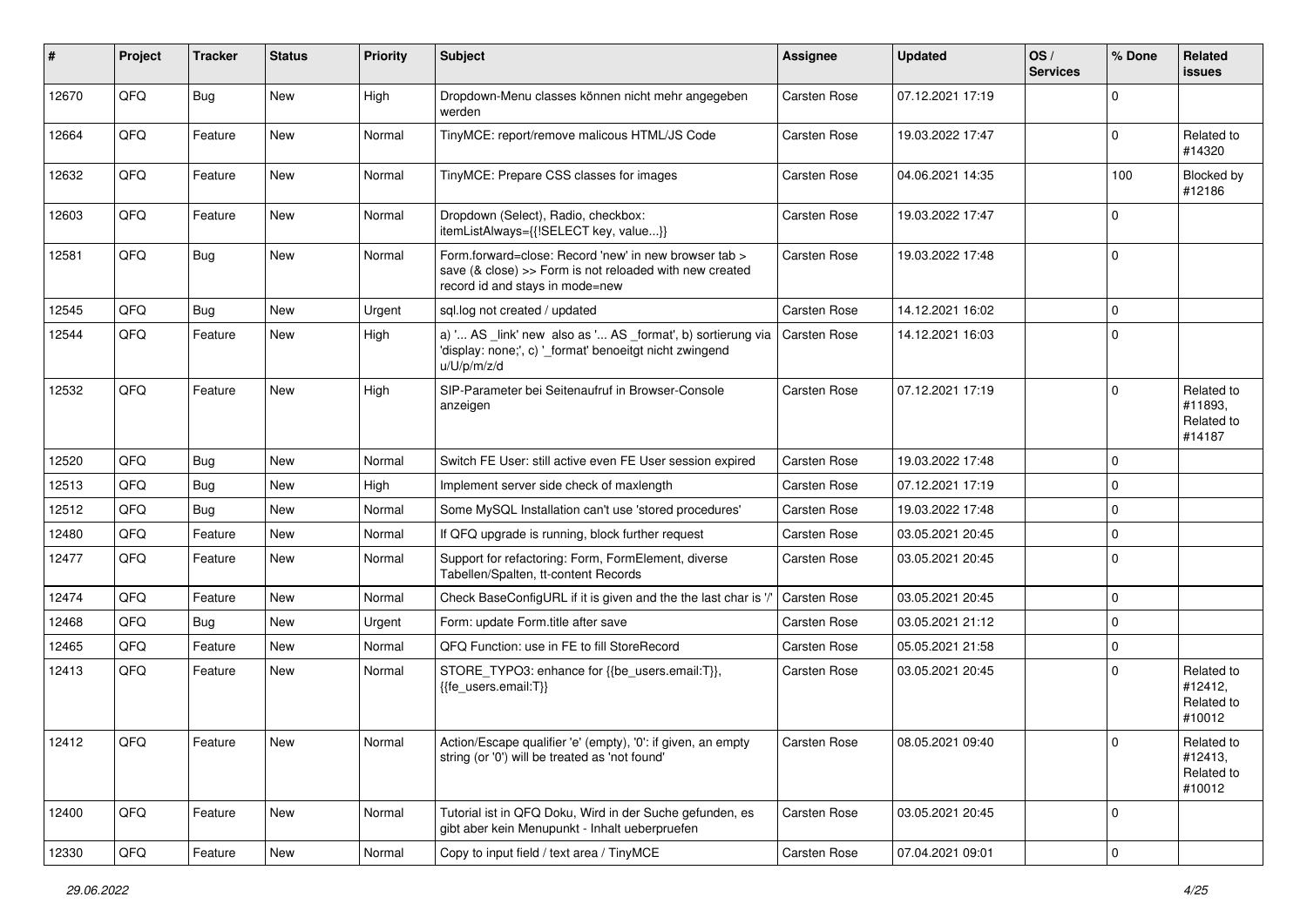| #     | Project | <b>Tracker</b> | <b>Status</b> | <b>Priority</b> | <b>Subject</b>                                                                                                                                      | <b>Assignee</b> | <b>Updated</b>   | OS/<br><b>Services</b> | % Done      | Related<br><b>issues</b>                      |
|-------|---------|----------------|---------------|-----------------|-----------------------------------------------------------------------------------------------------------------------------------------------------|-----------------|------------------|------------------------|-------------|-----------------------------------------------|
| 12670 | QFQ     | <b>Bug</b>     | New           | High            | Dropdown-Menu classes können nicht mehr angegeben<br>werden                                                                                         | Carsten Rose    | 07.12.2021 17:19 |                        | $\Omega$    |                                               |
| 12664 | QFQ     | Feature        | New           | Normal          | TinyMCE: report/remove malicous HTML/JS Code                                                                                                        | Carsten Rose    | 19.03.2022 17:47 |                        | $\mathbf 0$ | Related to<br>#14320                          |
| 12632 | QFQ     | Feature        | New           | Normal          | TinyMCE: Prepare CSS classes for images                                                                                                             | Carsten Rose    | 04.06.2021 14:35 |                        | 100         | Blocked by<br>#12186                          |
| 12603 | QFQ     | Feature        | New           | Normal          | Dropdown (Select), Radio, checkbox:<br>itemListAlways={{!SELECT key, value}}                                                                        | Carsten Rose    | 19.03.2022 17:47 |                        | $\mathbf 0$ |                                               |
| 12581 | QFQ     | Bug            | New           | Normal          | Form.forward=close: Record 'new' in new browser tab ><br>save (& close) >> Form is not reloaded with new created<br>record id and stays in mode=new | Carsten Rose    | 19.03.2022 17:48 |                        | $\mathbf 0$ |                                               |
| 12545 | QFQ     | <b>Bug</b>     | <b>New</b>    | Urgent          | sql.log not created / updated                                                                                                                       | Carsten Rose    | 14.12.2021 16:02 |                        | $\mathbf 0$ |                                               |
| 12544 | QFQ     | Feature        | New           | High            | a) ' AS _link' new also as ' AS _format', b) sortierung via<br>'display: none;', c) '_format' benoeitgt nicht zwingend<br>u/U/p/m/z/d               | Carsten Rose    | 14.12.2021 16:03 |                        | $\mathbf 0$ |                                               |
| 12532 | QFQ     | Feature        | <b>New</b>    | High            | SIP-Parameter bei Seitenaufruf in Browser-Console<br>anzeigen                                                                                       | Carsten Rose    | 07.12.2021 17:19 |                        | $\mathbf 0$ | Related to<br>#11893,<br>Related to<br>#14187 |
| 12520 | QFQ     | <b>Bug</b>     | New           | Normal          | Switch FE User: still active even FE User session expired                                                                                           | Carsten Rose    | 19.03.2022 17:48 |                        | $\mathbf 0$ |                                               |
| 12513 | QFQ     | <b>Bug</b>     | New           | High            | Implement server side check of maxlength                                                                                                            | Carsten Rose    | 07.12.2021 17:19 |                        | $\mathbf 0$ |                                               |
| 12512 | QFQ     | <b>Bug</b>     | New           | Normal          | Some MySQL Installation can't use 'stored procedures'                                                                                               | Carsten Rose    | 19.03.2022 17:48 |                        | $\mathbf 0$ |                                               |
| 12480 | QFQ     | Feature        | <b>New</b>    | Normal          | If QFQ upgrade is running, block further request                                                                                                    | Carsten Rose    | 03.05.2021 20:45 |                        | $\mathbf 0$ |                                               |
| 12477 | QFQ     | Feature        | New           | Normal          | Support for refactoring: Form, FormElement, diverse<br>Tabellen/Spalten, tt-content Records                                                         | Carsten Rose    | 03.05.2021 20:45 |                        | $\mathbf 0$ |                                               |
| 12474 | QFQ     | Feature        | New           | Normal          | Check BaseConfigURL if it is given and the the last char is                                                                                         | Carsten Rose    | 03.05.2021 20:45 |                        | $\mathbf 0$ |                                               |
| 12468 | QFQ     | <b>Bug</b>     | New           | Urgent          | Form: update Form.title after save                                                                                                                  | Carsten Rose    | 03.05.2021 21:12 |                        | $\mathbf 0$ |                                               |
| 12465 | QFQ     | Feature        | New           | Normal          | QFQ Function: use in FE to fill StoreRecord                                                                                                         | Carsten Rose    | 05.05.2021 21:58 |                        | $\pmb{0}$   |                                               |
| 12413 | QFQ     | Feature        | New           | Normal          | STORE_TYPO3: enhance for {{be_users.email:T}},<br>{{fe users.email:T}}                                                                              | Carsten Rose    | 03.05.2021 20:45 |                        | $\mathbf 0$ | Related to<br>#12412.<br>Related to<br>#10012 |
| 12412 | QFQ     | Feature        | New           | Normal          | Action/Escape qualifier 'e' (empty), '0': if given, an empty<br>string (or '0') will be treated as 'not found'                                      | Carsten Rose    | 08.05.2021 09:40 |                        | 0           | Related to<br>#12413,<br>Related to<br>#10012 |
| 12400 | QFQ     | Feature        | New           | Normal          | Tutorial ist in QFQ Doku, Wird in der Suche gefunden, es<br>gibt aber kein Menupunkt - Inhalt ueberpruefen                                          | Carsten Rose    | 03.05.2021 20:45 |                        | $\mathbf 0$ |                                               |
| 12330 | QFQ     | Feature        | New           | Normal          | Copy to input field / text area / TinyMCE                                                                                                           | Carsten Rose    | 07.04.2021 09:01 |                        | $\pmb{0}$   |                                               |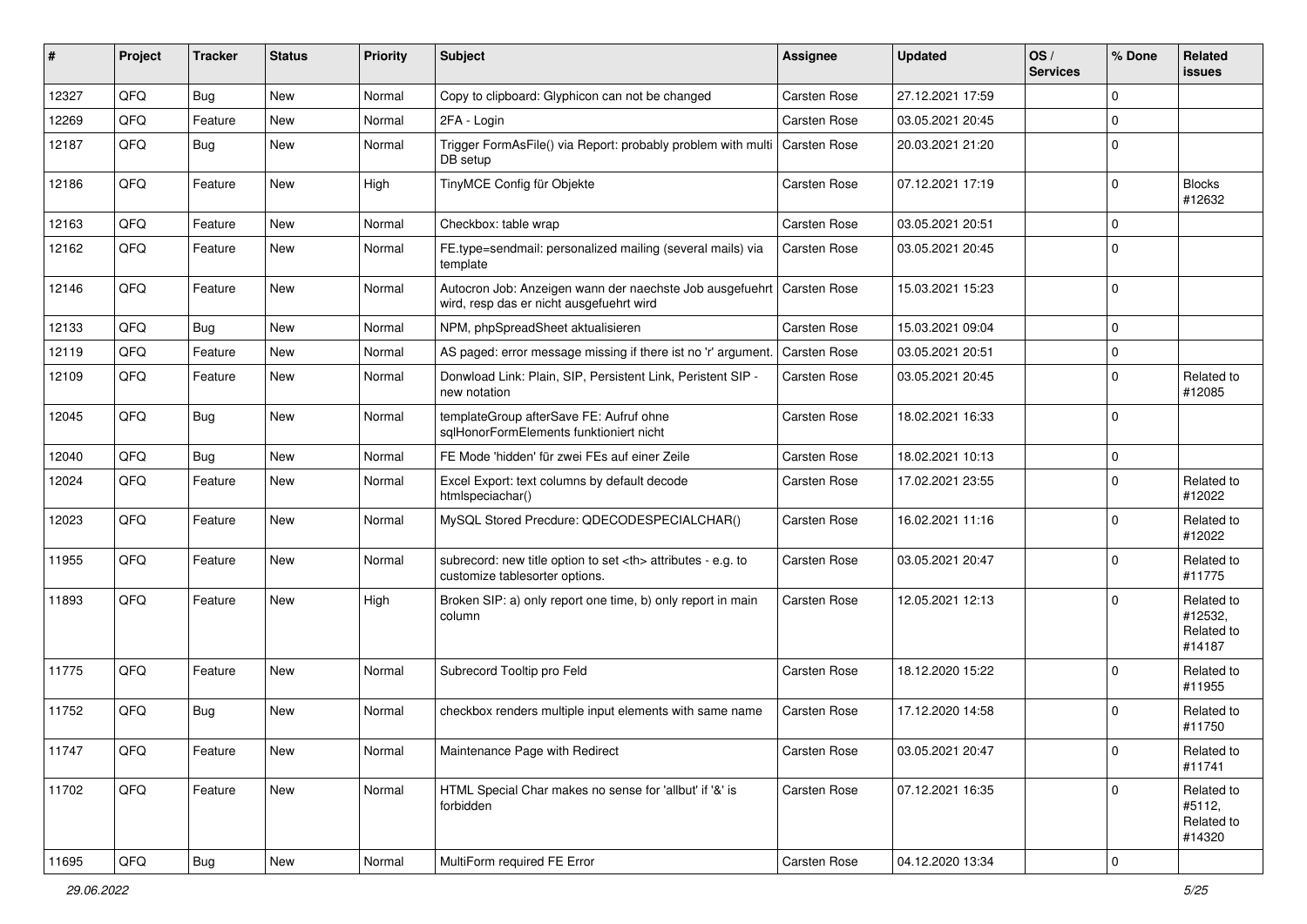| #     | Project | <b>Tracker</b> | <b>Status</b> | <b>Priority</b> | Subject                                                                                              | <b>Assignee</b>                                        | <b>Updated</b>      | $\log$<br><b>Services</b> | % Done    | Related<br>issues                             |                      |
|-------|---------|----------------|---------------|-----------------|------------------------------------------------------------------------------------------------------|--------------------------------------------------------|---------------------|---------------------------|-----------|-----------------------------------------------|----------------------|
| 12327 | QFQ     | <b>Bug</b>     | <b>New</b>    | Normal          | Copy to clipboard: Glyphicon can not be changed                                                      | <b>Carsten Rose</b>                                    | 27.12.2021 17:59    |                           | $\Omega$  |                                               |                      |
| 12269 | QFQ     | Feature        | New           | Normal          | 2FA - Login                                                                                          | Carsten Rose                                           | 03.05.2021 20:45    |                           | $\Omega$  |                                               |                      |
| 12187 | QFQ     | Bug            | New           | Normal          | Trigger FormAsFile() via Report: probably problem with multi   Carsten Rose<br>DB setup              |                                                        | 20.03.2021 21:20    |                           | $\Omega$  |                                               |                      |
| 12186 | QFQ     | Feature        | New           | High            | TinyMCE Config für Objekte                                                                           | <b>Carsten Rose</b>                                    | 07.12.2021 17:19    |                           | $\Omega$  | <b>Blocks</b><br>#12632                       |                      |
| 12163 | QFQ     | Feature        | <b>New</b>    | Normal          | Checkbox: table wrap                                                                                 | <b>Carsten Rose</b>                                    | 03.05.2021 20:51    |                           | $\Omega$  |                                               |                      |
| 12162 | QFQ     | Feature        | New           | Normal          | FE.type=sendmail: personalized mailing (several mails) via<br>template                               | Carsten Rose                                           | 03.05.2021 20:45    |                           | $\Omega$  |                                               |                      |
| 12146 | QFQ     | Feature        | <b>New</b>    | Normal          | Autocron Job: Anzeigen wann der naechste Job ausgefuehrt<br>wird, resp das er nicht ausgefuehrt wird | Carsten Rose                                           | 15.03.2021 15:23    |                           | $\Omega$  |                                               |                      |
| 12133 | QFQ     | <b>Bug</b>     | <b>New</b>    | Normal          | NPM, phpSpreadSheet aktualisieren                                                                    | Carsten Rose                                           | 15.03.2021 09:04    |                           | $\Omega$  |                                               |                      |
| 12119 | QFQ     | Feature        | <b>New</b>    | Normal          | AS paged: error message missing if there ist no 'r' argument.                                        | Carsten Rose                                           | 03.05.2021 20:51    |                           | $\Omega$  |                                               |                      |
| 12109 | QFQ     | Feature        | New           | Normal          | Donwload Link: Plain, SIP, Persistent Link, Peristent SIP -<br>new notation                          | <b>Carsten Rose</b>                                    | 03.05.2021 20:45    |                           | $\Omega$  | Related to<br>#12085                          |                      |
| 12045 | QFQ     | <b>Bug</b>     | <b>New</b>    | Normal          | templateGroup afterSave FE: Aufruf ohne<br>sqlHonorFormElements funktioniert nicht                   | Carsten Rose                                           | 18.02.2021 16:33    |                           | $\Omega$  |                                               |                      |
| 12040 | QFQ     | <b>Bug</b>     | <b>New</b>    | Normal          | FE Mode 'hidden' für zwei FEs auf einer Zeile                                                        | <b>Carsten Rose</b>                                    | 18.02.2021 10:13    |                           | $\Omega$  |                                               |                      |
| 12024 | QFQ     | Feature        | New           | Normal          | Excel Export: text columns by default decode<br>htmlspeciachar()                                     | <b>Carsten Rose</b>                                    | 17.02.2021 23:55    |                           | $\Omega$  | Related to<br>#12022                          |                      |
| 12023 | QFQ     | Feature        | <b>New</b>    | Normal          | MySQL Stored Precdure: QDECODESPECIALCHAR()                                                          | Carsten Rose                                           | 16.02.2021 11:16    |                           | $\Omega$  | Related to<br>#12022                          |                      |
| 11955 | QFQ     | Feature        | <b>New</b>    | Normal          | subrecord: new title option to set <th> attributes - e.g. to<br/>customize tablesorter options.</th> | attributes - e.g. to<br>customize tablesorter options. | <b>Carsten Rose</b> | 03.05.2021 20:47          |           | $\Omega$                                      | Related to<br>#11775 |
| 11893 | QFQ     | Feature        | New           | High            | Broken SIP: a) only report one time, b) only report in main<br>column                                | Carsten Rose                                           | 12.05.2021 12:13    |                           | $\Omega$  | Related to<br>#12532,<br>Related to<br>#14187 |                      |
| 11775 | QFQ     | Feature        | <b>New</b>    | Normal          | Subrecord Tooltip pro Feld                                                                           | Carsten Rose                                           | 18.12.2020 15:22    |                           | $\Omega$  | Related to<br>#11955                          |                      |
| 11752 | QFQ     | <b>Bug</b>     | New           | Normal          | checkbox renders multiple input elements with same name                                              | <b>Carsten Rose</b>                                    | 17.12.2020 14:58    |                           | $\Omega$  | Related to<br>#11750                          |                      |
| 11747 | QFG     | Feature        | New           | Normal          | Maintenance Page with Redirect                                                                       | Carsten Rose                                           | 03.05.2021 20:47    |                           | 0         | Related to<br>#11741                          |                      |
| 11702 | QFQ     | Feature        | New           | Normal          | HTML Special Char makes no sense for 'allbut' if '&' is<br>forbidden                                 | Carsten Rose                                           | 07.12.2021 16:35    |                           | $\Omega$  | Related to<br>#5112,<br>Related to<br>#14320  |                      |
| 11695 | QFQ     | Bug            | New           | Normal          | MultiForm required FE Error                                                                          | Carsten Rose                                           | 04.12.2020 13:34    |                           | $\pmb{0}$ |                                               |                      |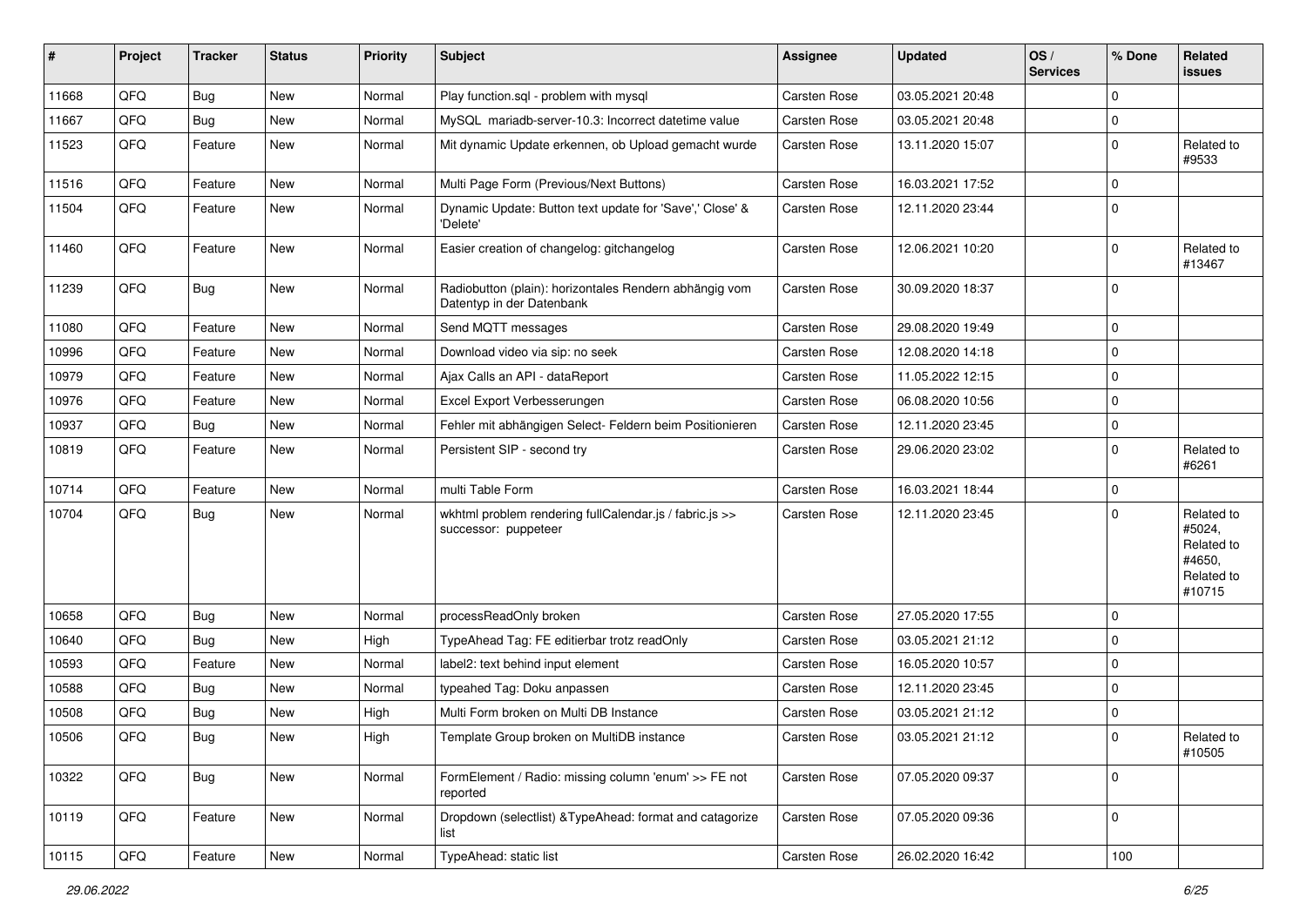| #     | Project        | <b>Tracker</b> | <b>Status</b> | <b>Priority</b> | <b>Subject</b>                                                                      | <b>Assignee</b>     | <b>Updated</b>   | OS/<br><b>Services</b> | % Done      | Related<br><b>issues</b>                                             |
|-------|----------------|----------------|---------------|-----------------|-------------------------------------------------------------------------------------|---------------------|------------------|------------------------|-------------|----------------------------------------------------------------------|
| 11668 | QFQ            | <b>Bug</b>     | <b>New</b>    | Normal          | Play function.sql - problem with mysql                                              | Carsten Rose        | 03.05.2021 20:48 |                        | $\mathbf 0$ |                                                                      |
| 11667 | QFQ            | <b>Bug</b>     | <b>New</b>    | Normal          | MySQL mariadb-server-10.3: Incorrect datetime value                                 | Carsten Rose        | 03.05.2021 20:48 |                        | 0           |                                                                      |
| 11523 | QFQ            | Feature        | New           | Normal          | Mit dynamic Update erkennen, ob Upload gemacht wurde                                | Carsten Rose        | 13.11.2020 15:07 |                        | $\mathbf 0$ | Related to<br>#9533                                                  |
| 11516 | QFQ            | Feature        | <b>New</b>    | Normal          | Multi Page Form (Previous/Next Buttons)                                             | Carsten Rose        | 16.03.2021 17:52 |                        | $\mathbf 0$ |                                                                      |
| 11504 | QFQ            | Feature        | New           | Normal          | Dynamic Update: Button text update for 'Save',' Close' &<br>'Delete'                | Carsten Rose        | 12.11.2020 23:44 |                        | $\Omega$    |                                                                      |
| 11460 | QFQ            | Feature        | <b>New</b>    | Normal          | Easier creation of changelog: gitchangelog                                          | Carsten Rose        | 12.06.2021 10:20 |                        | $\mathbf 0$ | Related to<br>#13467                                                 |
| 11239 | QFQ            | Bug            | New           | Normal          | Radiobutton (plain): horizontales Rendern abhängig vom<br>Datentyp in der Datenbank | Carsten Rose        | 30.09.2020 18:37 |                        | $\mathbf 0$ |                                                                      |
| 11080 | QFQ            | Feature        | New           | Normal          | Send MQTT messages                                                                  | Carsten Rose        | 29.08.2020 19:49 |                        | $\mathbf 0$ |                                                                      |
| 10996 | QFQ            | Feature        | New           | Normal          | Download video via sip: no seek                                                     | Carsten Rose        | 12.08.2020 14:18 |                        | $\mathbf 0$ |                                                                      |
| 10979 | QFQ            | Feature        | New           | Normal          | Ajax Calls an API - dataReport                                                      | Carsten Rose        | 11.05.2022 12:15 |                        | $\pmb{0}$   |                                                                      |
| 10976 | QFQ            | Feature        | New           | Normal          | Excel Export Verbesserungen                                                         | <b>Carsten Rose</b> | 06.08.2020 10:56 |                        | $\mathbf 0$ |                                                                      |
| 10937 | QFQ            | <b>Bug</b>     | New           | Normal          | Fehler mit abhängigen Select- Feldern beim Positionieren                            | Carsten Rose        | 12.11.2020 23:45 |                        | $\mathbf 0$ |                                                                      |
| 10819 | QFQ            | Feature        | New           | Normal          | Persistent SIP - second try                                                         | Carsten Rose        | 29.06.2020 23:02 |                        | $\mathbf 0$ | Related to<br>#6261                                                  |
| 10714 | QFQ            | Feature        | <b>New</b>    | Normal          | multi Table Form                                                                    | Carsten Rose        | 16.03.2021 18:44 |                        | $\mathbf 0$ |                                                                      |
| 10704 | QFQ            | <b>Bug</b>     | New           | Normal          | wkhtml problem rendering fullCalendar.js / fabric.js >><br>successor: puppeteer     | Carsten Rose        | 12.11.2020 23:45 |                        | $\Omega$    | Related to<br>#5024,<br>Related to<br>#4650,<br>Related to<br>#10715 |
| 10658 | QFQ            | <b>Bug</b>     | <b>New</b>    | Normal          | processReadOnly broken                                                              | <b>Carsten Rose</b> | 27.05.2020 17:55 |                        | $\mathbf 0$ |                                                                      |
| 10640 | QFQ            | <b>Bug</b>     | New           | High            | TypeAhead Tag: FE editierbar trotz readOnly                                         | Carsten Rose        | 03.05.2021 21:12 |                        | $\mathbf 0$ |                                                                      |
| 10593 | QFQ            | Feature        | New           | Normal          | label2: text behind input element                                                   | Carsten Rose        | 16.05.2020 10:57 |                        | $\Omega$    |                                                                      |
| 10588 | QFQ            | <b>Bug</b>     | New           | Normal          | typeahed Tag: Doku anpassen                                                         | Carsten Rose        | 12.11.2020 23:45 |                        | 0           |                                                                      |
| 10508 | QFQ            | <b>Bug</b>     | New           | High            | Multi Form broken on Multi DB Instance                                              | Carsten Rose        | 03.05.2021 21:12 |                        | $\pmb{0}$   |                                                                      |
| 10506 | $\mathsf{QFQ}$ | Bug            | New           | High            | Template Group broken on MultiDB instance                                           | Carsten Rose        | 03.05.2021 21:12 |                        | $\pmb{0}$   | Related to<br>#10505                                                 |
| 10322 | QFQ            | <b>Bug</b>     | New           | Normal          | FormElement / Radio: missing column 'enum' >> FE not<br>reported                    | Carsten Rose        | 07.05.2020 09:37 |                        | $\mathbf 0$ |                                                                      |
| 10119 | QFQ            | Feature        | New           | Normal          | Dropdown (selectlist) & Type Ahead: format and catagorize<br>list                   | Carsten Rose        | 07.05.2020 09:36 |                        | $\pmb{0}$   |                                                                      |
| 10115 | QFQ            | Feature        | New           | Normal          | TypeAhead: static list                                                              | Carsten Rose        | 26.02.2020 16:42 |                        | 100         |                                                                      |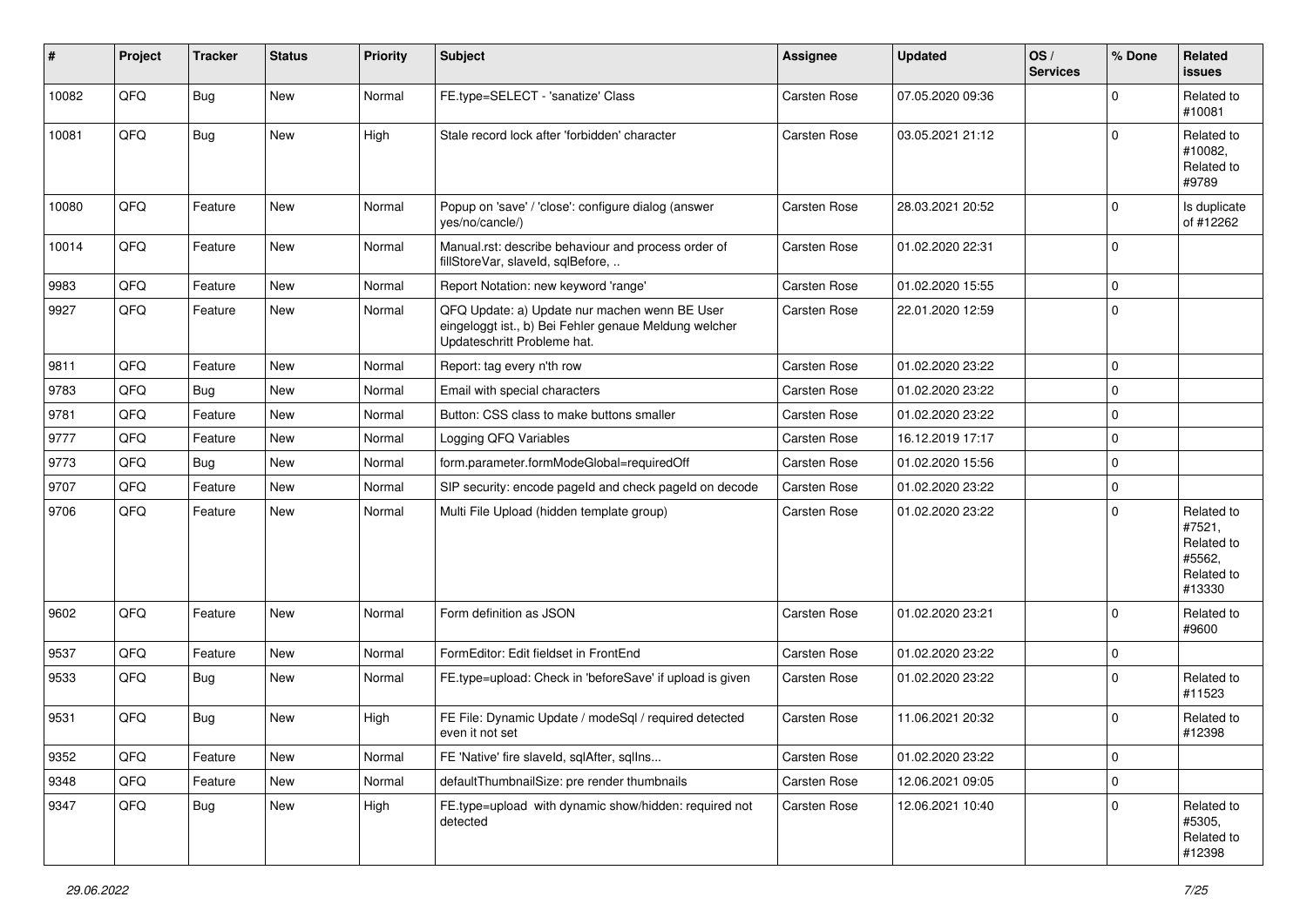| #     | Project | <b>Tracker</b> | <b>Status</b> | <b>Priority</b> | <b>Subject</b>                                                                                                                        | <b>Assignee</b>     | <b>Updated</b>   | OS/<br><b>Services</b> | % Done   | Related<br>issues                                                    |
|-------|---------|----------------|---------------|-----------------|---------------------------------------------------------------------------------------------------------------------------------------|---------------------|------------------|------------------------|----------|----------------------------------------------------------------------|
| 10082 | QFQ     | <b>Bug</b>     | New           | Normal          | FE.type=SELECT - 'sanatize' Class                                                                                                     | <b>Carsten Rose</b> | 07.05.2020 09:36 |                        | $\Omega$ | Related to<br>#10081                                                 |
| 10081 | QFQ     | <b>Bug</b>     | New           | High            | Stale record lock after 'forbidden' character                                                                                         | <b>Carsten Rose</b> | 03.05.2021 21:12 |                        | $\Omega$ | Related to<br>#10082,<br>Related to<br>#9789                         |
| 10080 | QFQ     | Feature        | New           | Normal          | Popup on 'save' / 'close': configure dialog (answer<br>yes/no/cancle/)                                                                | <b>Carsten Rose</b> | 28.03.2021 20:52 |                        | $\Omega$ | Is duplicate<br>of #12262                                            |
| 10014 | QFQ     | Feature        | New           | Normal          | Manual.rst: describe behaviour and process order of<br>fillStoreVar, slaveId, sqlBefore,                                              | Carsten Rose        | 01.02.2020 22:31 |                        | $\Omega$ |                                                                      |
| 9983  | QFQ     | Feature        | New           | Normal          | Report Notation: new keyword 'range'                                                                                                  | Carsten Rose        | 01.02.2020 15:55 |                        | $\Omega$ |                                                                      |
| 9927  | QFQ     | Feature        | New           | Normal          | QFQ Update: a) Update nur machen wenn BE User<br>eingeloggt ist., b) Bei Fehler genaue Meldung welcher<br>Updateschritt Probleme hat. | Carsten Rose        | 22.01.2020 12:59 |                        | $\Omega$ |                                                                      |
| 9811  | QFQ     | Feature        | New           | Normal          | Report: tag every n'th row                                                                                                            | <b>Carsten Rose</b> | 01.02.2020 23:22 |                        | $\Omega$ |                                                                      |
| 9783  | QFQ     | <b>Bug</b>     | New           | Normal          | Email with special characters                                                                                                         | Carsten Rose        | 01.02.2020 23:22 |                        | $\Omega$ |                                                                      |
| 9781  | QFQ     | Feature        | New           | Normal          | Button: CSS class to make buttons smaller                                                                                             | Carsten Rose        | 01.02.2020 23:22 |                        | $\Omega$ |                                                                      |
| 9777  | QFQ     | Feature        | New           | Normal          | Logging QFQ Variables                                                                                                                 | Carsten Rose        | 16.12.2019 17:17 |                        | $\Omega$ |                                                                      |
| 9773  | QFQ     | <b>Bug</b>     | New           | Normal          | form.parameter.formModeGlobal=requiredOff                                                                                             | Carsten Rose        | 01.02.2020 15:56 |                        | $\Omega$ |                                                                      |
| 9707  | QFQ     | Feature        | New           | Normal          | SIP security: encode pageld and check pageld on decode                                                                                | Carsten Rose        | 01.02.2020 23:22 |                        | $\Omega$ |                                                                      |
| 9706  | QFQ     | Feature        | New           | Normal          | Multi File Upload (hidden template group)                                                                                             | Carsten Rose        | 01.02.2020 23:22 |                        | $\Omega$ | Related to<br>#7521,<br>Related to<br>#5562,<br>Related to<br>#13330 |
| 9602  | QFQ     | Feature        | New           | Normal          | Form definition as JSON                                                                                                               | <b>Carsten Rose</b> | 01.02.2020 23:21 |                        | $\Omega$ | Related to<br>#9600                                                  |
| 9537  | QFQ     | Feature        | New           | Normal          | FormEditor: Edit fieldset in FrontEnd                                                                                                 | <b>Carsten Rose</b> | 01.02.2020 23:22 |                        | $\Omega$ |                                                                      |
| 9533  | QFQ     | <b>Bug</b>     | New           | Normal          | FE.type=upload: Check in 'beforeSave' if upload is given                                                                              | Carsten Rose        | 01.02.2020 23:22 |                        | $\Omega$ | Related to<br>#11523                                                 |
| 9531  | QFQ     | <b>Bug</b>     | New           | High            | FE File: Dynamic Update / modeSgl / required detected<br>even it not set                                                              | Carsten Rose        | 11.06.2021 20:32 |                        | $\Omega$ | Related to<br>#12398                                                 |
| 9352  | QFQ     | Feature        | New           | Normal          | FE 'Native' fire slaveld, sqlAfter, sqlIns                                                                                            | Carsten Rose        | 01.02.2020 23:22 |                        | 0        |                                                                      |
| 9348  | QFQ     | Feature        | New           | Normal          | defaultThumbnailSize: pre render thumbnails                                                                                           | Carsten Rose        | 12.06.2021 09:05 |                        | 0        |                                                                      |
| 9347  | QFQ     | <b>Bug</b>     | New           | High            | FE.type=upload with dynamic show/hidden: required not<br>detected                                                                     | Carsten Rose        | 12.06.2021 10:40 |                        | $\Omega$ | Related to<br>#5305,<br>Related to<br>#12398                         |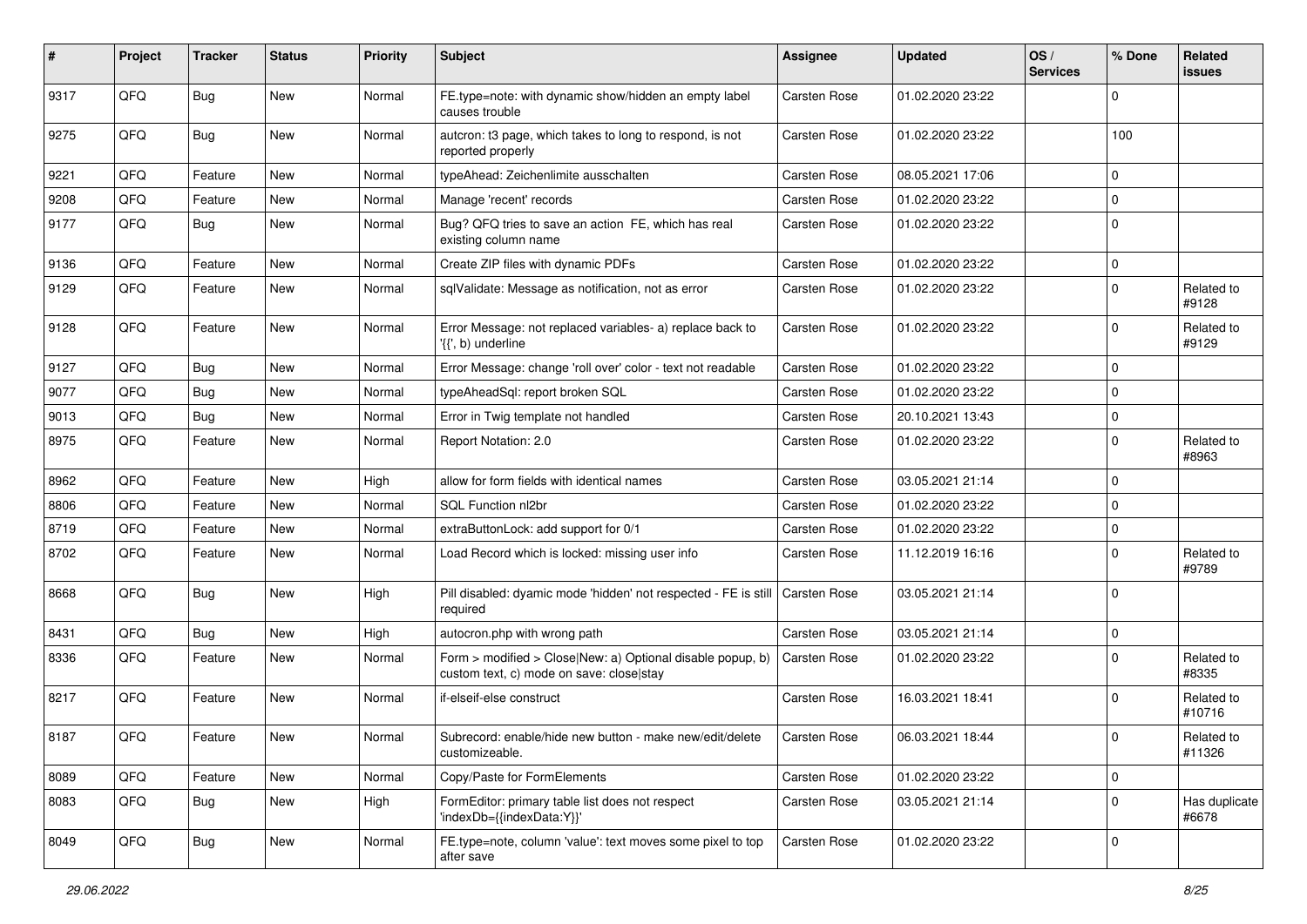| #    | Project        | <b>Tracker</b> | <b>Status</b> | <b>Priority</b> | <b>Subject</b>                                                                                         | Assignee            | <b>Updated</b>   | OS/<br><b>Services</b> | % Done      | Related<br>issues      |
|------|----------------|----------------|---------------|-----------------|--------------------------------------------------------------------------------------------------------|---------------------|------------------|------------------------|-------------|------------------------|
| 9317 | QFQ            | <b>Bug</b>     | <b>New</b>    | Normal          | FE.type=note: with dynamic show/hidden an empty label<br>causes trouble                                | <b>Carsten Rose</b> | 01.02.2020 23:22 |                        | $\Omega$    |                        |
| 9275 | QFQ            | Bug            | New           | Normal          | autcron: t3 page, which takes to long to respond, is not<br>reported properly                          | Carsten Rose        | 01.02.2020 23:22 |                        | 100         |                        |
| 9221 | QFQ            | Feature        | New           | Normal          | typeAhead: Zeichenlimite ausschalten                                                                   | Carsten Rose        | 08.05.2021 17:06 |                        | $\mathbf 0$ |                        |
| 9208 | QFQ            | Feature        | New           | Normal          | Manage 'recent' records                                                                                | Carsten Rose        | 01.02.2020 23:22 |                        | $\mathbf 0$ |                        |
| 9177 | QFQ            | <b>Bug</b>     | New           | Normal          | Bug? QFQ tries to save an action FE, which has real<br>existing column name                            | <b>Carsten Rose</b> | 01.02.2020 23:22 |                        | $\Omega$    |                        |
| 9136 | QFQ            | Feature        | New           | Normal          | Create ZIP files with dynamic PDFs                                                                     | Carsten Rose        | 01.02.2020 23:22 |                        | $\mathbf 0$ |                        |
| 9129 | QFQ            | Feature        | New           | Normal          | sqlValidate: Message as notification, not as error                                                     | <b>Carsten Rose</b> | 01.02.2020 23:22 |                        | 0           | Related to<br>#9128    |
| 9128 | QFQ            | Feature        | New           | Normal          | Error Message: not replaced variables- a) replace back to<br>'{{', b) underline                        | Carsten Rose        | 01.02.2020 23:22 |                        | $\mathbf 0$ | Related to<br>#9129    |
| 9127 | QFQ            | <b>Bug</b>     | <b>New</b>    | Normal          | Error Message: change 'roll over' color - text not readable                                            | Carsten Rose        | 01.02.2020 23:22 |                        | $\Omega$    |                        |
| 9077 | QFQ            | <b>Bug</b>     | <b>New</b>    | Normal          | typeAheadSql: report broken SQL                                                                        | Carsten Rose        | 01.02.2020 23:22 |                        | $\Omega$    |                        |
| 9013 | QFQ            | <b>Bug</b>     | New           | Normal          | Error in Twig template not handled                                                                     | <b>Carsten Rose</b> | 20.10.2021 13:43 |                        | $\mathbf 0$ |                        |
| 8975 | QFQ            | Feature        | New           | Normal          | Report Notation: 2.0                                                                                   | <b>Carsten Rose</b> | 01.02.2020 23:22 |                        | $\Omega$    | Related to<br>#8963    |
| 8962 | QFQ            | Feature        | New           | High            | allow for form fields with identical names                                                             | Carsten Rose        | 03.05.2021 21:14 |                        | $\Omega$    |                        |
| 8806 | QFQ            | Feature        | New           | Normal          | SQL Function nl2br                                                                                     | Carsten Rose        | 01.02.2020 23:22 |                        | $\Omega$    |                        |
| 8719 | QFQ            | Feature        | New           | Normal          | extraButtonLock: add support for 0/1                                                                   | <b>Carsten Rose</b> | 01.02.2020 23:22 |                        | $\mathbf 0$ |                        |
| 8702 | QFQ            | Feature        | New           | Normal          | Load Record which is locked: missing user info                                                         | Carsten Rose        | 11.12.2019 16:16 |                        | $\mathbf 0$ | Related to<br>#9789    |
| 8668 | QFQ            | <b>Bug</b>     | <b>New</b>    | High            | Pill disabled: dyamic mode 'hidden' not respected - FE is still<br>required                            | Carsten Rose        | 03.05.2021 21:14 |                        | $\Omega$    |                        |
| 8431 | QFQ            | <b>Bug</b>     | <b>New</b>    | High            | autocron.php with wrong path                                                                           | Carsten Rose        | 03.05.2021 21:14 |                        | $\mathbf 0$ |                        |
| 8336 | QFQ            | Feature        | New           | Normal          | Form > modified > Close New: a) Optional disable popup, b)<br>custom text, c) mode on save: close stay | Carsten Rose        | 01.02.2020 23:22 |                        | $\Omega$    | Related to<br>#8335    |
| 8217 | QFQ            | Feature        | New           | Normal          | if-elseif-else construct                                                                               | <b>Carsten Rose</b> | 16.03.2021 18:41 |                        | $\Omega$    | Related to<br>#10716   |
| 8187 | $\mathsf{QFQ}$ | Feature        | New           | Normal          | Subrecord: enable/hide new button - make new/edit/delete<br>customizeable.                             | Carsten Rose        | 06.03.2021 18:44 |                        | $\mathbf 0$ | Related to<br>#11326   |
| 8089 | QFQ            | Feature        | New           | Normal          | Copy/Paste for FormElements                                                                            | Carsten Rose        | 01.02.2020 23:22 |                        | 0           |                        |
| 8083 | QFQ            | <b>Bug</b>     | New           | High            | FormEditor: primary table list does not respect<br>'indexDb={{indexData:Y}}'                           | Carsten Rose        | 03.05.2021 21:14 |                        | $\Omega$    | Has duplicate<br>#6678 |
| 8049 | QFQ            | <b>Bug</b>     | New           | Normal          | FE.type=note, column 'value': text moves some pixel to top<br>after save                               | Carsten Rose        | 01.02.2020 23:22 |                        | $\mathbf 0$ |                        |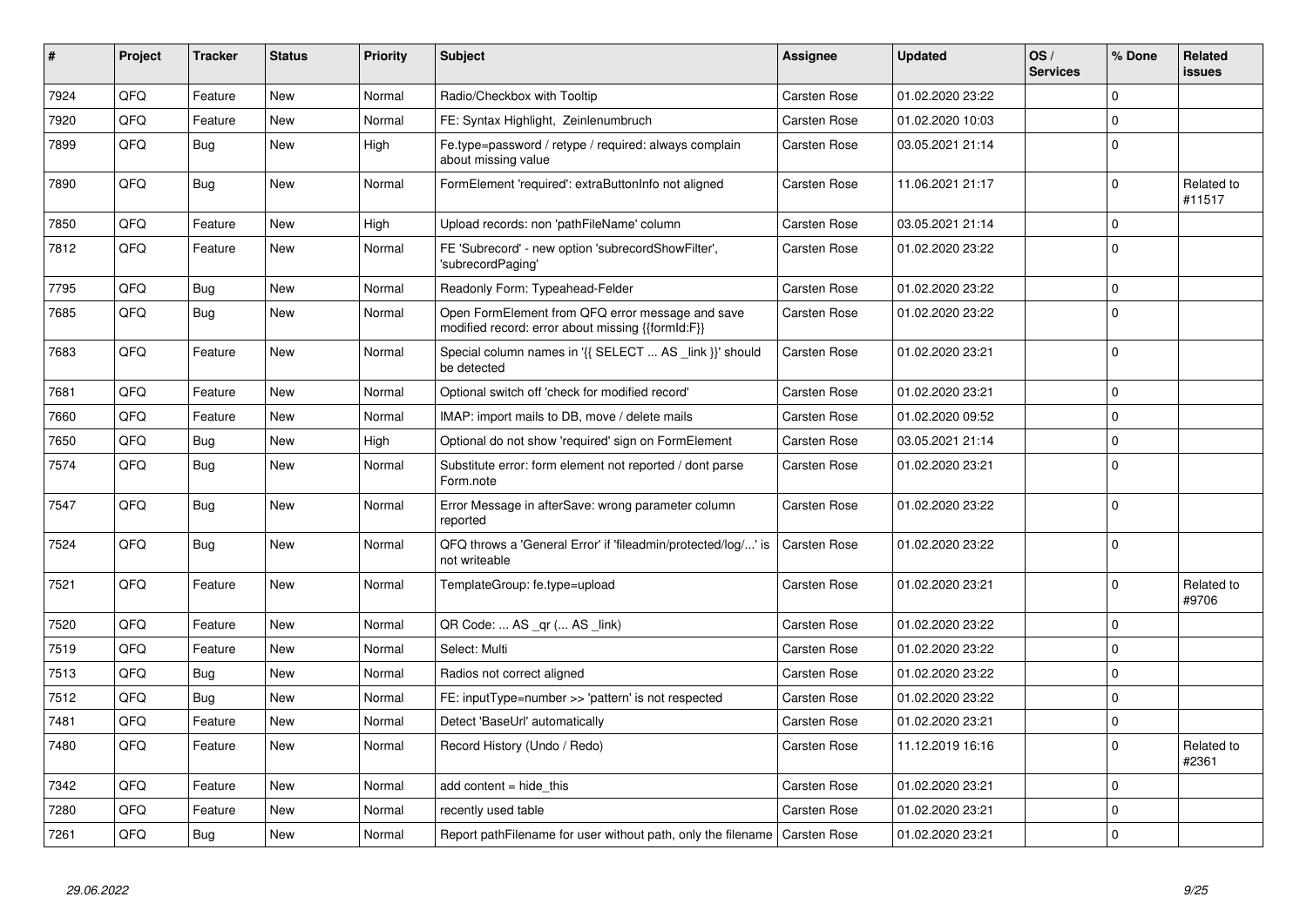| #    | Project | <b>Tracker</b> | <b>Status</b> | <b>Priority</b> | <b>Subject</b>                                                                                        | <b>Assignee</b>     | <b>Updated</b>   | OS/<br><b>Services</b> | % Done      | Related<br><b>issues</b> |
|------|---------|----------------|---------------|-----------------|-------------------------------------------------------------------------------------------------------|---------------------|------------------|------------------------|-------------|--------------------------|
| 7924 | QFQ     | Feature        | <b>New</b>    | Normal          | Radio/Checkbox with Tooltip                                                                           | Carsten Rose        | 01.02.2020 23:22 |                        | $\mathbf 0$ |                          |
| 7920 | QFQ     | Feature        | New           | Normal          | FE: Syntax Highlight, Zeinlenumbruch                                                                  | Carsten Rose        | 01.02.2020 10:03 |                        | $\Omega$    |                          |
| 7899 | QFQ     | <b>Bug</b>     | New           | High            | Fe.type=password / retype / required: always complain<br>about missing value                          | <b>Carsten Rose</b> | 03.05.2021 21:14 |                        | $\mathbf 0$ |                          |
| 7890 | QFQ     | <b>Bug</b>     | <b>New</b>    | Normal          | FormElement 'required': extraButtonInfo not aligned                                                   | <b>Carsten Rose</b> | 11.06.2021 21:17 |                        | $\Omega$    | Related to<br>#11517     |
| 7850 | QFQ     | Feature        | <b>New</b>    | High            | Upload records: non 'pathFileName' column                                                             | <b>Carsten Rose</b> | 03.05.2021 21:14 |                        | $\mathbf 0$ |                          |
| 7812 | QFQ     | Feature        | <b>New</b>    | Normal          | FE 'Subrecord' - new option 'subrecordShowFilter',<br>'subrecordPaging'                               | Carsten Rose        | 01.02.2020 23:22 |                        | $\Omega$    |                          |
| 7795 | QFQ     | Bug            | <b>New</b>    | Normal          | Readonly Form: Typeahead-Felder                                                                       | <b>Carsten Rose</b> | 01.02.2020 23:22 |                        | $\mathbf 0$ |                          |
| 7685 | QFQ     | Bug            | New           | Normal          | Open FormElement from QFQ error message and save<br>modified record: error about missing {{formId:F}} | <b>Carsten Rose</b> | 01.02.2020 23:22 |                        | $\Omega$    |                          |
| 7683 | QFQ     | Feature        | New           | Normal          | Special column names in '{{ SELECT  AS _link }}' should<br>be detected                                | Carsten Rose        | 01.02.2020 23:21 |                        | $\mathbf 0$ |                          |
| 7681 | QFQ     | Feature        | New           | Normal          | Optional switch off 'check for modified record'                                                       | Carsten Rose        | 01.02.2020 23:21 |                        | $\mathbf 0$ |                          |
| 7660 | QFQ     | Feature        | <b>New</b>    | Normal          | IMAP: import mails to DB, move / delete mails                                                         | Carsten Rose        | 01.02.2020 09:52 |                        | $\mathbf 0$ |                          |
| 7650 | QFQ     | <b>Bug</b>     | <b>New</b>    | High            | Optional do not show 'required' sign on FormElement                                                   | Carsten Rose        | 03.05.2021 21:14 |                        | $\mathbf 0$ |                          |
| 7574 | QFQ     | <b>Bug</b>     | <b>New</b>    | Normal          | Substitute error: form element not reported / dont parse<br>Form.note                                 | Carsten Rose        | 01.02.2020 23:21 |                        | $\mathbf 0$ |                          |
| 7547 | QFQ     | <b>Bug</b>     | <b>New</b>    | Normal          | Error Message in afterSave: wrong parameter column<br>reported                                        | <b>Carsten Rose</b> | 01.02.2020 23:22 |                        | $\Omega$    |                          |
| 7524 | QFQ     | <b>Bug</b>     | New           | Normal          | QFQ throws a 'General Error' if 'fileadmin/protected/log/' is<br>not writeable                        | Carsten Rose        | 01.02.2020 23:22 |                        | $\Omega$    |                          |
| 7521 | QFQ     | Feature        | New           | Normal          | TemplateGroup: fe.type=upload                                                                         | Carsten Rose        | 01.02.2020 23:21 |                        | $\mathbf 0$ | Related to<br>#9706      |
| 7520 | QFQ     | Feature        | New           | Normal          | QR Code:  AS _qr ( AS _link)                                                                          | Carsten Rose        | 01.02.2020 23:22 |                        | $\mathbf 0$ |                          |
| 7519 | QFQ     | Feature        | <b>New</b>    | Normal          | Select: Multi                                                                                         | Carsten Rose        | 01.02.2020 23:22 |                        | $\mathbf 0$ |                          |
| 7513 | QFQ     | Bug            | New           | Normal          | Radios not correct aligned                                                                            | <b>Carsten Rose</b> | 01.02.2020 23:22 |                        | $\mathbf 0$ |                          |
| 7512 | QFQ     | <b>Bug</b>     | New           | Normal          | FE: inputType=number >> 'pattern' is not respected                                                    | Carsten Rose        | 01.02.2020 23:22 |                        | $\pmb{0}$   |                          |
| 7481 | QFQ     | Feature        | New           | Normal          | Detect 'BaseUrl' automatically                                                                        | Carsten Rose        | 01.02.2020 23:21 |                        | 0           |                          |
| 7480 | QFQ     | Feature        | New           | Normal          | Record History (Undo / Redo)                                                                          | Carsten Rose        | 11.12.2019 16:16 |                        | $\pmb{0}$   | Related to<br>#2361      |
| 7342 | QFQ     | Feature        | New           | Normal          | add content = hide this                                                                               | Carsten Rose        | 01.02.2020 23:21 |                        | $\mathbf 0$ |                          |
| 7280 | QFQ     | Feature        | New           | Normal          | recently used table                                                                                   | <b>Carsten Rose</b> | 01.02.2020 23:21 |                        | $\mathbf 0$ |                          |
| 7261 | QFQ     | Bug            | New           | Normal          | Report pathFilename for user without path, only the filename   Carsten Rose                           |                     | 01.02.2020 23:21 |                        | $\mathbf 0$ |                          |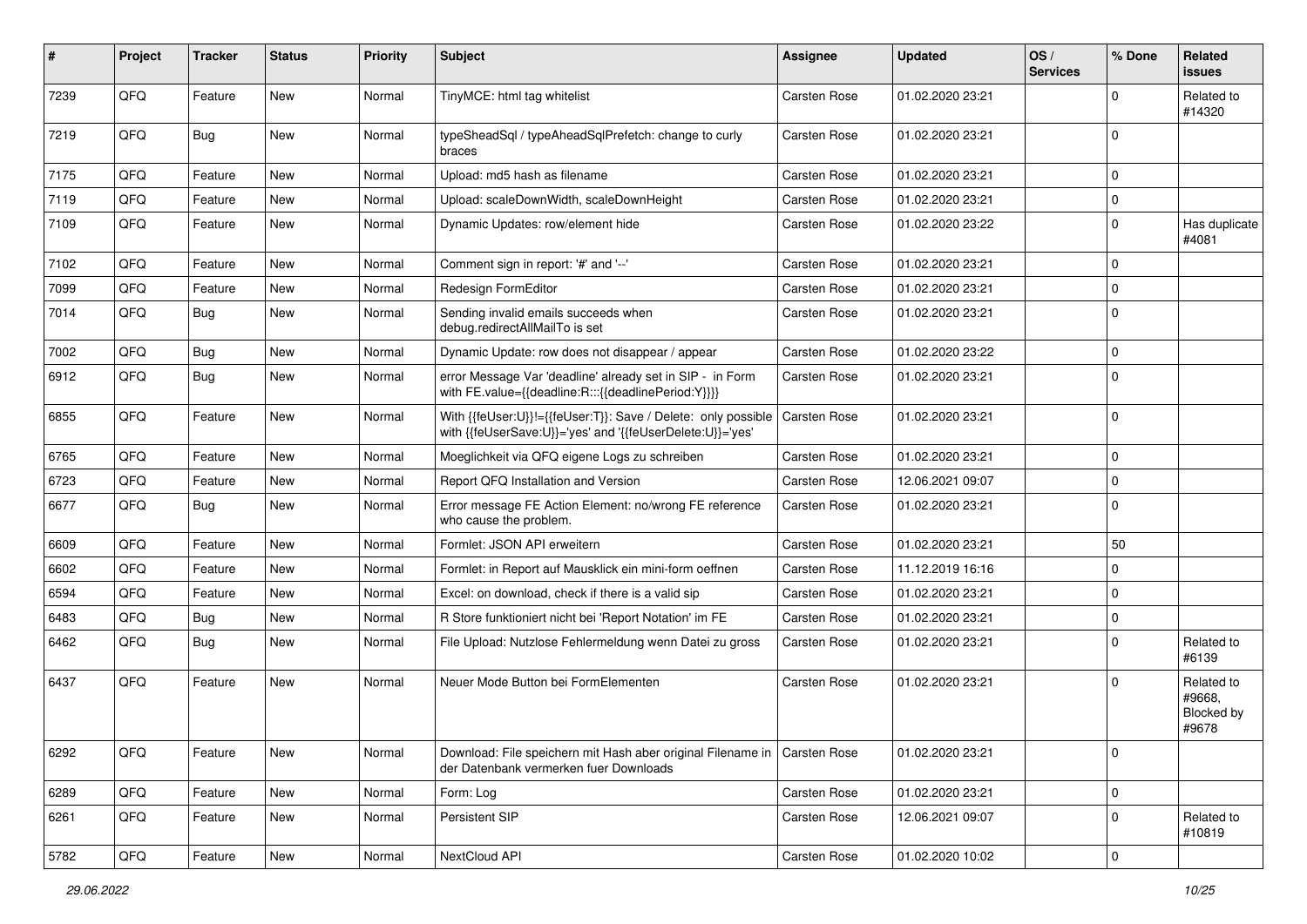| #    | Project | <b>Tracker</b> | <b>Status</b> | <b>Priority</b> | Subject                                                                                                                    | <b>Assignee</b>     | <b>Updated</b>   | OS/<br><b>Services</b> | % Done      | Related<br>issues                           |
|------|---------|----------------|---------------|-----------------|----------------------------------------------------------------------------------------------------------------------------|---------------------|------------------|------------------------|-------------|---------------------------------------------|
| 7239 | QFQ     | Feature        | New           | Normal          | TinyMCE: html tag whitelist                                                                                                | <b>Carsten Rose</b> | 01.02.2020 23:21 |                        | $\Omega$    | Related to<br>#14320                        |
| 7219 | QFQ     | Bug            | New           | Normal          | typeSheadSql / typeAheadSqlPrefetch: change to curly<br>braces                                                             | Carsten Rose        | 01.02.2020 23:21 |                        | $\Omega$    |                                             |
| 7175 | QFQ     | Feature        | <b>New</b>    | Normal          | Upload: md5 hash as filename                                                                                               | Carsten Rose        | 01.02.2020 23:21 |                        | $\Omega$    |                                             |
| 7119 | QFQ     | Feature        | New           | Normal          | Upload: scaleDownWidth, scaleDownHeight                                                                                    | Carsten Rose        | 01.02.2020 23:21 |                        | $\Omega$    |                                             |
| 7109 | QFQ     | Feature        | New           | Normal          | Dynamic Updates: row/element hide                                                                                          | Carsten Rose        | 01.02.2020 23:22 |                        | 0           | Has duplicate<br>#4081                      |
| 7102 | QFQ     | Feature        | New           | Normal          | Comment sign in report: '#' and '--'                                                                                       | Carsten Rose        | 01.02.2020 23:21 |                        | $\Omega$    |                                             |
| 7099 | QFQ     | Feature        | New           | Normal          | Redesign FormEditor                                                                                                        | Carsten Rose        | 01.02.2020 23:21 |                        | $\Omega$    |                                             |
| 7014 | QFQ     | Bug            | New           | Normal          | Sending invalid emails succeeds when<br>debug.redirectAllMailTo is set                                                     | Carsten Rose        | 01.02.2020 23:21 |                        | $\Omega$    |                                             |
| 7002 | QFQ     | <b>Bug</b>     | New           | Normal          | Dynamic Update: row does not disappear / appear                                                                            | Carsten Rose        | 01.02.2020 23:22 |                        | $\Omega$    |                                             |
| 6912 | QFQ     | <b>Bug</b>     | New           | Normal          | error Message Var 'deadline' already set in SIP - in Form<br>with FE.value={{deadline:R:::{{deadlinePeriod:Y}}}}           | Carsten Rose        | 01.02.2020 23:21 |                        | $\Omega$    |                                             |
| 6855 | QFQ     | Feature        | <b>New</b>    | Normal          | With {{feUser:U}}!={{feUser:T}}: Save / Delete: only possible<br>with {{feUserSave:U}}='yes' and '{{feUserDelete:U}}='yes' | Carsten Rose        | 01.02.2020 23:21 |                        | $\Omega$    |                                             |
| 6765 | QFQ     | Feature        | New           | Normal          | Moeglichkeit via QFQ eigene Logs zu schreiben                                                                              | Carsten Rose        | 01.02.2020 23:21 |                        | $\mathbf 0$ |                                             |
| 6723 | QFQ     | Feature        | New           | Normal          | Report QFQ Installation and Version                                                                                        | Carsten Rose        | 12.06.2021 09:07 |                        | $\Omega$    |                                             |
| 6677 | QFQ     | <b>Bug</b>     | New           | Normal          | Error message FE Action Element: no/wrong FE reference<br>who cause the problem.                                           | Carsten Rose        | 01.02.2020 23:21 |                        | $\Omega$    |                                             |
| 6609 | QFQ     | Feature        | <b>New</b>    | Normal          | Formlet: JSON API erweitern                                                                                                | Carsten Rose        | 01.02.2020 23:21 |                        | 50          |                                             |
| 6602 | QFQ     | Feature        | New           | Normal          | Formlet: in Report auf Mausklick ein mini-form oeffnen                                                                     | Carsten Rose        | 11.12.2019 16:16 |                        | $\Omega$    |                                             |
| 6594 | QFQ     | Feature        | New           | Normal          | Excel: on download, check if there is a valid sip                                                                          | Carsten Rose        | 01.02.2020 23:21 |                        | $\Omega$    |                                             |
| 6483 | QFQ     | <b>Bug</b>     | New           | Normal          | R Store funktioniert nicht bei 'Report Notation' im FE                                                                     | Carsten Rose        | 01.02.2020 23:21 |                        | $\Omega$    |                                             |
| 6462 | QFQ     | <b>Bug</b>     | New           | Normal          | File Upload: Nutzlose Fehlermeldung wenn Datei zu gross                                                                    | Carsten Rose        | 01.02.2020 23:21 |                        | $\Omega$    | Related to<br>#6139                         |
| 6437 | QFQ     | Feature        | New           | Normal          | Neuer Mode Button bei FormElementen                                                                                        | Carsten Rose        | 01.02.2020 23:21 |                        | $\Omega$    | Related to<br>#9668,<br>Blocked by<br>#9678 |
| 6292 | QFQ     | Feature        | New           | Normal          | Download: File speichern mit Hash aber original Filename in   Carsten Rose<br>der Datenbank vermerken fuer Downloads       |                     | 01.02.2020 23:21 |                        | $\mathbf 0$ |                                             |
| 6289 | QFQ     | Feature        | New           | Normal          | Form: Log                                                                                                                  | Carsten Rose        | 01.02.2020 23:21 |                        | 0           |                                             |
| 6261 | QFQ     | Feature        | New           | Normal          | Persistent SIP                                                                                                             | Carsten Rose        | 12.06.2021 09:07 |                        | 0           | Related to<br>#10819                        |
| 5782 | QFQ     | Feature        | New           | Normal          | NextCloud API                                                                                                              | Carsten Rose        | 01.02.2020 10:02 |                        | $\pmb{0}$   |                                             |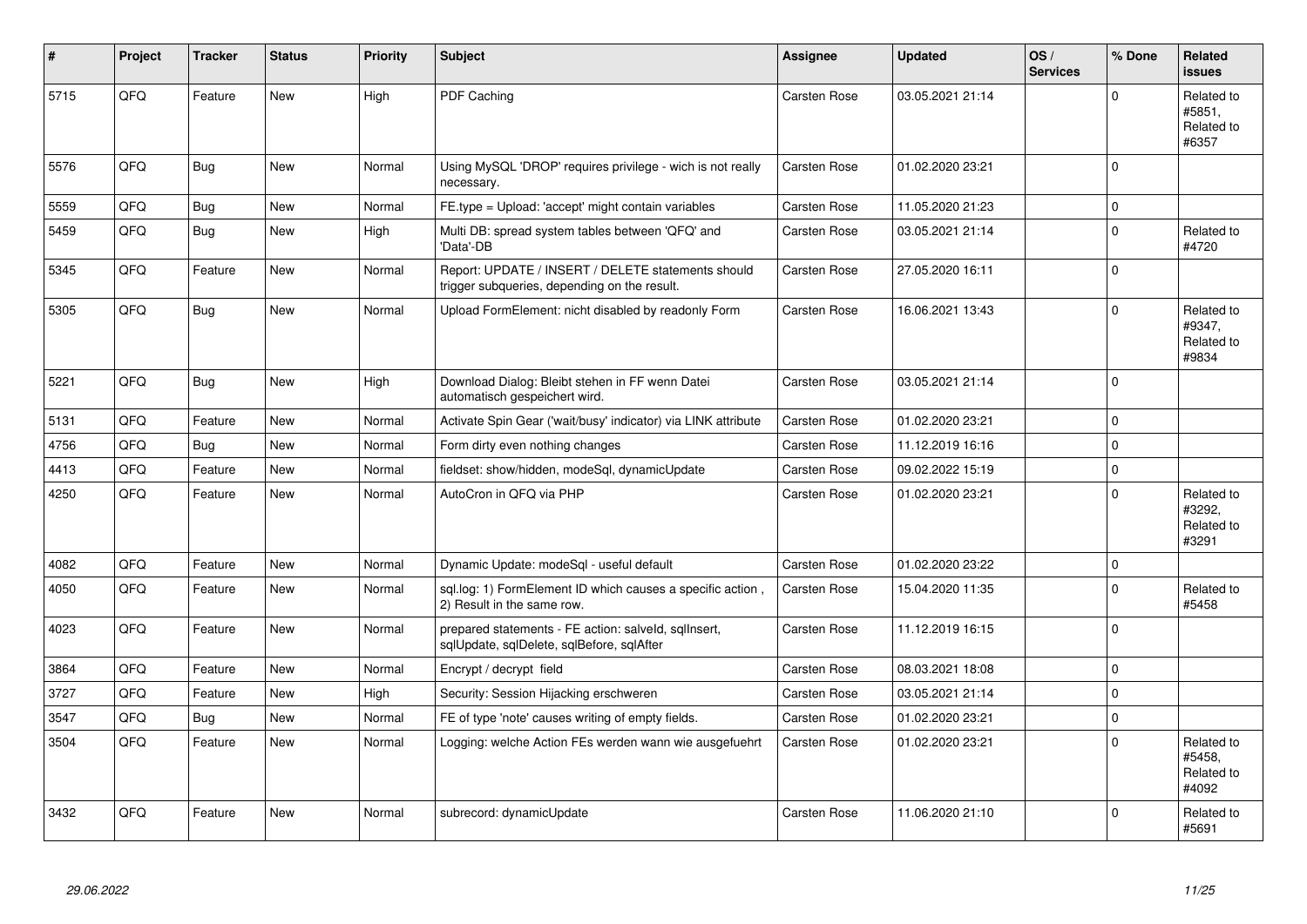| $\vert$ # | Project | <b>Tracker</b> | <b>Status</b> | <b>Priority</b> | Subject                                                                                            | Assignee            | <b>Updated</b>   | OS/<br><b>Services</b> | % Done      | Related<br><b>issues</b>                    |
|-----------|---------|----------------|---------------|-----------------|----------------------------------------------------------------------------------------------------|---------------------|------------------|------------------------|-------------|---------------------------------------------|
| 5715      | QFQ     | Feature        | <b>New</b>    | High            | PDF Caching                                                                                        | Carsten Rose        | 03.05.2021 21:14 |                        | $\Omega$    | Related to<br>#5851,<br>Related to<br>#6357 |
| 5576      | QFQ     | Bug            | <b>New</b>    | Normal          | Using MySQL 'DROP' requires privilege - wich is not really<br>necessary.                           | <b>Carsten Rose</b> | 01.02.2020 23:21 |                        | $\mathbf 0$ |                                             |
| 5559      | QFQ     | <b>Bug</b>     | <b>New</b>    | Normal          | FE.type = Upload: 'accept' might contain variables                                                 | Carsten Rose        | 11.05.2020 21:23 |                        | $\mathbf 0$ |                                             |
| 5459      | QFQ     | <b>Bug</b>     | New           | High            | Multi DB: spread system tables between 'QFQ' and<br>'Data'-DB                                      | <b>Carsten Rose</b> | 03.05.2021 21:14 |                        | $\mathbf 0$ | Related to<br>#4720                         |
| 5345      | QFQ     | Feature        | <b>New</b>    | Normal          | Report: UPDATE / INSERT / DELETE statements should<br>trigger subqueries, depending on the result. | Carsten Rose        | 27.05.2020 16:11 |                        | $\mathbf 0$ |                                             |
| 5305      | QFQ     | Bug            | <b>New</b>    | Normal          | Upload FormElement: nicht disabled by readonly Form                                                | <b>Carsten Rose</b> | 16.06.2021 13:43 |                        | $\mathbf 0$ | Related to<br>#9347,<br>Related to<br>#9834 |
| 5221      | QFQ     | <b>Bug</b>     | <b>New</b>    | High            | Download Dialog: Bleibt stehen in FF wenn Datei<br>automatisch gespeichert wird.                   | Carsten Rose        | 03.05.2021 21:14 |                        | $\Omega$    |                                             |
| 5131      | QFQ     | Feature        | New           | Normal          | Activate Spin Gear ('wait/busy' indicator) via LINK attribute                                      | <b>Carsten Rose</b> | 01.02.2020 23:21 |                        | $\pmb{0}$   |                                             |
| 4756      | QFQ     | <b>Bug</b>     | New           | Normal          | Form dirty even nothing changes                                                                    | Carsten Rose        | 11.12.2019 16:16 |                        | $\pmb{0}$   |                                             |
| 4413      | QFQ     | Feature        | New           | Normal          | fieldset: show/hidden, modeSql, dynamicUpdate                                                      | Carsten Rose        | 09.02.2022 15:19 |                        | $\pmb{0}$   |                                             |
| 4250      | QFQ     | Feature        | <b>New</b>    | Normal          | AutoCron in QFQ via PHP                                                                            | Carsten Rose        | 01.02.2020 23:21 |                        | $\mathbf 0$ | Related to<br>#3292.<br>Related to<br>#3291 |
| 4082      | QFQ     | Feature        | <b>New</b>    | Normal          | Dynamic Update: modeSql - useful default                                                           | Carsten Rose        | 01.02.2020 23:22 |                        | $\mathbf 0$ |                                             |
| 4050      | QFQ     | Feature        | New           | Normal          | sql.log: 1) FormElement ID which causes a specific action<br>2) Result in the same row.            | Carsten Rose        | 15.04.2020 11:35 |                        | $\pmb{0}$   | Related to<br>#5458                         |
| 4023      | QFQ     | Feature        | New           | Normal          | prepared statements - FE action: salveld, sqlInsert,<br>sqlUpdate, sqlDelete, sqlBefore, sqlAfter  | Carsten Rose        | 11.12.2019 16:15 |                        | $\Omega$    |                                             |
| 3864      | QFQ     | Feature        | New           | Normal          | Encrypt / decrypt field                                                                            | Carsten Rose        | 08.03.2021 18:08 |                        | $\mathbf 0$ |                                             |
| 3727      | QFQ     | Feature        | <b>New</b>    | High            | Security: Session Hijacking erschweren                                                             | Carsten Rose        | 03.05.2021 21:14 |                        | $\mathbf 0$ |                                             |
| 3547      | QFQ     | Bug            | New           | Normal          | FE of type 'note' causes writing of empty fields.                                                  | Carsten Rose        | 01.02.2020 23:21 |                        | $\pmb{0}$   |                                             |
| 3504      | QFQ     | Feature        | <b>New</b>    | Normal          | Logging: welche Action FEs werden wann wie ausgefuehrt                                             | Carsten Rose        | 01.02.2020 23:21 |                        | $\mathbf 0$ | Related to<br>#5458.<br>Related to<br>#4092 |
| 3432      | QFQ     | Feature        | New           | Normal          | subrecord: dynamicUpdate                                                                           | Carsten Rose        | 11.06.2020 21:10 |                        | $\Omega$    | Related to<br>#5691                         |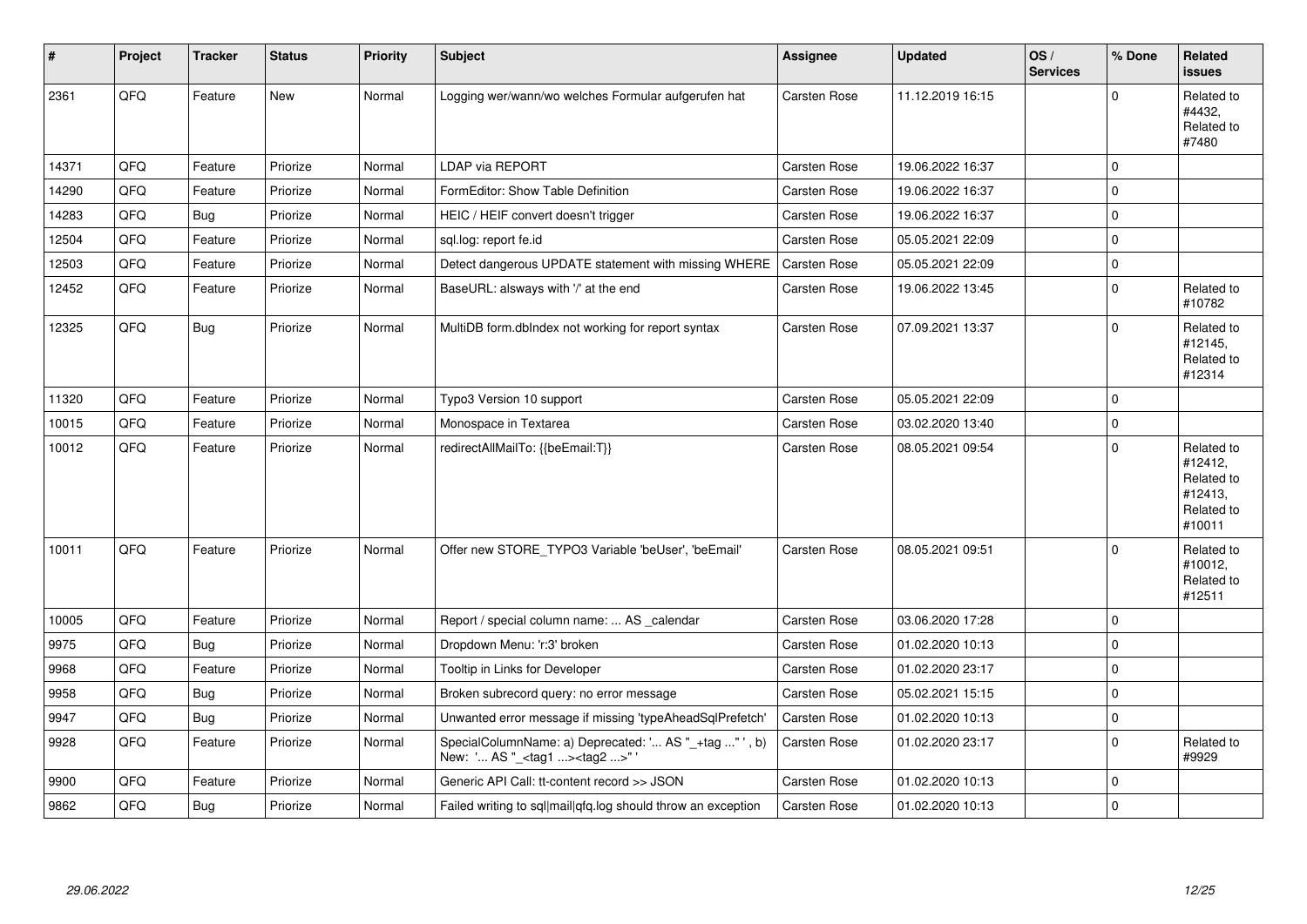| $\vert$ # | Project | <b>Tracker</b> | <b>Status</b> | <b>Priority</b> | <b>Subject</b>                                                                                     | Assignee            | <b>Updated</b>   | OS/<br><b>Services</b> | % Done       | Related<br><b>issues</b>                                               |
|-----------|---------|----------------|---------------|-----------------|----------------------------------------------------------------------------------------------------|---------------------|------------------|------------------------|--------------|------------------------------------------------------------------------|
| 2361      | QFQ     | Feature        | <b>New</b>    | Normal          | Logging wer/wann/wo welches Formular aufgerufen hat                                                | Carsten Rose        | 11.12.2019 16:15 |                        | $\Omega$     | Related to<br>#4432,<br>Related to<br>#7480                            |
| 14371     | QFQ     | Feature        | Priorize      | Normal          | <b>LDAP via REPORT</b>                                                                             | Carsten Rose        | 19.06.2022 16:37 |                        | $\mathbf 0$  |                                                                        |
| 14290     | QFQ     | Feature        | Priorize      | Normal          | FormEditor: Show Table Definition                                                                  | Carsten Rose        | 19.06.2022 16:37 |                        | $\mathbf 0$  |                                                                        |
| 14283     | QFQ     | Bug            | Priorize      | Normal          | HEIC / HEIF convert doesn't trigger                                                                | Carsten Rose        | 19.06.2022 16:37 |                        | $\mathbf 0$  |                                                                        |
| 12504     | QFQ     | Feature        | Priorize      | Normal          | sql.log: report fe.id                                                                              | Carsten Rose        | 05.05.2021 22:09 |                        | $\mathbf 0$  |                                                                        |
| 12503     | QFQ     | Feature        | Priorize      | Normal          | Detect dangerous UPDATE statement with missing WHERE                                               | <b>Carsten Rose</b> | 05.05.2021 22:09 |                        | $\mathbf 0$  |                                                                        |
| 12452     | QFQ     | Feature        | Priorize      | Normal          | BaseURL: alsways with '/' at the end                                                               | <b>Carsten Rose</b> | 19.06.2022 13:45 |                        | $\Omega$     | Related to<br>#10782                                                   |
| 12325     | QFQ     | <b>Bug</b>     | Priorize      | Normal          | MultiDB form.dblndex not working for report syntax                                                 | Carsten Rose        | 07.09.2021 13:37 |                        | $\mathbf 0$  | Related to<br>#12145,<br>Related to<br>#12314                          |
| 11320     | QFQ     | Feature        | Priorize      | Normal          | Typo3 Version 10 support                                                                           | Carsten Rose        | 05.05.2021 22:09 |                        | $\mathbf 0$  |                                                                        |
| 10015     | QFQ     | Feature        | Priorize      | Normal          | Monospace in Textarea                                                                              | Carsten Rose        | 03.02.2020 13:40 |                        | $\mathbf{0}$ |                                                                        |
| 10012     | QFQ     | Feature        | Priorize      | Normal          | redirectAllMailTo: {{beEmail:T}}                                                                   | Carsten Rose        | 08.05.2021 09:54 |                        | $\mathbf 0$  | Related to<br>#12412,<br>Related to<br>#12413,<br>Related to<br>#10011 |
| 10011     | QFQ     | Feature        | Priorize      | Normal          | Offer new STORE_TYPO3 Variable 'beUser', 'beEmail'                                                 | <b>Carsten Rose</b> | 08.05.2021 09:51 |                        | $\Omega$     | Related to<br>#10012,<br>Related to<br>#12511                          |
| 10005     | QFQ     | Feature        | Priorize      | Normal          | Report / special column name:  AS _calendar                                                        | <b>Carsten Rose</b> | 03.06.2020 17:28 |                        | $\mathbf 0$  |                                                                        |
| 9975      | QFQ     | <b>Bug</b>     | Priorize      | Normal          | Dropdown Menu: 'r:3' broken                                                                        | Carsten Rose        | 01.02.2020 10:13 |                        | $\mathbf 0$  |                                                                        |
| 9968      | QFQ     | Feature        | Priorize      | Normal          | Tooltip in Links for Developer                                                                     | Carsten Rose        | 01.02.2020 23:17 |                        | $\mathbf 0$  |                                                                        |
| 9958      | QFQ     | <b>Bug</b>     | Priorize      | Normal          | Broken subrecord query: no error message                                                           | Carsten Rose        | 05.02.2021 15:15 |                        | $\mathbf 0$  |                                                                        |
| 9947      | QFQ     | <b>Bug</b>     | Priorize      | Normal          | Unwanted error message if missing 'typeAheadSqlPrefetch'                                           | Carsten Rose        | 01.02.2020 10:13 |                        | $\mathbf 0$  |                                                                        |
| 9928      | QFQ     | Feature        | Priorize      | Normal          | SpecialColumnName: a) Deprecated: ' AS "_+tag " ' , b)<br>New: ' AS "_ <tag1><tag2>"</tag2></tag1> | Carsten Rose        | 01.02.2020 23:17 |                        | $\mathbf 0$  | Related to<br>#9929                                                    |
| 9900      | QFQ     | Feature        | Priorize      | Normal          | Generic API Call: tt-content record >> JSON                                                        | Carsten Rose        | 01.02.2020 10:13 |                        | $\mathbf 0$  |                                                                        |
| 9862      | QFQ     | <b>Bug</b>     | Priorize      | Normal          | Failed writing to sql mail qfq.log should throw an exception                                       | Carsten Rose        | 01.02.2020 10:13 |                        | $\mathbf 0$  |                                                                        |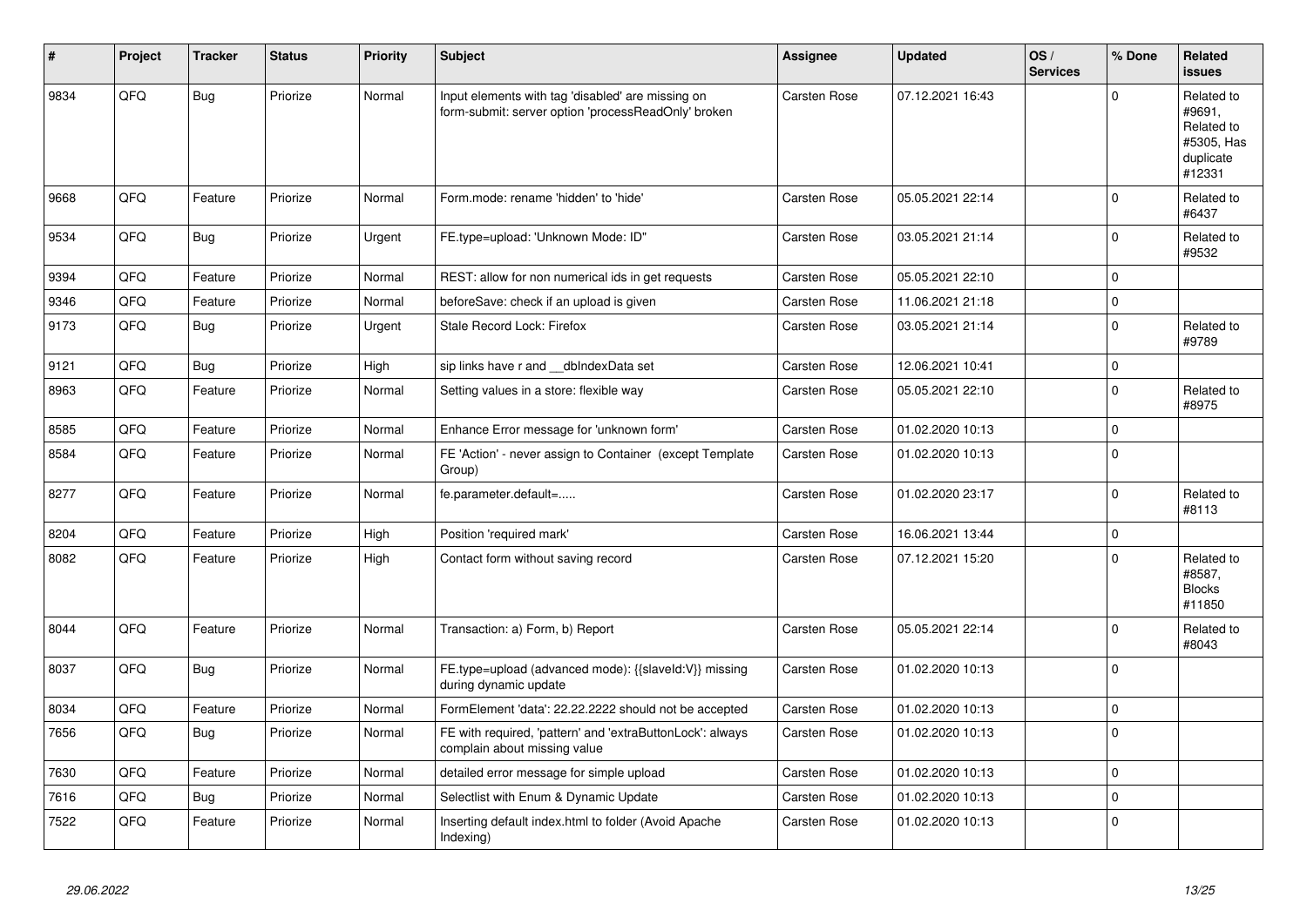| #    | Project | <b>Tracker</b> | <b>Status</b> | <b>Priority</b> | <b>Subject</b>                                                                                           | <b>Assignee</b>     | <b>Updated</b>   | OS/<br><b>Services</b> | % Done   | Related<br><b>issues</b>                                                |
|------|---------|----------------|---------------|-----------------|----------------------------------------------------------------------------------------------------------|---------------------|------------------|------------------------|----------|-------------------------------------------------------------------------|
| 9834 | QFQ     | <b>Bug</b>     | Priorize      | Normal          | Input elements with tag 'disabled' are missing on<br>form-submit: server option 'processReadOnly' broken | Carsten Rose        | 07.12.2021 16:43 |                        | $\Omega$ | Related to<br>#9691,<br>Related to<br>#5305, Has<br>duplicate<br>#12331 |
| 9668 | QFQ     | Feature        | Priorize      | Normal          | Form.mode: rename 'hidden' to 'hide'                                                                     | Carsten Rose        | 05.05.2021 22:14 |                        | $\Omega$ | Related to<br>#6437                                                     |
| 9534 | QFQ     | <b>Bug</b>     | Priorize      | Urgent          | FE.type=upload: 'Unknown Mode: ID"                                                                       | <b>Carsten Rose</b> | 03.05.2021 21:14 |                        | $\Omega$ | Related to<br>#9532                                                     |
| 9394 | QFQ     | Feature        | Priorize      | Normal          | REST: allow for non numerical ids in get requests                                                        | Carsten Rose        | 05.05.2021 22:10 |                        | $\Omega$ |                                                                         |
| 9346 | QFQ     | Feature        | Priorize      | Normal          | beforeSave: check if an upload is given                                                                  | Carsten Rose        | 11.06.2021 21:18 |                        | 0        |                                                                         |
| 9173 | QFQ     | <b>Bug</b>     | Priorize      | Urgent          | Stale Record Lock: Firefox                                                                               | <b>Carsten Rose</b> | 03.05.2021 21:14 |                        | $\Omega$ | Related to<br>#9789                                                     |
| 9121 | QFQ     | <b>Bug</b>     | Priorize      | High            | sip links have r and __dbIndexData set                                                                   | Carsten Rose        | 12.06.2021 10:41 |                        | $\Omega$ |                                                                         |
| 8963 | QFQ     | Feature        | Priorize      | Normal          | Setting values in a store: flexible way                                                                  | Carsten Rose        | 05.05.2021 22:10 |                        | $\Omega$ | Related to<br>#8975                                                     |
| 8585 | QFQ     | Feature        | Priorize      | Normal          | Enhance Error message for 'unknown form'                                                                 | <b>Carsten Rose</b> | 01.02.2020 10:13 |                        | $\Omega$ |                                                                         |
| 8584 | QFQ     | Feature        | Priorize      | Normal          | FE 'Action' - never assign to Container (except Template<br>Group)                                       | Carsten Rose        | 01.02.2020 10:13 |                        | $\Omega$ |                                                                         |
| 8277 | QFQ     | Feature        | Priorize      | Normal          | fe.parameter.default=                                                                                    | Carsten Rose        | 01.02.2020 23:17 |                        | $\Omega$ | Related to<br>#8113                                                     |
| 8204 | QFQ     | Feature        | Priorize      | High            | Position 'required mark'                                                                                 | Carsten Rose        | 16.06.2021 13:44 |                        | 0        |                                                                         |
| 8082 | QFQ     | Feature        | Priorize      | High            | Contact form without saving record                                                                       | Carsten Rose        | 07.12.2021 15:20 |                        | $\Omega$ | Related to<br>#8587,<br><b>Blocks</b><br>#11850                         |
| 8044 | QFQ     | Feature        | Priorize      | Normal          | Transaction: a) Form, b) Report                                                                          | Carsten Rose        | 05.05.2021 22:14 |                        | $\Omega$ | Related to<br>#8043                                                     |
| 8037 | QFQ     | <b>Bug</b>     | Priorize      | Normal          | FE.type=upload (advanced mode): {{slaveld:V}} missing<br>during dynamic update                           | Carsten Rose        | 01.02.2020 10:13 |                        | $\Omega$ |                                                                         |
| 8034 | QFQ     | Feature        | Priorize      | Normal          | FormElement 'data': 22.22.2222 should not be accepted                                                    | Carsten Rose        | 01.02.2020 10:13 |                        | $\Omega$ |                                                                         |
| 7656 | QFQ     | <b>Bug</b>     | Priorize      | Normal          | FE with required, 'pattern' and 'extraButtonLock': always<br>complain about missing value                | Carsten Rose        | 01.02.2020 10:13 |                        | $\Omega$ |                                                                         |
| 7630 | QFQ     | Feature        | Priorize      | Normal          | detailed error message for simple upload                                                                 | Carsten Rose        | 01.02.2020 10:13 |                        | $\Omega$ |                                                                         |
| 7616 | QFQ     | Bug            | Priorize      | Normal          | Selectlist with Enum & Dynamic Update                                                                    | Carsten Rose        | 01.02.2020 10:13 |                        | $\Omega$ |                                                                         |
| 7522 | QFQ     | Feature        | Priorize      | Normal          | Inserting default index.html to folder (Avoid Apache<br>Indexing)                                        | Carsten Rose        | 01.02.2020 10:13 |                        | $\Omega$ |                                                                         |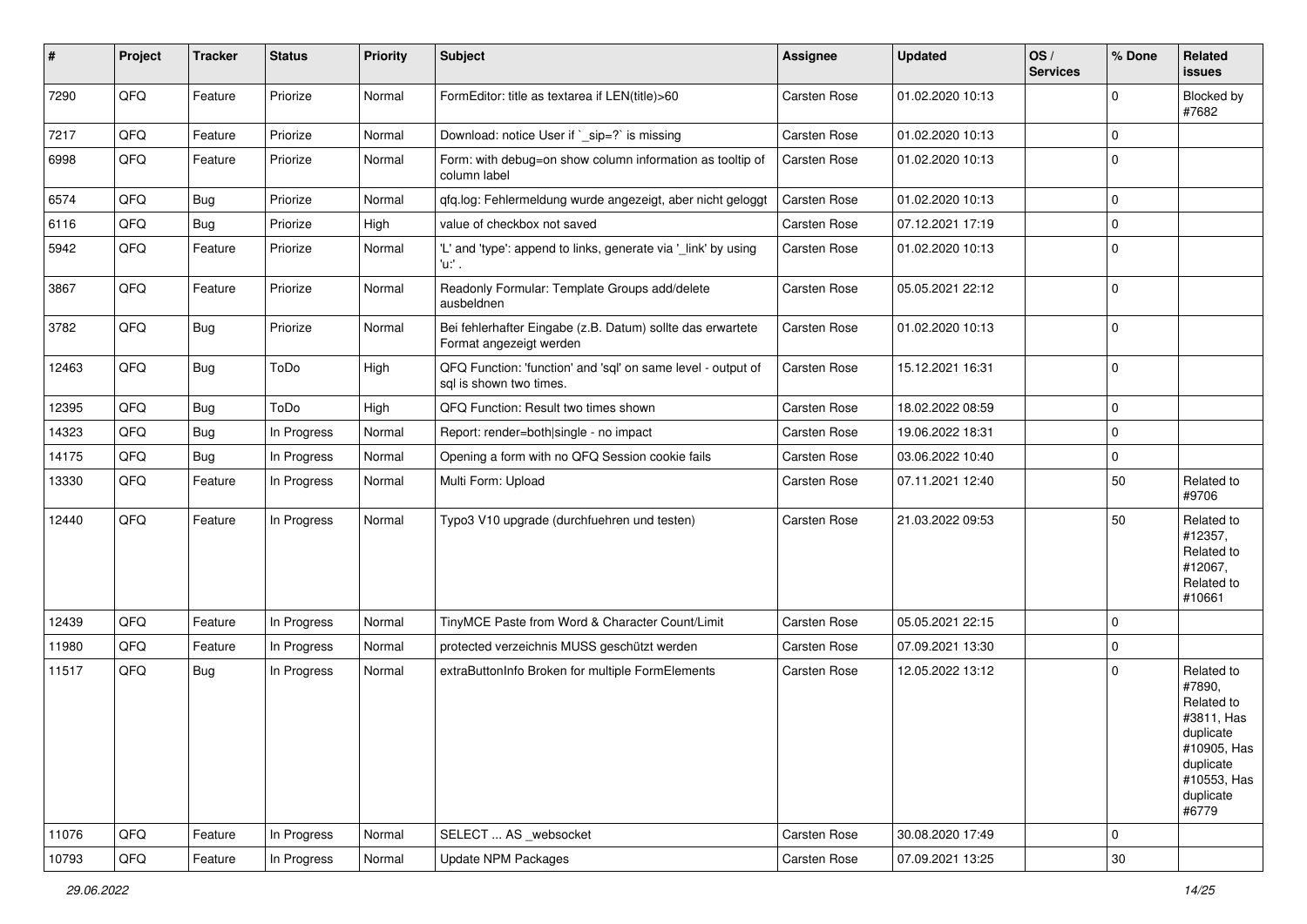| #     | Project | <b>Tracker</b> | <b>Status</b> | <b>Priority</b> | <b>Subject</b>                                                                          | <b>Assignee</b>     | <b>Updated</b>   | OS/<br><b>Services</b> | % Done   | Related<br>issues                                                                                                              |
|-------|---------|----------------|---------------|-----------------|-----------------------------------------------------------------------------------------|---------------------|------------------|------------------------|----------|--------------------------------------------------------------------------------------------------------------------------------|
| 7290  | QFQ     | Feature        | Priorize      | Normal          | FormEditor: title as textarea if LEN(title)>60                                          | Carsten Rose        | 01.02.2020 10:13 |                        | $\Omega$ | Blocked by<br>#7682                                                                                                            |
| 7217  | QFQ     | Feature        | Priorize      | Normal          | Download: notice User if `_sip=?` is missing                                            | Carsten Rose        | 01.02.2020 10:13 |                        | $\Omega$ |                                                                                                                                |
| 6998  | QFQ     | Feature        | Priorize      | Normal          | Form: with debug=on show column information as tooltip of<br>column label               | Carsten Rose        | 01.02.2020 10:13 |                        | $\Omega$ |                                                                                                                                |
| 6574  | QFQ     | <b>Bug</b>     | Priorize      | Normal          | qfq.log: Fehlermeldung wurde angezeigt, aber nicht geloggt                              | Carsten Rose        | 01.02.2020 10:13 |                        | $\Omega$ |                                                                                                                                |
| 6116  | QFQ     | <b>Bug</b>     | Priorize      | High            | value of checkbox not saved                                                             | Carsten Rose        | 07.12.2021 17:19 |                        | $\Omega$ |                                                                                                                                |
| 5942  | QFQ     | Feature        | Priorize      | Normal          | 'L' and 'type': append to links, generate via '_link' by using<br>'u:' .                | Carsten Rose        | 01.02.2020 10:13 |                        | $\Omega$ |                                                                                                                                |
| 3867  | QFQ     | Feature        | Priorize      | Normal          | Readonly Formular: Template Groups add/delete<br>ausbeldnen                             | Carsten Rose        | 05.05.2021 22:12 |                        | $\Omega$ |                                                                                                                                |
| 3782  | QFQ     | <b>Bug</b>     | Priorize      | Normal          | Bei fehlerhafter Eingabe (z.B. Datum) sollte das erwartete<br>Format angezeigt werden   | Carsten Rose        | 01.02.2020 10:13 |                        | $\Omega$ |                                                                                                                                |
| 12463 | QFQ     | <b>Bug</b>     | ToDo          | High            | QFQ Function: 'function' and 'sql' on same level - output of<br>sal is shown two times. | Carsten Rose        | 15.12.2021 16:31 |                        | $\Omega$ |                                                                                                                                |
| 12395 | QFQ     | <b>Bug</b>     | ToDo          | High            | QFQ Function: Result two times shown                                                    | Carsten Rose        | 18.02.2022 08:59 |                        | $\Omega$ |                                                                                                                                |
| 14323 | QFQ     | <b>Bug</b>     | In Progress   | Normal          | Report: render=both single - no impact                                                  | Carsten Rose        | 19.06.2022 18:31 |                        | $\Omega$ |                                                                                                                                |
| 14175 | QFQ     | <b>Bug</b>     | In Progress   | Normal          | Opening a form with no QFQ Session cookie fails                                         | Carsten Rose        | 03.06.2022 10:40 |                        | 0        |                                                                                                                                |
| 13330 | QFQ     | Feature        | In Progress   | Normal          | Multi Form: Upload                                                                      | Carsten Rose        | 07.11.2021 12:40 |                        | 50       | Related to<br>#9706                                                                                                            |
| 12440 | QFQ     | Feature        | In Progress   | Normal          | Typo3 V10 upgrade (durchfuehren und testen)                                             | Carsten Rose        | 21.03.2022 09:53 |                        | 50       | Related to<br>#12357,<br>Related to<br>#12067,<br>Related to<br>#10661                                                         |
| 12439 | QFQ     | Feature        | In Progress   | Normal          | TinyMCE Paste from Word & Character Count/Limit                                         | <b>Carsten Rose</b> | 05.05.2021 22:15 |                        | $\Omega$ |                                                                                                                                |
| 11980 | QFQ     | Feature        | In Progress   | Normal          | protected verzeichnis MUSS geschützt werden                                             | Carsten Rose        | 07.09.2021 13:30 |                        | $\Omega$ |                                                                                                                                |
| 11517 | QFQ     | <b>Bug</b>     | In Progress   | Normal          | extraButtonInfo Broken for multiple FormElements                                        | Carsten Rose        | 12.05.2022 13:12 |                        | $\Omega$ | Related to<br>#7890,<br>Related to<br>#3811, Has<br>duplicate<br>#10905, Has<br>duplicate<br>#10553, Has<br>duplicate<br>#6779 |
| 11076 | QFQ     | Feature        | In Progress   | Normal          | SELECT  AS _websocket                                                                   | Carsten Rose        | 30.08.2020 17:49 |                        | $\Omega$ |                                                                                                                                |
| 10793 | QFQ     | Feature        | In Progress   | Normal          | <b>Update NPM Packages</b>                                                              | Carsten Rose        | 07.09.2021 13:25 |                        | $30\,$   |                                                                                                                                |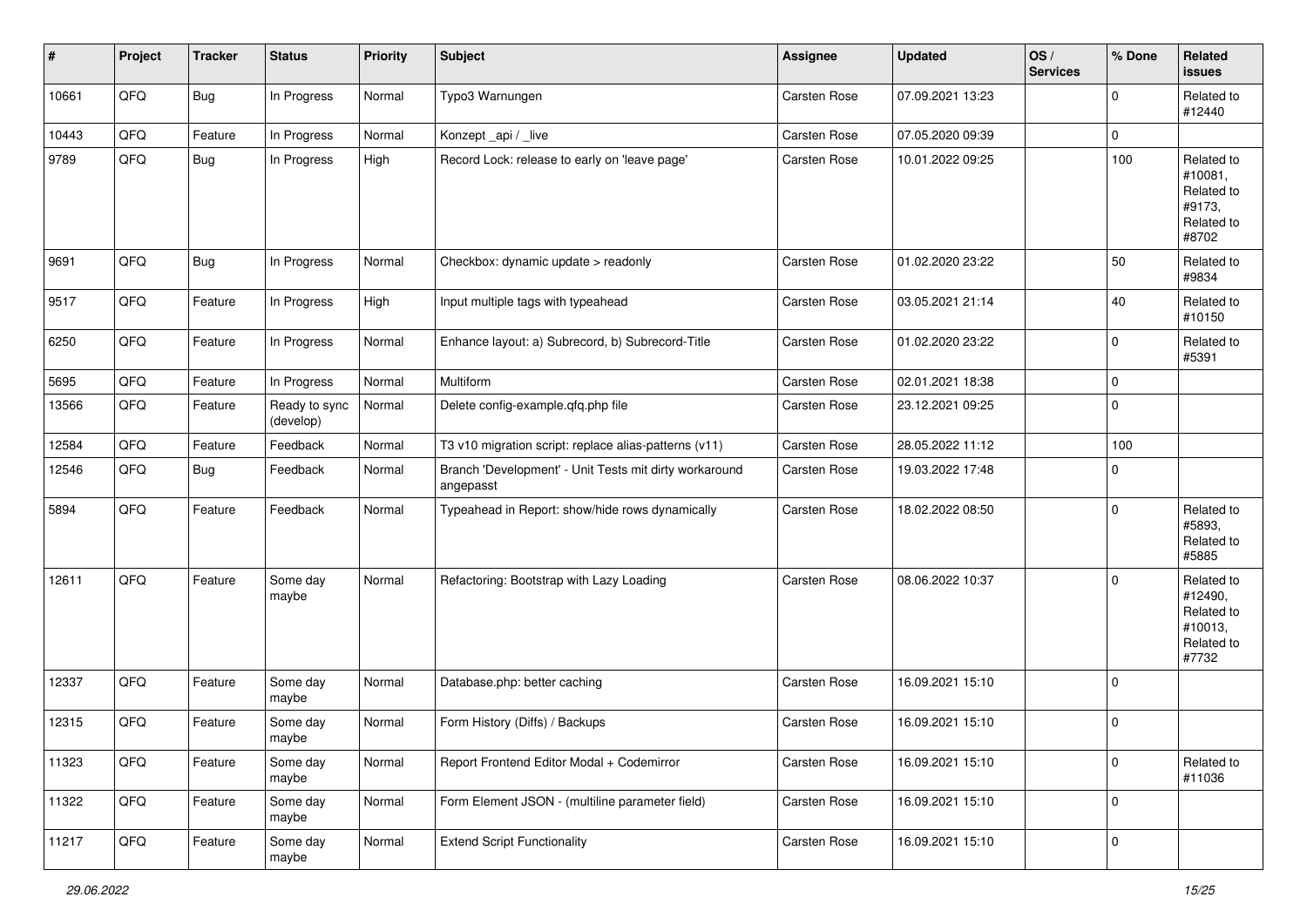| #     | Project | <b>Tracker</b> | <b>Status</b>              | <b>Priority</b> | <b>Subject</b>                                                      | <b>Assignee</b>     | <b>Updated</b>   | OS/<br><b>Services</b> | % Done      | Related<br>issues                                                     |
|-------|---------|----------------|----------------------------|-----------------|---------------------------------------------------------------------|---------------------|------------------|------------------------|-------------|-----------------------------------------------------------------------|
| 10661 | QFQ     | <b>Bug</b>     | In Progress                | Normal          | Typo3 Warnungen                                                     | <b>Carsten Rose</b> | 07.09.2021 13:23 |                        | $\Omega$    | Related to<br>#12440                                                  |
| 10443 | QFQ     | Feature        | In Progress                | Normal          | Konzept_api / _live                                                 | <b>Carsten Rose</b> | 07.05.2020 09:39 |                        | 0           |                                                                       |
| 9789  | QFQ     | Bug            | In Progress                | High            | Record Lock: release to early on 'leave page'                       | <b>Carsten Rose</b> | 10.01.2022 09:25 |                        | 100         | Related to<br>#10081,<br>Related to<br>#9173,<br>Related to<br>#8702  |
| 9691  | QFQ     | <b>Bug</b>     | In Progress                | Normal          | Checkbox: dynamic update > readonly                                 | <b>Carsten Rose</b> | 01.02.2020 23:22 |                        | 50          | Related to<br>#9834                                                   |
| 9517  | QFQ     | Feature        | In Progress                | High            | Input multiple tags with typeahead                                  | <b>Carsten Rose</b> | 03.05.2021 21:14 |                        | 40          | Related to<br>#10150                                                  |
| 6250  | QFQ     | Feature        | In Progress                | Normal          | Enhance layout: a) Subrecord, b) Subrecord-Title                    | <b>Carsten Rose</b> | 01.02.2020 23:22 |                        | 0           | Related to<br>#5391                                                   |
| 5695  | QFQ     | Feature        | In Progress                | Normal          | <b>Multiform</b>                                                    | Carsten Rose        | 02.01.2021 18:38 |                        | 0           |                                                                       |
| 13566 | QFQ     | Feature        | Ready to sync<br>(develop) | Normal          | Delete config-example.qfq.php file                                  | Carsten Rose        | 23.12.2021 09:25 |                        | $\mathbf 0$ |                                                                       |
| 12584 | QFQ     | Feature        | Feedback                   | Normal          | T3 v10 migration script: replace alias-patterns (v11)               | Carsten Rose        | 28.05.2022 11:12 |                        | 100         |                                                                       |
| 12546 | QFQ     | Bug            | Feedback                   | Normal          | Branch 'Development' - Unit Tests mit dirty workaround<br>angepasst | Carsten Rose        | 19.03.2022 17:48 |                        | $\mathbf 0$ |                                                                       |
| 5894  | QFQ     | Feature        | Feedback                   | Normal          | Typeahead in Report: show/hide rows dynamically                     | <b>Carsten Rose</b> | 18.02.2022 08:50 |                        | 0           | Related to<br>#5893.<br>Related to<br>#5885                           |
| 12611 | QFQ     | Feature        | Some day<br>maybe          | Normal          | Refactoring: Bootstrap with Lazy Loading                            | <b>Carsten Rose</b> | 08.06.2022 10:37 |                        | $\Omega$    | Related to<br>#12490,<br>Related to<br>#10013,<br>Related to<br>#7732 |
| 12337 | QFQ     | Feature        | Some day<br>maybe          | Normal          | Database.php: better caching                                        | <b>Carsten Rose</b> | 16.09.2021 15:10 |                        | $\Omega$    |                                                                       |
| 12315 | QFQ     | Feature        | Some day<br>maybe          | Normal          | Form History (Diffs) / Backups                                      | Carsten Rose        | 16.09.2021 15:10 |                        | $\mathbf 0$ |                                                                       |
| 11323 | QFQ     | Feature        | Some day<br>maybe          | Normal          | Report Frontend Editor Modal + Codemirror                           | Carsten Rose        | 16.09.2021 15:10 |                        | 0           | Related to<br>#11036                                                  |
| 11322 | QFG     | Feature        | Some day<br>maybe          | Normal          | Form Element JSON - (multiline parameter field)                     | Carsten Rose        | 16.09.2021 15:10 |                        | 0           |                                                                       |
| 11217 | QFG     | Feature        | Some day<br>maybe          | Normal          | <b>Extend Script Functionality</b>                                  | Carsten Rose        | 16.09.2021 15:10 |                        | $\pmb{0}$   |                                                                       |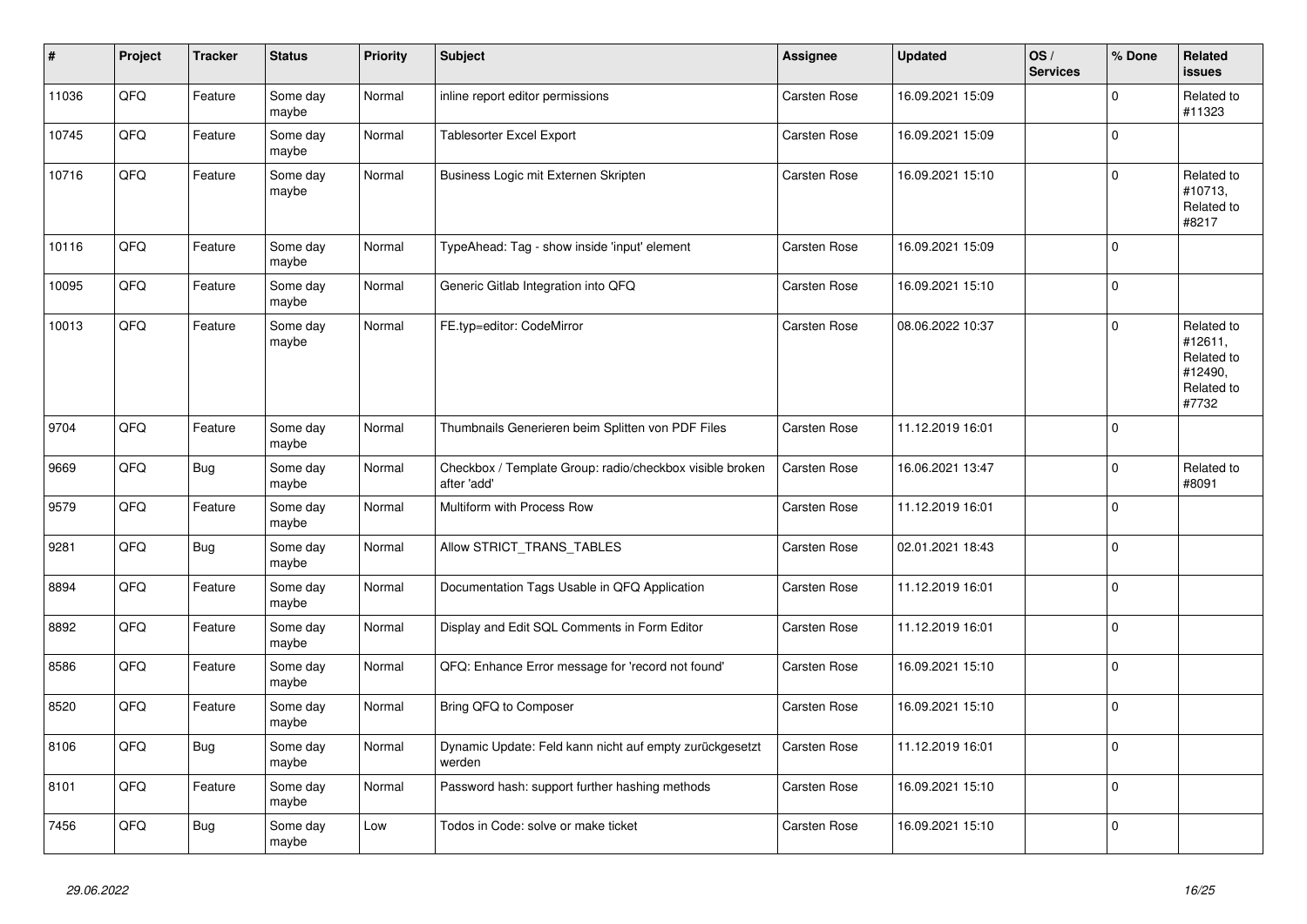| #     | Project | <b>Tracker</b> | <b>Status</b>     | <b>Priority</b> | <b>Subject</b>                                                          | <b>Assignee</b>     | <b>Updated</b>   | OS/<br><b>Services</b> | % Done      | Related<br><b>issues</b>                                              |
|-------|---------|----------------|-------------------|-----------------|-------------------------------------------------------------------------|---------------------|------------------|------------------------|-------------|-----------------------------------------------------------------------|
| 11036 | QFQ     | Feature        | Some day<br>maybe | Normal          | inline report editor permissions                                        | <b>Carsten Rose</b> | 16.09.2021 15:09 |                        | $\mathbf 0$ | Related to<br>#11323                                                  |
| 10745 | QFQ     | Feature        | Some day<br>maybe | Normal          | Tablesorter Excel Export                                                | Carsten Rose        | 16.09.2021 15:09 |                        | $\pmb{0}$   |                                                                       |
| 10716 | QFQ     | Feature        | Some day<br>maybe | Normal          | Business Logic mit Externen Skripten                                    | Carsten Rose        | 16.09.2021 15:10 |                        | $\Omega$    | Related to<br>#10713,<br>Related to<br>#8217                          |
| 10116 | QFQ     | Feature        | Some day<br>maybe | Normal          | TypeAhead: Tag - show inside 'input' element                            | Carsten Rose        | 16.09.2021 15:09 |                        | $\mathbf 0$ |                                                                       |
| 10095 | QFQ     | Feature        | Some day<br>maybe | Normal          | Generic Gitlab Integration into QFQ                                     | Carsten Rose        | 16.09.2021 15:10 |                        | $\pmb{0}$   |                                                                       |
| 10013 | QFQ     | Feature        | Some day<br>maybe | Normal          | FE.typ=editor: CodeMirror                                               | Carsten Rose        | 08.06.2022 10:37 |                        | $\Omega$    | Related to<br>#12611,<br>Related to<br>#12490,<br>Related to<br>#7732 |
| 9704  | QFQ     | Feature        | Some day<br>maybe | Normal          | Thumbnails Generieren beim Splitten von PDF Files                       | Carsten Rose        | 11.12.2019 16:01 |                        | $\mathbf 0$ |                                                                       |
| 9669  | QFQ     | <b>Bug</b>     | Some day<br>maybe | Normal          | Checkbox / Template Group: radio/checkbox visible broken<br>after 'add' | Carsten Rose        | 16.06.2021 13:47 |                        | $\Omega$    | Related to<br>#8091                                                   |
| 9579  | QFQ     | Feature        | Some day<br>maybe | Normal          | Multiform with Process Row                                              | Carsten Rose        | 11.12.2019 16:01 |                        | $\mathbf 0$ |                                                                       |
| 9281  | QFQ     | <b>Bug</b>     | Some day<br>maybe | Normal          | Allow STRICT_TRANS_TABLES                                               | Carsten Rose        | 02.01.2021 18:43 |                        | $\Omega$    |                                                                       |
| 8894  | QFQ     | Feature        | Some day<br>maybe | Normal          | Documentation Tags Usable in QFQ Application                            | Carsten Rose        | 11.12.2019 16:01 |                        | $\mathbf 0$ |                                                                       |
| 8892  | QFQ     | Feature        | Some day<br>maybe | Normal          | Display and Edit SQL Comments in Form Editor                            | Carsten Rose        | 11.12.2019 16:01 |                        | $\mathbf 0$ |                                                                       |
| 8586  | QFQ     | Feature        | Some day<br>maybe | Normal          | QFQ: Enhance Error message for 'record not found'                       | Carsten Rose        | 16.09.2021 15:10 |                        | $\mathbf 0$ |                                                                       |
| 8520  | QFQ     | Feature        | Some day<br>maybe | Normal          | Bring QFQ to Composer                                                   | Carsten Rose        | 16.09.2021 15:10 |                        | $\mathbf 0$ |                                                                       |
| 8106  | QFQ     | <b>Bug</b>     | Some day<br>maybe | Normal          | Dynamic Update: Feld kann nicht auf empty zurückgesetzt<br>werden       | Carsten Rose        | 11.12.2019 16:01 |                        | $\mathbf 0$ |                                                                       |
| 8101  | QFQ     | Feature        | Some day<br>maybe | Normal          | Password hash: support further hashing methods                          | Carsten Rose        | 16.09.2021 15:10 |                        | $\mathbf 0$ |                                                                       |
| 7456  | QFQ     | Bug            | Some day<br>maybe | Low             | Todos in Code: solve or make ticket                                     | Carsten Rose        | 16.09.2021 15:10 |                        | $\pmb{0}$   |                                                                       |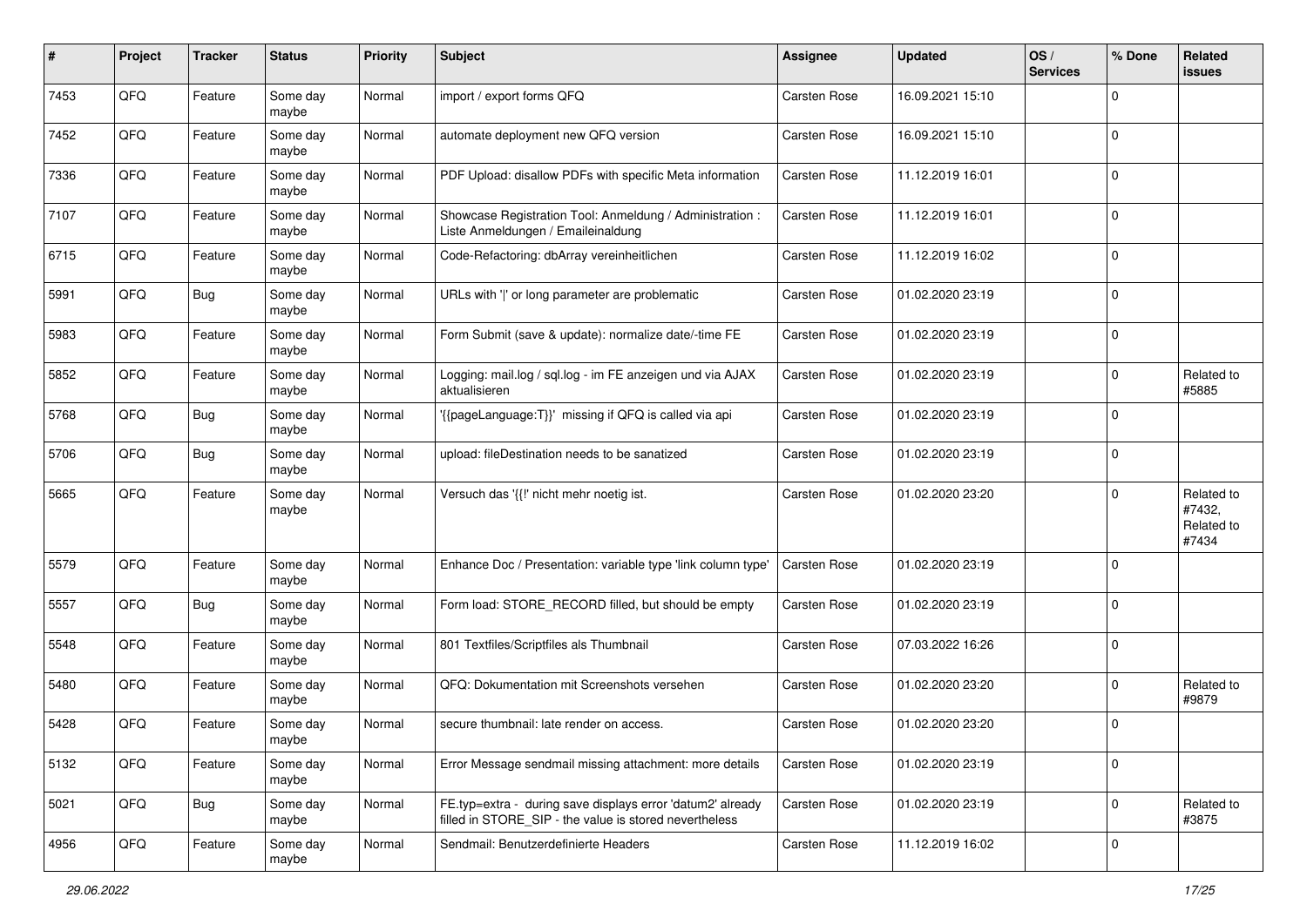| #    | Project | <b>Tracker</b> | <b>Status</b>     | <b>Priority</b> | Subject                                                                                                              | <b>Assignee</b>     | <b>Updated</b>   | OS/<br><b>Services</b> | % Done      | Related<br>issues                           |
|------|---------|----------------|-------------------|-----------------|----------------------------------------------------------------------------------------------------------------------|---------------------|------------------|------------------------|-------------|---------------------------------------------|
| 7453 | QFQ     | Feature        | Some day<br>maybe | Normal          | import / export forms QFQ                                                                                            | <b>Carsten Rose</b> | 16.09.2021 15:10 |                        | $\Omega$    |                                             |
| 7452 | QFQ     | Feature        | Some day<br>maybe | Normal          | automate deployment new QFQ version                                                                                  | Carsten Rose        | 16.09.2021 15:10 |                        | 0           |                                             |
| 7336 | QFQ     | Feature        | Some day<br>maybe | Normal          | PDF Upload: disallow PDFs with specific Meta information                                                             | Carsten Rose        | 11.12.2019 16:01 |                        | 0           |                                             |
| 7107 | QFQ     | Feature        | Some day<br>maybe | Normal          | Showcase Registration Tool: Anmeldung / Administration :<br>Liste Anmeldungen / Emaileinaldung                       | Carsten Rose        | 11.12.2019 16:01 |                        | 0           |                                             |
| 6715 | QFQ     | Feature        | Some day<br>maybe | Normal          | Code-Refactoring: dbArray vereinheitlichen                                                                           | Carsten Rose        | 11.12.2019 16:02 |                        | $\mathbf 0$ |                                             |
| 5991 | QFQ     | <b>Bug</b>     | Some day<br>maybe | Normal          | URLs with ' ' or long parameter are problematic                                                                      | Carsten Rose        | 01.02.2020 23:19 |                        | $\mathbf 0$ |                                             |
| 5983 | QFQ     | Feature        | Some day<br>maybe | Normal          | Form Submit (save & update): normalize date/-time FE                                                                 | Carsten Rose        | 01.02.2020 23:19 |                        | $\mathbf 0$ |                                             |
| 5852 | QFQ     | Feature        | Some day<br>maybe | Normal          | Logging: mail.log / sql.log - im FE anzeigen und via AJAX<br>aktualisieren                                           | Carsten Rose        | 01.02.2020 23:19 |                        | $\Omega$    | Related to<br>#5885                         |
| 5768 | QFQ     | <b>Bug</b>     | Some day<br>maybe | Normal          | '{{pageLanguage:T}}' missing if QFQ is called via api                                                                | Carsten Rose        | 01.02.2020 23:19 |                        | 0           |                                             |
| 5706 | QFQ     | <b>Bug</b>     | Some day<br>maybe | Normal          | upload: fileDestination needs to be sanatized                                                                        | Carsten Rose        | 01.02.2020 23:19 |                        | 0           |                                             |
| 5665 | QFQ     | Feature        | Some day<br>maybe | Normal          | Versuch das '{{!' nicht mehr noetig ist.                                                                             | Carsten Rose        | 01.02.2020 23:20 |                        | $\mathbf 0$ | Related to<br>#7432,<br>Related to<br>#7434 |
| 5579 | QFQ     | Feature        | Some day<br>maybe | Normal          | Enhance Doc / Presentation: variable type 'link column type'                                                         | Carsten Rose        | 01.02.2020 23:19 |                        | $\mathbf 0$ |                                             |
| 5557 | QFQ     | <b>Bug</b>     | Some day<br>maybe | Normal          | Form load: STORE_RECORD filled, but should be empty                                                                  | Carsten Rose        | 01.02.2020 23:19 |                        | $\mathbf 0$ |                                             |
| 5548 | QFQ     | Feature        | Some day<br>maybe | Normal          | 801 Textfiles/Scriptfiles als Thumbnail                                                                              | Carsten Rose        | 07.03.2022 16:26 |                        | $\mathbf 0$ |                                             |
| 5480 | QFQ     | Feature        | Some day<br>maybe | Normal          | QFQ: Dokumentation mit Screenshots versehen                                                                          | Carsten Rose        | 01.02.2020 23:20 |                        | 0           | Related to<br>#9879                         |
| 5428 | QFQ     | Feature        | Some day<br>maybe | Normal          | secure thumbnail: late render on access.                                                                             | Carsten Rose        | 01.02.2020 23:20 |                        | $\mathbf 0$ |                                             |
| 5132 | QFQ     | Feature        | Some day<br>maybe | Normal          | Error Message sendmail missing attachment: more details                                                              | Carsten Rose        | 01.02.2020 23:19 |                        | $\mathbf 0$ |                                             |
| 5021 | QFQ     | <b>Bug</b>     | Some day<br>maybe | Normal          | FE.typ=extra - during save displays error 'datum2' already<br>filled in STORE SIP - the value is stored nevertheless | Carsten Rose        | 01.02.2020 23:19 |                        | $\mathbf 0$ | Related to<br>#3875                         |
| 4956 | QFQ     | Feature        | Some day<br>maybe | Normal          | Sendmail: Benutzerdefinierte Headers                                                                                 | Carsten Rose        | 11.12.2019 16:02 |                        | $\mathbf 0$ |                                             |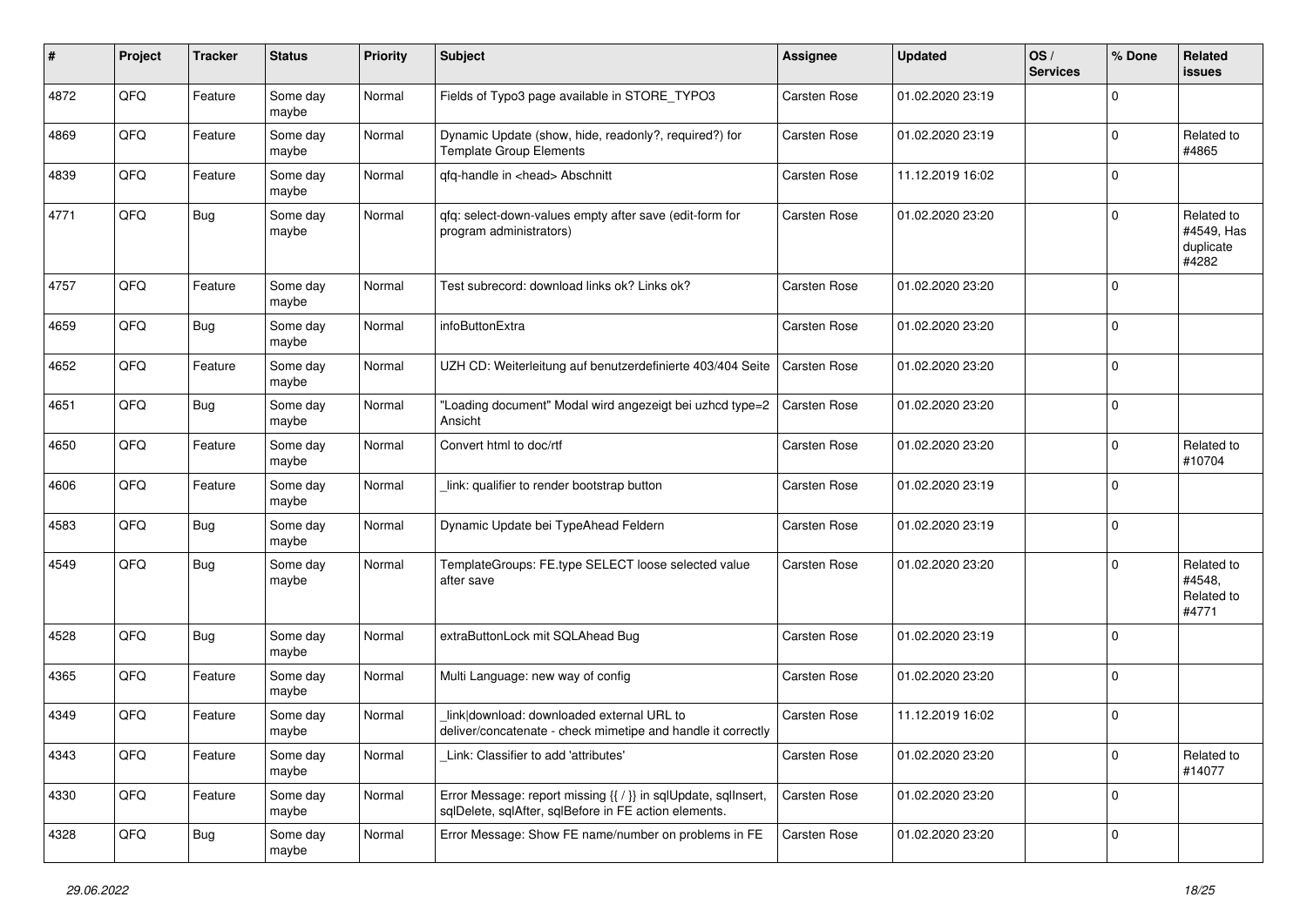| #    | Project | <b>Tracker</b> | <b>Status</b>     | <b>Priority</b> | <b>Subject</b>                                                                                                          | <b>Assignee</b>     | <b>Updated</b>   | OS/<br><b>Services</b> | % Done      | Related<br>issues                              |
|------|---------|----------------|-------------------|-----------------|-------------------------------------------------------------------------------------------------------------------------|---------------------|------------------|------------------------|-------------|------------------------------------------------|
| 4872 | QFQ     | Feature        | Some day<br>maybe | Normal          | Fields of Typo3 page available in STORE_TYPO3                                                                           | Carsten Rose        | 01.02.2020 23:19 |                        | $\Omega$    |                                                |
| 4869 | QFQ     | Feature        | Some day<br>maybe | Normal          | Dynamic Update (show, hide, readonly?, required?) for<br><b>Template Group Elements</b>                                 | Carsten Rose        | 01.02.2020 23:19 |                        | $\mathbf 0$ | Related to<br>#4865                            |
| 4839 | QFQ     | Feature        | Some day<br>maybe | Normal          | qfq-handle in <head> Abschnitt</head>                                                                                   | Carsten Rose        | 11.12.2019 16:02 |                        | $\Omega$    |                                                |
| 4771 | QFQ     | <b>Bug</b>     | Some day<br>maybe | Normal          | qfq: select-down-values empty after save (edit-form for<br>program administrators)                                      | Carsten Rose        | 01.02.2020 23:20 |                        | $\mathbf 0$ | Related to<br>#4549, Has<br>duplicate<br>#4282 |
| 4757 | QFQ     | Feature        | Some day<br>maybe | Normal          | Test subrecord: download links ok? Links ok?                                                                            | Carsten Rose        | 01.02.2020 23:20 |                        | $\Omega$    |                                                |
| 4659 | QFQ     | Bug            | Some day<br>maybe | Normal          | infoButtonExtra                                                                                                         | Carsten Rose        | 01.02.2020 23:20 |                        | 0           |                                                |
| 4652 | QFQ     | Feature        | Some day<br>maybe | Normal          | UZH CD: Weiterleitung auf benutzerdefinierte 403/404 Seite                                                              | <b>Carsten Rose</b> | 01.02.2020 23:20 |                        | $\Omega$    |                                                |
| 4651 | QFQ     | Bug            | Some day<br>maybe | Normal          | 'Loading document" Modal wird angezeigt bei uzhcd type=2<br>Ansicht                                                     | Carsten Rose        | 01.02.2020 23:20 |                        | $\mathbf 0$ |                                                |
| 4650 | QFQ     | Feature        | Some day<br>maybe | Normal          | Convert html to doc/rtf                                                                                                 | <b>Carsten Rose</b> | 01.02.2020 23:20 |                        | $\mathbf 0$ | Related to<br>#10704                           |
| 4606 | QFQ     | Feature        | Some day<br>maybe | Normal          | link: qualifier to render bootstrap button                                                                              | Carsten Rose        | 01.02.2020 23:19 |                        | $\mathbf 0$ |                                                |
| 4583 | QFQ     | Bug            | Some day<br>maybe | Normal          | Dynamic Update bei TypeAhead Feldern                                                                                    | Carsten Rose        | 01.02.2020 23:19 |                        | $\mathbf 0$ |                                                |
| 4549 | QFQ     | Bug            | Some day<br>maybe | Normal          | TemplateGroups: FE.type SELECT loose selected value<br>after save                                                       | Carsten Rose        | 01.02.2020 23:20 |                        | $\Omega$    | Related to<br>#4548,<br>Related to<br>#4771    |
| 4528 | QFQ     | Bug            | Some day<br>maybe | Normal          | extraButtonLock mit SQLAhead Bug                                                                                        | Carsten Rose        | 01.02.2020 23:19 |                        | $\Omega$    |                                                |
| 4365 | QFQ     | Feature        | Some day<br>maybe | Normal          | Multi Language: new way of config                                                                                       | Carsten Rose        | 01.02.2020 23:20 |                        | $\mathbf 0$ |                                                |
| 4349 | QFQ     | Feature        | Some day<br>maybe | Normal          | link download: downloaded external URL to<br>deliver/concatenate - check mimetipe and handle it correctly               | <b>Carsten Rose</b> | 11.12.2019 16:02 |                        | $\mathbf 0$ |                                                |
| 4343 | QFQ     | Feature        | Some day<br>maybe | Normal          | Link: Classifier to add 'attributes'                                                                                    | Carsten Rose        | 01.02.2020 23:20 |                        | $\mathbf 0$ | Related to<br>#14077                           |
| 4330 | QFQ     | Feature        | Some day<br>maybe | Normal          | Error Message: report missing {{ / }} in sqlUpdate, sqlInsert,<br>sqlDelete, sqlAfter, sqlBefore in FE action elements. | Carsten Rose        | 01.02.2020 23:20 |                        | $\mathbf 0$ |                                                |
| 4328 | QFQ     | <b>Bug</b>     | Some day<br>maybe | Normal          | Error Message: Show FE name/number on problems in FE                                                                    | Carsten Rose        | 01.02.2020 23:20 |                        | $\pmb{0}$   |                                                |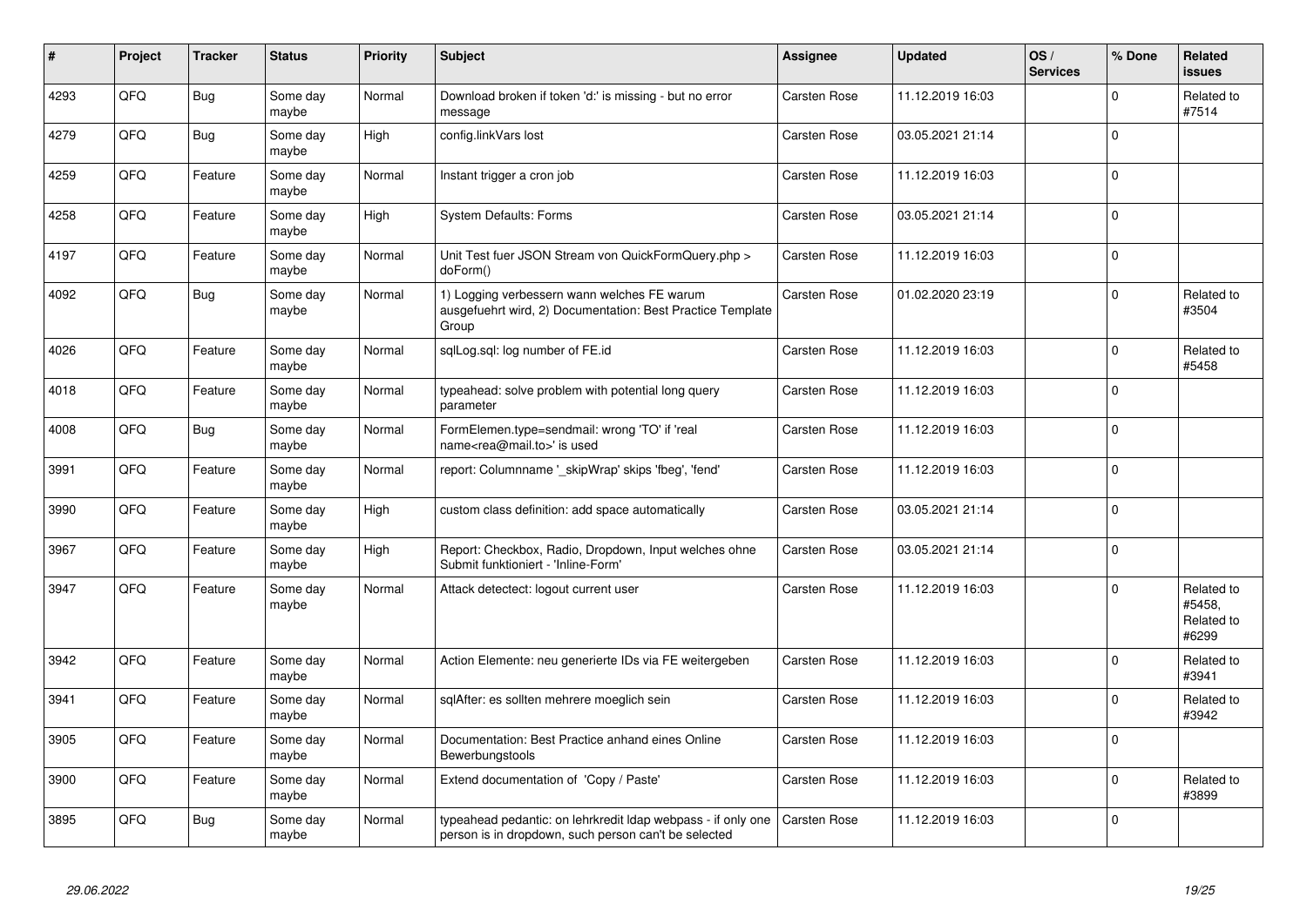| #    | Project | <b>Tracker</b> | <b>Status</b>     | <b>Priority</b> | <b>Subject</b>                                                                                                       | Assignee            | <b>Updated</b>   | OS/<br><b>Services</b> | % Done      | Related<br><b>issues</b>                    |
|------|---------|----------------|-------------------|-----------------|----------------------------------------------------------------------------------------------------------------------|---------------------|------------------|------------------------|-------------|---------------------------------------------|
| 4293 | QFQ     | Bug            | Some day<br>maybe | Normal          | Download broken if token 'd:' is missing - but no error<br>message                                                   | <b>Carsten Rose</b> | 11.12.2019 16:03 |                        | $\mathbf 0$ | Related to<br>#7514                         |
| 4279 | QFQ     | <b>Bug</b>     | Some day<br>maybe | High            | config.linkVars lost                                                                                                 | Carsten Rose        | 03.05.2021 21:14 |                        | $\Omega$    |                                             |
| 4259 | QFQ     | Feature        | Some day<br>maybe | Normal          | Instant trigger a cron job                                                                                           | Carsten Rose        | 11.12.2019 16:03 |                        | $\mathbf 0$ |                                             |
| 4258 | QFQ     | Feature        | Some day<br>maybe | High            | <b>System Defaults: Forms</b>                                                                                        | Carsten Rose        | 03.05.2021 21:14 |                        | $\Omega$    |                                             |
| 4197 | QFQ     | Feature        | Some day<br>maybe | Normal          | Unit Test fuer JSON Stream von QuickFormQuery.php ><br>doForm()                                                      | <b>Carsten Rose</b> | 11.12.2019 16:03 |                        | $\mathbf 0$ |                                             |
| 4092 | QFQ     | <b>Bug</b>     | Some day<br>maybe | Normal          | 1) Logging verbessern wann welches FE warum<br>ausgefuehrt wird, 2) Documentation: Best Practice Template<br>Group   | Carsten Rose        | 01.02.2020 23:19 |                        | $\mathbf 0$ | Related to<br>#3504                         |
| 4026 | QFQ     | Feature        | Some day<br>maybe | Normal          | sglLog.sgl: log number of FE.id                                                                                      | Carsten Rose        | 11.12.2019 16:03 |                        | $\mathbf 0$ | Related to<br>#5458                         |
| 4018 | QFQ     | Feature        | Some day<br>maybe | Normal          | typeahead: solve problem with potential long query<br>parameter                                                      | <b>Carsten Rose</b> | 11.12.2019 16:03 |                        | $\mathbf 0$ |                                             |
| 4008 | QFQ     | Bug            | Some day<br>maybe | Normal          | FormElemen.type=sendmail: wrong 'TO' if 'real<br>name <rea@mail.to>' is used</rea@mail.to>                           | Carsten Rose        | 11.12.2019 16:03 |                        | $\Omega$    |                                             |
| 3991 | QFQ     | Feature        | Some day<br>maybe | Normal          | report: Columnname '_skipWrap' skips 'fbeg', 'fend'                                                                  | Carsten Rose        | 11.12.2019 16:03 |                        | $\mathbf 0$ |                                             |
| 3990 | QFQ     | Feature        | Some day<br>maybe | High            | custom class definition: add space automatically                                                                     | Carsten Rose        | 03.05.2021 21:14 |                        | $\pmb{0}$   |                                             |
| 3967 | QFQ     | Feature        | Some day<br>maybe | High            | Report: Checkbox, Radio, Dropdown, Input welches ohne<br>Submit funktioniert - 'Inline-Form'                         | Carsten Rose        | 03.05.2021 21:14 |                        | $\Omega$    |                                             |
| 3947 | QFQ     | Feature        | Some day<br>maybe | Normal          | Attack detectect: logout current user                                                                                | Carsten Rose        | 11.12.2019 16:03 |                        | $\mathbf 0$ | Related to<br>#5458.<br>Related to<br>#6299 |
| 3942 | QFQ     | Feature        | Some day<br>maybe | Normal          | Action Elemente: neu generierte IDs via FE weitergeben                                                               | <b>Carsten Rose</b> | 11.12.2019 16:03 |                        | $\mathbf 0$ | Related to<br>#3941                         |
| 3941 | QFQ     | Feature        | Some day<br>maybe | Normal          | sqlAfter: es sollten mehrere moeglich sein                                                                           | Carsten Rose        | 11.12.2019 16:03 |                        | $\Omega$    | Related to<br>#3942                         |
| 3905 | QFQ     | Feature        | Some day<br>maybe | Normal          | Documentation: Best Practice anhand eines Online<br>Bewerbungstools                                                  | Carsten Rose        | 11.12.2019 16:03 |                        | $\Omega$    |                                             |
| 3900 | QFQ     | Feature        | Some day<br>maybe | Normal          | Extend documentation of 'Copy / Paste'                                                                               | Carsten Rose        | 11.12.2019 16:03 |                        | $\Omega$    | Related to<br>#3899                         |
| 3895 | QFQ     | Bug            | Some day<br>maybe | Normal          | typeahead pedantic: on lehrkredit Idap webpass - if only one<br>person is in dropdown, such person can't be selected | <b>Carsten Rose</b> | 11.12.2019 16:03 |                        | $\Omega$    |                                             |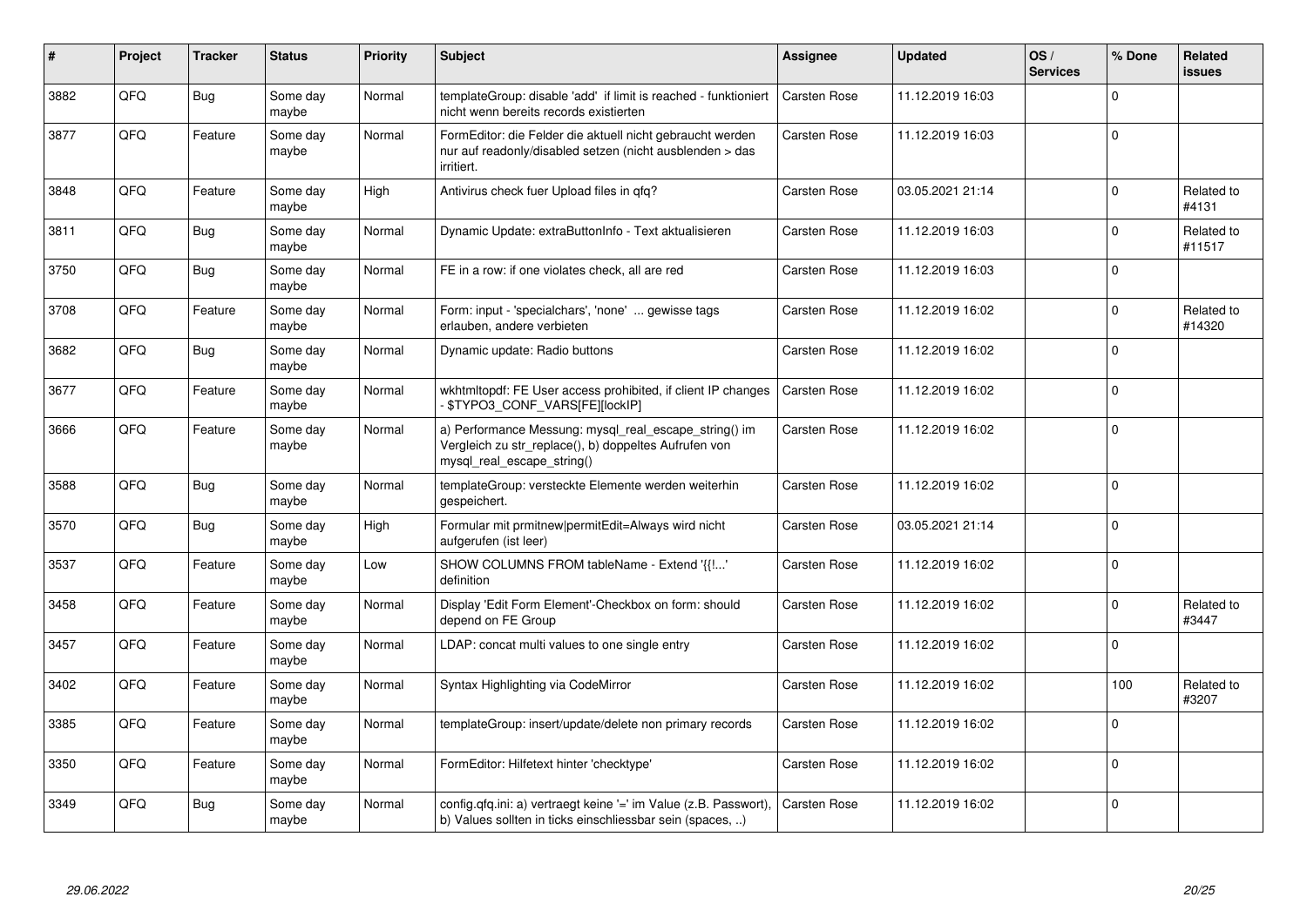| ∦    | Project | <b>Tracker</b> | <b>Status</b>     | <b>Priority</b> | <b>Subject</b>                                                                                                                               | <b>Assignee</b>     | <b>Updated</b>   | OS/<br><b>Services</b> | % Done      | Related<br>issues    |
|------|---------|----------------|-------------------|-----------------|----------------------------------------------------------------------------------------------------------------------------------------------|---------------------|------------------|------------------------|-------------|----------------------|
| 3882 | QFQ     | Bug            | Some day<br>maybe | Normal          | templateGroup: disable 'add' if limit is reached - funktioniert<br>nicht wenn bereits records existierten                                    | Carsten Rose        | 11.12.2019 16:03 |                        | $\Omega$    |                      |
| 3877 | QFQ     | Feature        | Some day<br>maybe | Normal          | FormEditor: die Felder die aktuell nicht gebraucht werden<br>nur auf readonly/disabled setzen (nicht ausblenden > das<br>irritiert.          | Carsten Rose        | 11.12.2019 16:03 |                        | $\Omega$    |                      |
| 3848 | QFQ     | Feature        | Some day<br>maybe | High            | Antivirus check fuer Upload files in qfq?                                                                                                    | <b>Carsten Rose</b> | 03.05.2021 21:14 |                        | $\Omega$    | Related to<br>#4131  |
| 3811 | QFQ     | <b>Bug</b>     | Some day<br>maybe | Normal          | Dynamic Update: extraButtonInfo - Text aktualisieren                                                                                         | Carsten Rose        | 11.12.2019 16:03 |                        | $\Omega$    | Related to<br>#11517 |
| 3750 | QFQ     | <b>Bug</b>     | Some day<br>maybe | Normal          | FE in a row: if one violates check, all are red                                                                                              | <b>Carsten Rose</b> | 11.12.2019 16:03 |                        | $\mathbf 0$ |                      |
| 3708 | QFQ     | Feature        | Some day<br>maybe | Normal          | Form: input - 'specialchars', 'none'  gewisse tags<br>erlauben, andere verbieten                                                             | Carsten Rose        | 11.12.2019 16:02 |                        | $\Omega$    | Related to<br>#14320 |
| 3682 | QFQ     | <b>Bug</b>     | Some day<br>maybe | Normal          | Dynamic update: Radio buttons                                                                                                                | Carsten Rose        | 11.12.2019 16:02 |                        | $\Omega$    |                      |
| 3677 | QFQ     | Feature        | Some day<br>maybe | Normal          | wkhtmltopdf: FE User access prohibited, if client IP changes<br>\$TYPO3 CONF VARS[FE][lockIP]                                                | Carsten Rose        | 11.12.2019 16:02 |                        | $\Omega$    |                      |
| 3666 | QFQ     | Feature        | Some day<br>maybe | Normal          | a) Performance Messung: mysql_real_escape_string() im<br>Vergleich zu str_replace(), b) doppeltes Aufrufen von<br>mysql real escape string() | Carsten Rose        | 11.12.2019 16:02 |                        | $\mathbf 0$ |                      |
| 3588 | QFQ     | Bug            | Some day<br>maybe | Normal          | templateGroup: versteckte Elemente werden weiterhin<br>gespeichert.                                                                          | <b>Carsten Rose</b> | 11.12.2019 16:02 |                        | $\Omega$    |                      |
| 3570 | QFQ     | <b>Bug</b>     | Some day<br>maybe | High            | Formular mit prmitnew permitEdit=Always wird nicht<br>aufgerufen (ist leer)                                                                  | <b>Carsten Rose</b> | 03.05.2021 21:14 |                        | $\mathbf 0$ |                      |
| 3537 | QFQ     | Feature        | Some day<br>maybe | Low             | SHOW COLUMNS FROM tableName - Extend '{{!'<br>definition                                                                                     | Carsten Rose        | 11.12.2019 16:02 |                        | $\Omega$    |                      |
| 3458 | QFQ     | Feature        | Some day<br>maybe | Normal          | Display 'Edit Form Element'-Checkbox on form: should<br>depend on FE Group                                                                   | Carsten Rose        | 11.12.2019 16:02 |                        | $\Omega$    | Related to<br>#3447  |
| 3457 | QFQ     | Feature        | Some day<br>maybe | Normal          | LDAP: concat multi values to one single entry                                                                                                | <b>Carsten Rose</b> | 11.12.2019 16:02 |                        | $\Omega$    |                      |
| 3402 | QFQ     | Feature        | Some day<br>maybe | Normal          | Syntax Highlighting via CodeMirror                                                                                                           | <b>Carsten Rose</b> | 11.12.2019 16:02 |                        | 100         | Related to<br>#3207  |
| 3385 | QFQ     | Feature        | Some day<br>maybe | Normal          | templateGroup: insert/update/delete non primary records                                                                                      | Carsten Rose        | 11.12.2019 16:02 |                        | $\Omega$    |                      |
| 3350 | QFQ     | Feature        | Some day<br>maybe | Normal          | FormEditor: Hilfetext hinter 'checktype'                                                                                                     | Carsten Rose        | 11.12.2019 16:02 |                        | $\Omega$    |                      |
| 3349 | QFQ     | Bug            | Some day<br>maybe | Normal          | config.qfq.ini: a) vertraegt keine '=' im Value (z.B. Passwort),<br>b) Values sollten in ticks einschliessbar sein (spaces, )                | Carsten Rose        | 11.12.2019 16:02 |                        | $\Omega$    |                      |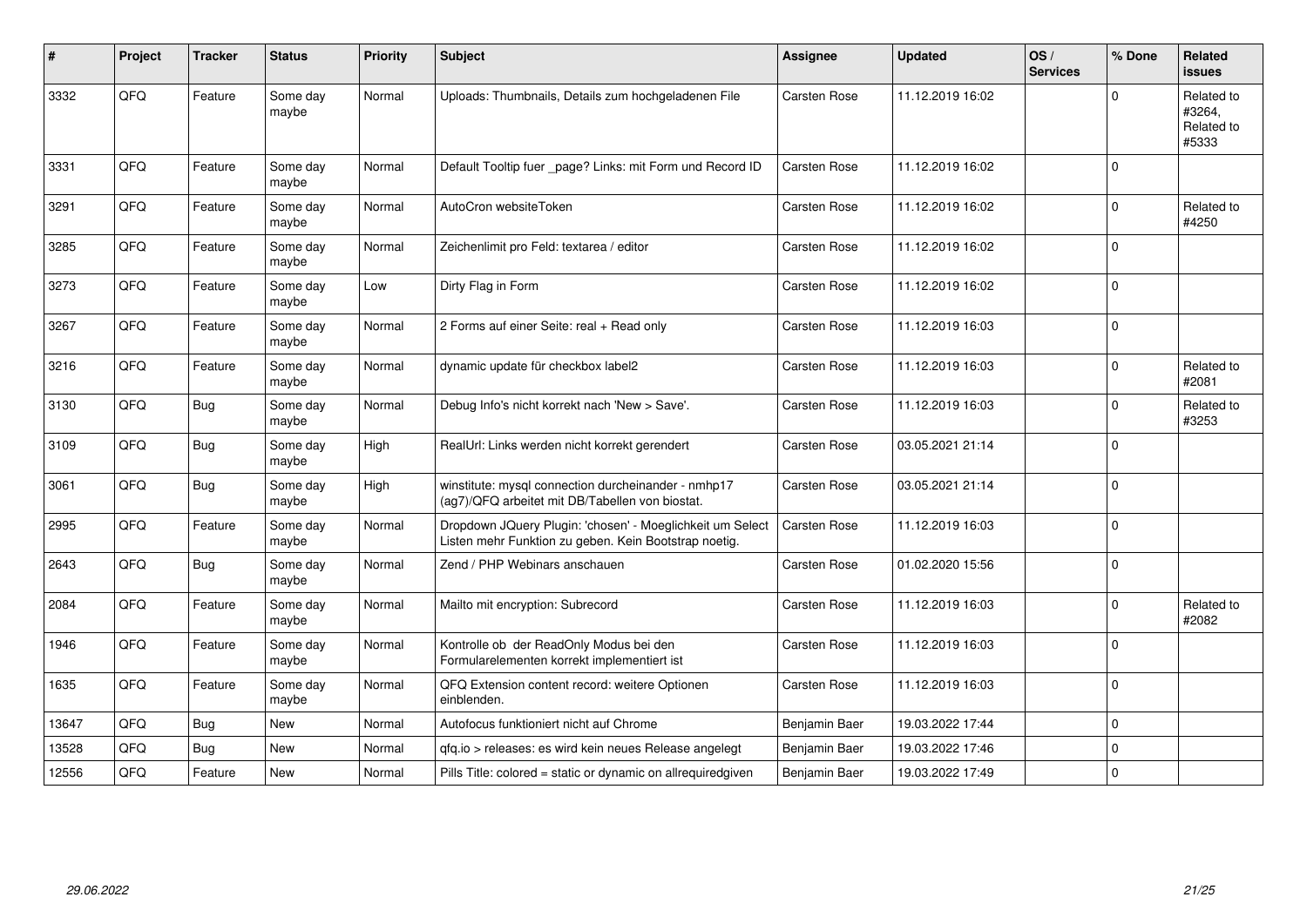| $\sharp$ | Project | <b>Tracker</b> | <b>Status</b>     | <b>Priority</b> | <b>Subject</b>                                                                                                     | <b>Assignee</b>     | <b>Updated</b>   | OS/<br><b>Services</b> | % Done      | Related<br>issues                           |
|----------|---------|----------------|-------------------|-----------------|--------------------------------------------------------------------------------------------------------------------|---------------------|------------------|------------------------|-------------|---------------------------------------------|
| 3332     | QFQ     | Feature        | Some day<br>maybe | Normal          | Uploads: Thumbnails, Details zum hochgeladenen File                                                                | Carsten Rose        | 11.12.2019 16:02 |                        | $\Omega$    | Related to<br>#3264,<br>Related to<br>#5333 |
| 3331     | QFQ     | Feature        | Some day<br>maybe | Normal          | Default Tooltip fuer _page? Links: mit Form und Record ID                                                          | <b>Carsten Rose</b> | 11.12.2019 16:02 |                        | $\Omega$    |                                             |
| 3291     | QFQ     | Feature        | Some day<br>maybe | Normal          | AutoCron websiteToken                                                                                              | Carsten Rose        | 11.12.2019 16:02 |                        | 0           | Related to<br>#4250                         |
| 3285     | QFQ     | Feature        | Some day<br>maybe | Normal          | Zeichenlimit pro Feld: textarea / editor                                                                           | Carsten Rose        | 11.12.2019 16:02 |                        | $\Omega$    |                                             |
| 3273     | QFQ     | Feature        | Some day<br>maybe | Low             | Dirty Flag in Form                                                                                                 | Carsten Rose        | 11.12.2019 16:02 |                        | $\Omega$    |                                             |
| 3267     | QFQ     | Feature        | Some day<br>maybe | Normal          | 2 Forms auf einer Seite: real + Read only                                                                          | Carsten Rose        | 11.12.2019 16:03 |                        | $\Omega$    |                                             |
| 3216     | QFQ     | Feature        | Some day<br>maybe | Normal          | dynamic update für checkbox label2                                                                                 | Carsten Rose        | 11.12.2019 16:03 |                        | $\Omega$    | Related to<br>#2081                         |
| 3130     | QFG     | <b>Bug</b>     | Some day<br>maybe | Normal          | Debug Info's nicht korrekt nach 'New > Save'.                                                                      | Carsten Rose        | 11.12.2019 16:03 |                        | $\Omega$    | Related to<br>#3253                         |
| 3109     | QFQ     | Bug            | Some day<br>maybe | High            | RealUrl: Links werden nicht korrekt gerendert                                                                      | <b>Carsten Rose</b> | 03.05.2021 21:14 |                        | $\Omega$    |                                             |
| 3061     | QFQ     | Bug            | Some day<br>maybe | High            | winstitute: mysql connection durcheinander - nmhp17<br>(ag7)/QFQ arbeitet mit DB/Tabellen von biostat.             | <b>Carsten Rose</b> | 03.05.2021 21:14 |                        | $\Omega$    |                                             |
| 2995     | QFQ     | Feature        | Some day<br>maybe | Normal          | Dropdown JQuery Plugin: 'chosen' - Moeglichkeit um Select<br>Listen mehr Funktion zu geben. Kein Bootstrap noetig. | Carsten Rose        | 11.12.2019 16:03 |                        | $\Omega$    |                                             |
| 2643     | QFQ     | <b>Bug</b>     | Some day<br>maybe | Normal          | Zend / PHP Webinars anschauen                                                                                      | Carsten Rose        | 01.02.2020 15:56 |                        | $\Omega$    |                                             |
| 2084     | QFQ     | Feature        | Some day<br>maybe | Normal          | Mailto mit encryption: Subrecord                                                                                   | Carsten Rose        | 11.12.2019 16:03 |                        | $\Omega$    | Related to<br>#2082                         |
| 1946     | QFQ     | Feature        | Some day<br>maybe | Normal          | Kontrolle ob der ReadOnly Modus bei den<br>Formularelementen korrekt implementiert ist                             | Carsten Rose        | 11.12.2019 16:03 |                        | $\Omega$    |                                             |
| 1635     | QFQ     | Feature        | Some day<br>maybe | Normal          | QFQ Extension content record: weitere Optionen<br>einblenden.                                                      | Carsten Rose        | 11.12.2019 16:03 |                        | $\Omega$    |                                             |
| 13647    | QFQ     | Bug            | New               | Normal          | Autofocus funktioniert nicht auf Chrome                                                                            | Benjamin Baer       | 19.03.2022 17:44 |                        | $\Omega$    |                                             |
| 13528    | QFQ     | Bug            | <b>New</b>        | Normal          | qfq.io > releases: es wird kein neues Release angelegt                                                             | Benjamin Baer       | 19.03.2022 17:46 |                        | $\mathbf 0$ |                                             |
| 12556    | QFQ     | Feature        | <b>New</b>        | Normal          | Pills Title: colored = static or dynamic on allrequiredgiven                                                       | Benjamin Baer       | 19.03.2022 17:49 |                        | 0           |                                             |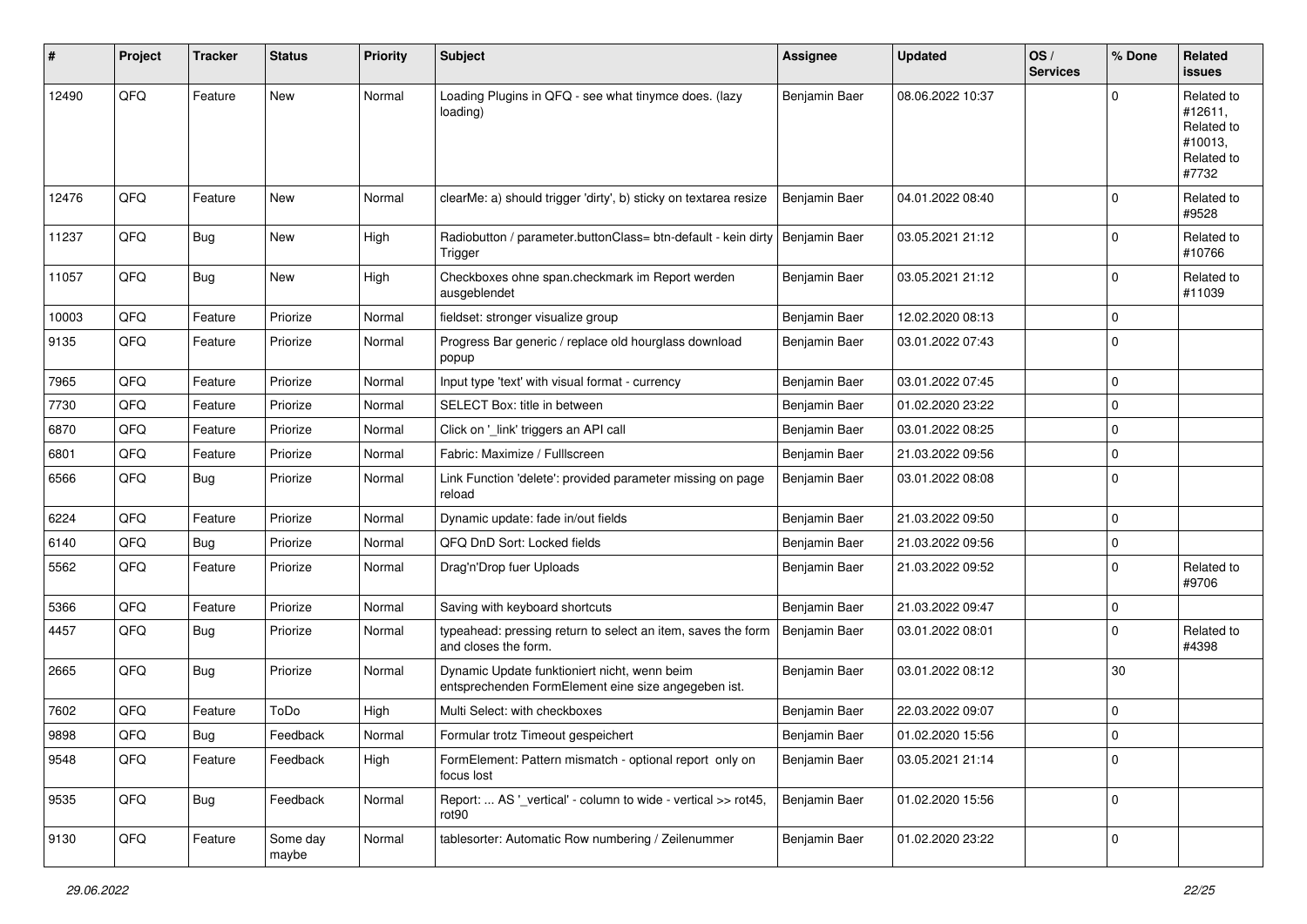| #     | Project | <b>Tracker</b> | <b>Status</b>     | <b>Priority</b> | <b>Subject</b>                                                                                      | <b>Assignee</b> | <b>Updated</b>   | OS/<br><b>Services</b> | % Done      | Related<br><b>issues</b>                                              |
|-------|---------|----------------|-------------------|-----------------|-----------------------------------------------------------------------------------------------------|-----------------|------------------|------------------------|-------------|-----------------------------------------------------------------------|
| 12490 | QFQ     | Feature        | <b>New</b>        | Normal          | Loading Plugins in QFQ - see what tinymce does. (lazy<br>loading)                                   | Benjamin Baer   | 08.06.2022 10:37 |                        | $\Omega$    | Related to<br>#12611,<br>Related to<br>#10013,<br>Related to<br>#7732 |
| 12476 | QFQ     | Feature        | New               | Normal          | clearMe: a) should trigger 'dirty', b) sticky on textarea resize                                    | Benjamin Baer   | 04.01.2022 08:40 |                        | $\mathbf 0$ | Related to<br>#9528                                                   |
| 11237 | QFQ     | <b>Bug</b>     | New               | High            | Radiobutton / parameter.buttonClass= btn-default - kein dirty<br>Trigger                            | Benjamin Baer   | 03.05.2021 21:12 |                        | $\Omega$    | Related to<br>#10766                                                  |
| 11057 | QFQ     | <b>Bug</b>     | New               | High            | Checkboxes ohne span.checkmark im Report werden<br>ausgeblendet                                     | Benjamin Baer   | 03.05.2021 21:12 |                        | $\Omega$    | Related to<br>#11039                                                  |
| 10003 | QFQ     | Feature        | Priorize          | Normal          | fieldset: stronger visualize group                                                                  | Benjamin Baer   | 12.02.2020 08:13 |                        | 0           |                                                                       |
| 9135  | QFQ     | Feature        | Priorize          | Normal          | Progress Bar generic / replace old hourglass download<br>popup                                      | Benjamin Baer   | 03.01.2022 07:43 |                        | $\mathbf 0$ |                                                                       |
| 7965  | QFQ     | Feature        | Priorize          | Normal          | Input type 'text' with visual format - currency                                                     | Benjamin Baer   | 03.01.2022 07:45 |                        | $\mathbf 0$ |                                                                       |
| 7730  | QFQ     | Feature        | Priorize          | Normal          | SELECT Box: title in between                                                                        | Benjamin Baer   | 01.02.2020 23:22 |                        | $\pmb{0}$   |                                                                       |
| 6870  | QFQ     | Feature        | Priorize          | Normal          | Click on '_link' triggers an API call                                                               | Benjamin Baer   | 03.01.2022 08:25 |                        | $\pmb{0}$   |                                                                       |
| 6801  | QFQ     | Feature        | Priorize          | Normal          | Fabric: Maximize / FullIscreen                                                                      | Benjamin Baer   | 21.03.2022 09:56 |                        | 0           |                                                                       |
| 6566  | QFQ     | <b>Bug</b>     | Priorize          | Normal          | Link Function 'delete': provided parameter missing on page<br>reload                                | Benjamin Baer   | 03.01.2022 08:08 |                        | $\Omega$    |                                                                       |
| 6224  | QFQ     | Feature        | Priorize          | Normal          | Dynamic update: fade in/out fields                                                                  | Benjamin Baer   | 21.03.2022 09:50 |                        | $\mathbf 0$ |                                                                       |
| 6140  | QFQ     | <b>Bug</b>     | Priorize          | Normal          | QFQ DnD Sort: Locked fields                                                                         | Benjamin Baer   | 21.03.2022 09:56 |                        | 0           |                                                                       |
| 5562  | QFQ     | Feature        | Priorize          | Normal          | Drag'n'Drop fuer Uploads                                                                            | Benjamin Baer   | 21.03.2022 09:52 |                        | $\mathbf 0$ | Related to<br>#9706                                                   |
| 5366  | QFQ     | Feature        | Priorize          | Normal          | Saving with keyboard shortcuts                                                                      | Benjamin Baer   | 21.03.2022 09:47 |                        | $\pmb{0}$   |                                                                       |
| 4457  | QFQ     | <b>Bug</b>     | Priorize          | Normal          | typeahead: pressing return to select an item, saves the form<br>and closes the form.                | Benjamin Baer   | 03.01.2022 08:01 |                        | $\Omega$    | Related to<br>#4398                                                   |
| 2665  | QFQ     | <b>Bug</b>     | Priorize          | Normal          | Dynamic Update funktioniert nicht, wenn beim<br>entsprechenden FormElement eine size angegeben ist. | Benjamin Baer   | 03.01.2022 08:12 |                        | 30          |                                                                       |
| 7602  | QFQ     | Feature        | ToDo              | High            | Multi Select: with checkboxes                                                                       | Benjamin Baer   | 22.03.2022 09:07 |                        | $\mathbf 0$ |                                                                       |
| 9898  | QFQ     | Bug            | Feedback          | Normal          | Formular trotz Timeout gespeichert                                                                  | Benjamin Baer   | 01.02.2020 15:56 |                        | $\mathbf 0$ |                                                                       |
| 9548  | QFQ     | Feature        | Feedback          | High            | FormElement: Pattern mismatch - optional report only on<br>focus lost                               | Benjamin Baer   | 03.05.2021 21:14 |                        | 0           |                                                                       |
| 9535  | QFQ     | <b>Bug</b>     | Feedback          | Normal          | Report:  AS ' vertical' - column to wide - vertical >> rot45,<br>rot90                              | Benjamin Baer   | 01.02.2020 15:56 |                        | 0           |                                                                       |
| 9130  | QFQ     | Feature        | Some day<br>maybe | Normal          | tablesorter: Automatic Row numbering / Zeilenummer                                                  | Benjamin Baer   | 01.02.2020 23:22 |                        | 0           |                                                                       |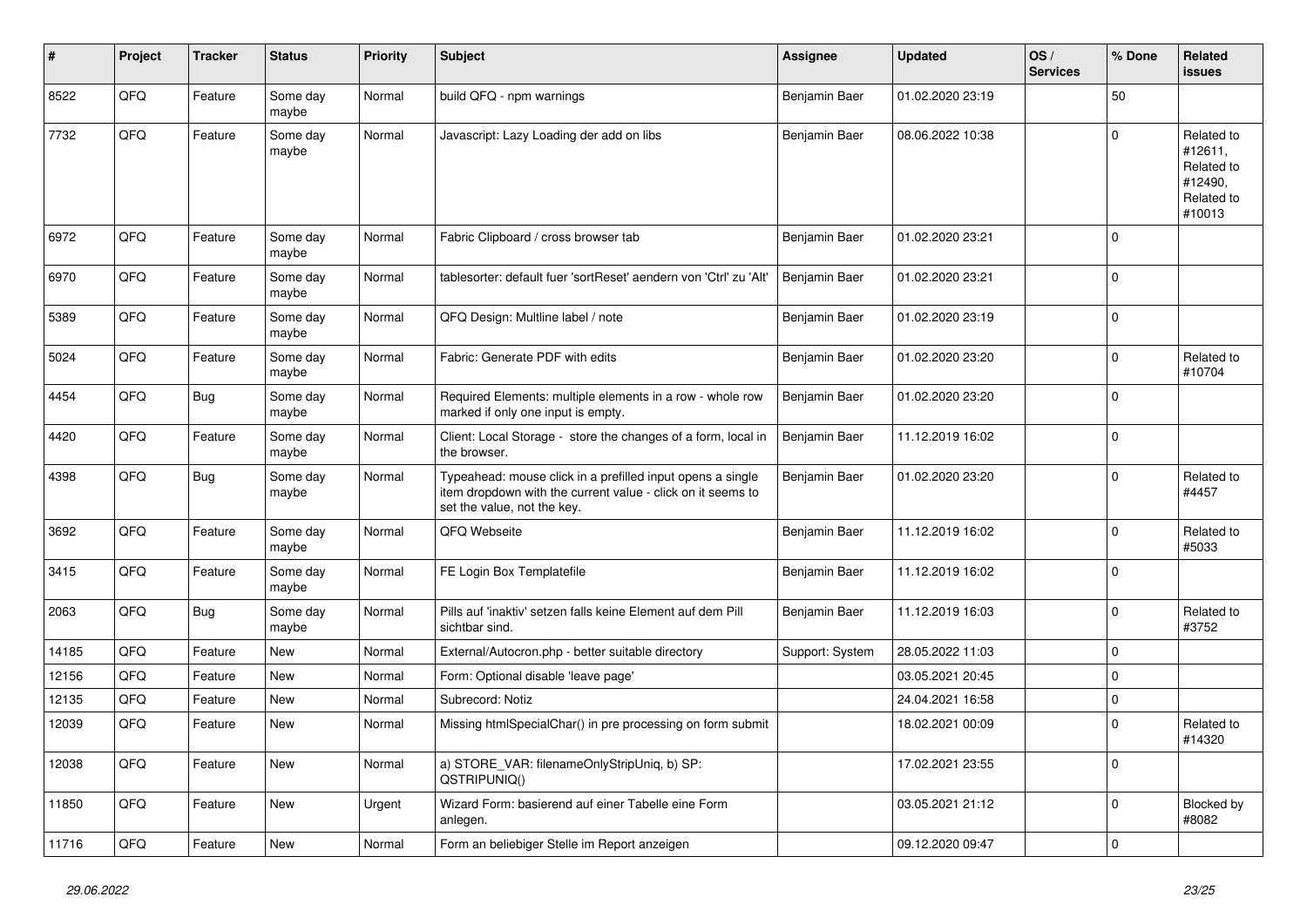| #     | Project | <b>Tracker</b> | <b>Status</b>     | <b>Priority</b> | <b>Subject</b>                                                                                                                                           | <b>Assignee</b> | <b>Updated</b>   | OS/<br><b>Services</b> | % Done       | Related<br><b>issues</b>                                               |
|-------|---------|----------------|-------------------|-----------------|----------------------------------------------------------------------------------------------------------------------------------------------------------|-----------------|------------------|------------------------|--------------|------------------------------------------------------------------------|
| 8522  | QFQ     | Feature        | Some day<br>maybe | Normal          | build QFQ - npm warnings                                                                                                                                 | Benjamin Baer   | 01.02.2020 23:19 |                        | 50           |                                                                        |
| 7732  | QFQ     | Feature        | Some day<br>maybe | Normal          | Javascript: Lazy Loading der add on libs                                                                                                                 | Benjamin Baer   | 08.06.2022 10:38 |                        | $\mathbf 0$  | Related to<br>#12611,<br>Related to<br>#12490,<br>Related to<br>#10013 |
| 6972  | QFQ     | Feature        | Some day<br>maybe | Normal          | Fabric Clipboard / cross browser tab                                                                                                                     | Benjamin Baer   | 01.02.2020 23:21 |                        | $\mathbf 0$  |                                                                        |
| 6970  | QFQ     | Feature        | Some day<br>maybe | Normal          | tablesorter: default fuer 'sortReset' aendern von 'Ctrl' zu 'Alt'                                                                                        | Benjamin Baer   | 01.02.2020 23:21 |                        | $\mathbf 0$  |                                                                        |
| 5389  | QFQ     | Feature        | Some day<br>maybe | Normal          | QFQ Design: Multline label / note                                                                                                                        | Benjamin Baer   | 01.02.2020 23:19 |                        | $\mathbf{0}$ |                                                                        |
| 5024  | QFQ     | Feature        | Some day<br>maybe | Normal          | Fabric: Generate PDF with edits                                                                                                                          | Benjamin Baer   | 01.02.2020 23:20 |                        | $\mathbf 0$  | Related to<br>#10704                                                   |
| 4454  | QFQ     | Bug            | Some day<br>maybe | Normal          | Required Elements: multiple elements in a row - whole row<br>marked if only one input is empty.                                                          | Benjamin Baer   | 01.02.2020 23:20 |                        | $\mathbf 0$  |                                                                        |
| 4420  | QFQ     | Feature        | Some day<br>maybe | Normal          | Client: Local Storage - store the changes of a form, local in<br>the browser.                                                                            | Benjamin Baer   | 11.12.2019 16:02 |                        | $\mathbf 0$  |                                                                        |
| 4398  | QFQ     | Bug            | Some day<br>maybe | Normal          | Typeahead: mouse click in a prefilled input opens a single<br>item dropdown with the current value - click on it seems to<br>set the value, not the key. | Benjamin Baer   | 01.02.2020 23:20 |                        | $\Omega$     | Related to<br>#4457                                                    |
| 3692  | QFQ     | Feature        | Some day<br>maybe | Normal          | QFQ Webseite                                                                                                                                             | Benjamin Baer   | 11.12.2019 16:02 |                        | $\mathbf{0}$ | Related to<br>#5033                                                    |
| 3415  | QFQ     | Feature        | Some day<br>maybe | Normal          | FE Login Box Templatefile                                                                                                                                | Benjamin Baer   | 11.12.2019 16:02 |                        | $\mathbf 0$  |                                                                        |
| 2063  | QFQ     | <b>Bug</b>     | Some day<br>maybe | Normal          | Pills auf 'inaktiv' setzen falls keine Element auf dem Pill<br>sichtbar sind.                                                                            | Benjamin Baer   | 11.12.2019 16:03 |                        | $\pmb{0}$    | Related to<br>#3752                                                    |
| 14185 | QFQ     | Feature        | New               | Normal          | External/Autocron.php - better suitable directory                                                                                                        | Support: System | 28.05.2022 11:03 |                        | $\mathbf 0$  |                                                                        |
| 12156 | QFQ     | Feature        | New               | Normal          | Form: Optional disable 'leave page'                                                                                                                      |                 | 03.05.2021 20:45 |                        | $\mathbf 0$  |                                                                        |
| 12135 | QFQ     | Feature        | New               | Normal          | Subrecord: Notiz                                                                                                                                         |                 | 24.04.2021 16:58 |                        | $\mathbf 0$  |                                                                        |
| 12039 | QFQ     | Feature        | New               | Normal          | Missing htmlSpecialChar() in pre processing on form submit                                                                                               |                 | 18.02.2021 00:09 |                        | $\mathbf{0}$ | Related to<br>#14320                                                   |
| 12038 | QFQ     | Feature        | <b>New</b>        | Normal          | a) STORE VAR: filenameOnlyStripUniq, b) SP:<br>QSTRIPUNIQ()                                                                                              |                 | 17.02.2021 23:55 |                        | $\mathbf 0$  |                                                                        |
| 11850 | QFQ     | Feature        | New               | Urgent          | Wizard Form: basierend auf einer Tabelle eine Form<br>anlegen.                                                                                           |                 | 03.05.2021 21:12 |                        | $\mathbf 0$  | Blocked by<br>#8082                                                    |
| 11716 | QFQ     | Feature        | New               | Normal          | Form an beliebiger Stelle im Report anzeigen                                                                                                             |                 | 09.12.2020 09:47 |                        | $\pmb{0}$    |                                                                        |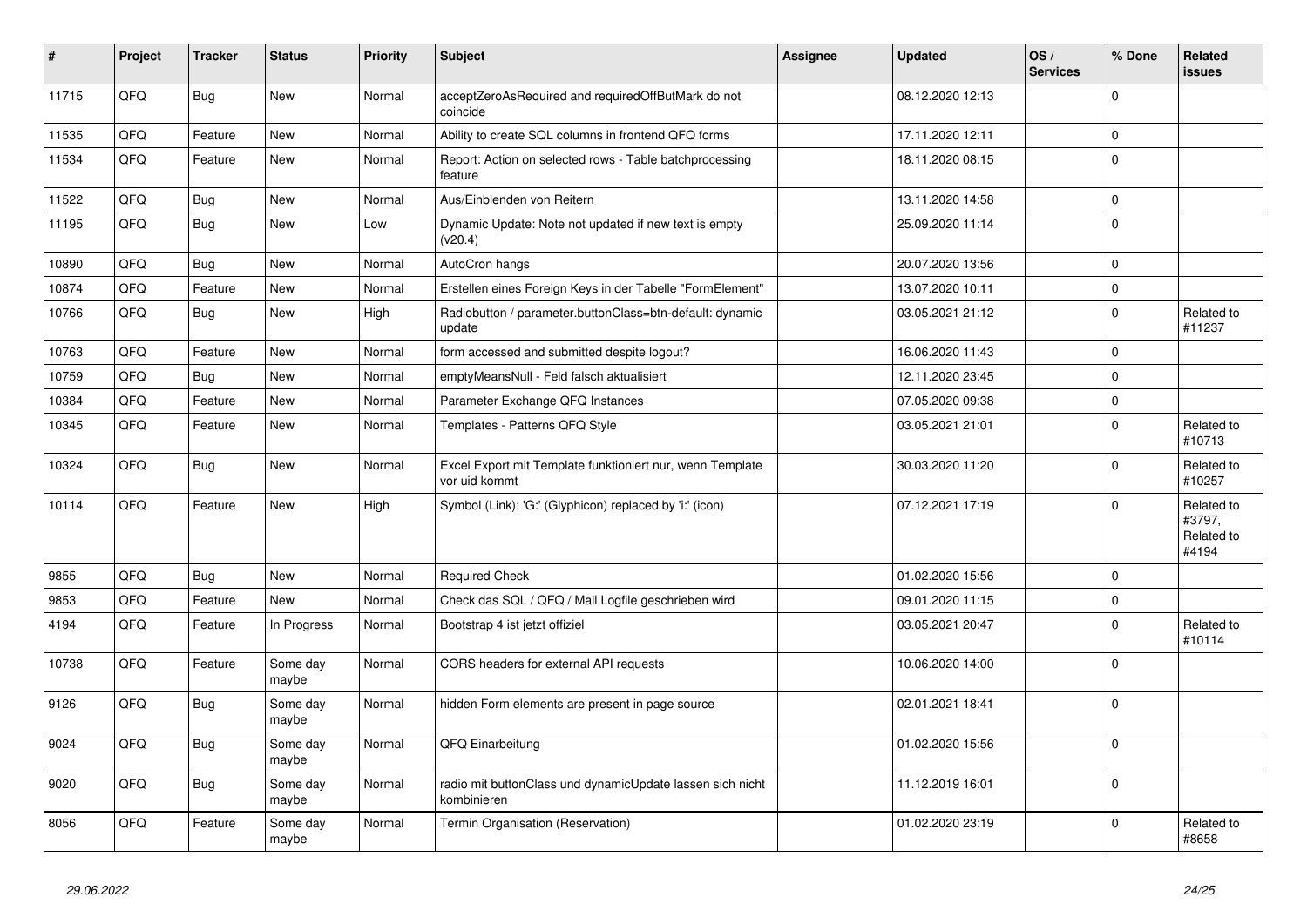| $\vert$ # | Project | <b>Tracker</b> | <b>Status</b>     | <b>Priority</b> | <b>Subject</b>                                                             | <b>Assignee</b> | <b>Updated</b>   | OS/<br><b>Services</b> | % Done      | Related<br><b>issues</b>                    |
|-----------|---------|----------------|-------------------|-----------------|----------------------------------------------------------------------------|-----------------|------------------|------------------------|-------------|---------------------------------------------|
| 11715     | QFQ     | <b>Bug</b>     | <b>New</b>        | Normal          | acceptZeroAsRequired and requiredOffButMark do not<br>coincide             |                 | 08.12.2020 12:13 |                        | $\Omega$    |                                             |
| 11535     | QFQ     | Feature        | <b>New</b>        | Normal          | Ability to create SQL columns in frontend QFQ forms                        |                 | 17.11.2020 12:11 |                        | $\mathbf 0$ |                                             |
| 11534     | QFQ     | Feature        | <b>New</b>        | Normal          | Report: Action on selected rows - Table batchprocessing<br>feature         |                 | 18.11.2020 08:15 |                        | $\Omega$    |                                             |
| 11522     | QFQ     | Bug            | <b>New</b>        | Normal          | Aus/Einblenden von Reitern                                                 |                 | 13.11.2020 14:58 |                        | $\mathbf 0$ |                                             |
| 11195     | QFQ     | <b>Bug</b>     | <b>New</b>        | Low             | Dynamic Update: Note not updated if new text is empty<br>(v20.4)           |                 | 25.09.2020 11:14 |                        | $\Omega$    |                                             |
| 10890     | QFQ     | Bug            | <b>New</b>        | Normal          | AutoCron hangs                                                             |                 | 20.07.2020 13:56 |                        | 0           |                                             |
| 10874     | QFQ     | Feature        | <b>New</b>        | Normal          | Erstellen eines Foreign Keys in der Tabelle "FormElement"                  |                 | 13.07.2020 10:11 |                        | $\Omega$    |                                             |
| 10766     | QFQ     | Bug            | New               | High            | Radiobutton / parameter.buttonClass=btn-default: dynamic<br>update         |                 | 03.05.2021 21:12 |                        | $\Omega$    | Related to<br>#11237                        |
| 10763     | QFQ     | Feature        | New               | Normal          | form accessed and submitted despite logout?                                |                 | 16.06.2020 11:43 |                        | $\Omega$    |                                             |
| 10759     | QFQ     | Bug            | New               | Normal          | emptyMeansNull - Feld falsch aktualisiert                                  |                 | 12.11.2020 23:45 |                        | $\Omega$    |                                             |
| 10384     | QFQ     | Feature        | New               | Normal          | Parameter Exchange QFQ Instances                                           |                 | 07.05.2020 09:38 |                        | $\Omega$    |                                             |
| 10345     | QFQ     | Feature        | New               | Normal          | Templates - Patterns QFQ Style                                             |                 | 03.05.2021 21:01 |                        | $\Omega$    | Related to<br>#10713                        |
| 10324     | QFQ     | Bug            | New               | Normal          | Excel Export mit Template funktioniert nur, wenn Template<br>vor uid kommt |                 | 30.03.2020 11:20 |                        | $\Omega$    | Related to<br>#10257                        |
| 10114     | QFQ     | Feature        | New               | High            | Symbol (Link): 'G:' (Glyphicon) replaced by 'i:' (icon)                    |                 | 07.12.2021 17:19 |                        | $\Omega$    | Related to<br>#3797,<br>Related to<br>#4194 |
| 9855      | QFQ     | Bug            | <b>New</b>        | Normal          | <b>Required Check</b>                                                      |                 | 01.02.2020 15:56 |                        | $\Omega$    |                                             |
| 9853      | QFQ     | Feature        | <b>New</b>        | Normal          | Check das SQL / QFQ / Mail Logfile geschrieben wird                        |                 | 09.01.2020 11:15 |                        | $\Omega$    |                                             |
| 4194      | QFQ     | Feature        | In Progress       | Normal          | Bootstrap 4 ist jetzt offiziel                                             |                 | 03.05.2021 20:47 |                        | $\Omega$    | Related to<br>#10114                        |
| 10738     | QFQ     | Feature        | Some day<br>maybe | Normal          | CORS headers for external API requests                                     |                 | 10.06.2020 14:00 |                        | $\Omega$    |                                             |
| 9126      | QFQ     | Bug            | Some day<br>maybe | Normal          | hidden Form elements are present in page source                            |                 | 02.01.2021 18:41 |                        | $\Omega$    |                                             |
| 9024      | QFQ     | <b>Bug</b>     | Some day<br>maybe | Normal          | QFQ Einarbeitung                                                           |                 | 01.02.2020 15:56 |                        | $\Omega$    |                                             |
| 9020      | QFQ     | <b>Bug</b>     | Some day<br>maybe | Normal          | radio mit buttonClass und dynamicUpdate lassen sich nicht<br>kombinieren   |                 | 11.12.2019 16:01 |                        | $\Omega$    |                                             |
| 8056      | QFQ     | Feature        | Some day<br>maybe | Normal          | Termin Organisation (Reservation)                                          |                 | 01.02.2020 23:19 |                        | $\Omega$    | Related to<br>#8658                         |